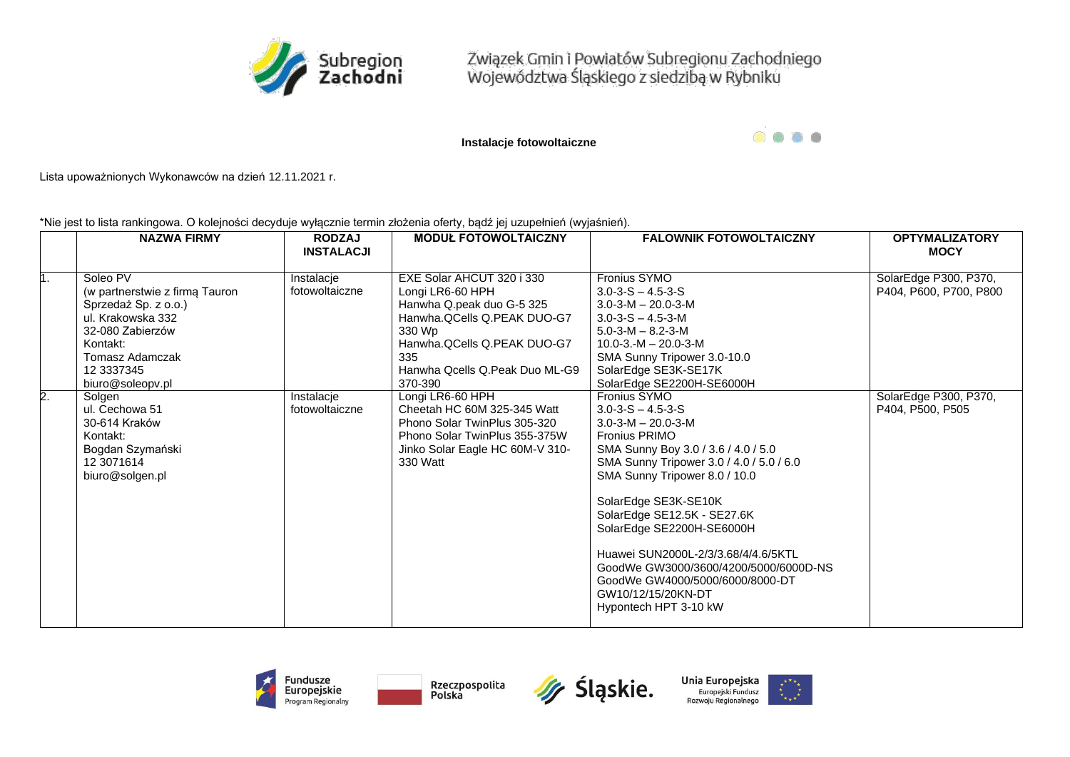

Związek Gmin i Powiatów Subregionu Zachodniego<br>Województwa Śląskiego z siedzibą w Rybniku

**Instalacje fotowoltaiczne**

 $\bullet\hspace{0.2cm} \bullet\hspace{0.2cm}\bullet\hspace{0.2cm}\bullet\hspace{0.2cm}\bullet$ 

Lista upoważnionych Wykonawców na dzień 12.11.2021 r.

\*Nie jest to lista rankingowa. O kolejności decyduje wyłącznie termin złożenia oferty, bądź jej uzupełnień (wyjaśnień).

|    | <b>NAZWA FIRMY</b>                                                                                                                                                                  | <b>RODZAJ</b><br><b>INSTALACJI</b> | <b>MODUŁ FOTOWOLTAICZNY</b>                                                                                                                                                                            | <b>FALOWNIK FOTOWOLTAICZNY</b>                                                                                                                                                                                                                                                                                                                                                                                                                                                | <b>OPTYMALIZATORY</b><br><b>MOCY</b>            |
|----|-------------------------------------------------------------------------------------------------------------------------------------------------------------------------------------|------------------------------------|--------------------------------------------------------------------------------------------------------------------------------------------------------------------------------------------------------|-------------------------------------------------------------------------------------------------------------------------------------------------------------------------------------------------------------------------------------------------------------------------------------------------------------------------------------------------------------------------------------------------------------------------------------------------------------------------------|-------------------------------------------------|
| 1. | Soleo PV<br>(w partnerstwie z firmą Tauron<br>Sprzedaż Sp. z o.o.)<br>ul. Krakowska 332<br>32-080 Zabierzów<br>Kontakt:<br><b>Tomasz Adamczak</b><br>12 3337345<br>biuro@soleopv.pl | Instalacje<br>fotowoltaiczne       | EXE Solar AHCUT 320 i 330<br>Longi LR6-60 HPH<br>Hanwha Q.peak duo G-5 325<br>Hanwha.QCells Q.PEAK DUO-G7<br>330 Wp<br>Hanwha.QCells Q.PEAK DUO-G7<br>335<br>Hanwha Qcells Q.Peak Duo ML-G9<br>370-390 | Fronius SYMO<br>$3.0 - 3 - S - 4.5 - 3 - S$<br>$3.0 - 3 - M - 20.0 - 3 - M$<br>$3.0 - 3 - S - 4.5 - 3 - M$<br>$5.0 - 3 - M - 8.2 - 3 - M$<br>$10.0 - 3 - M - 20.0 - 3 - M$<br>SMA Sunny Tripower 3.0-10.0<br>SolarEdge SE3K-SE17K<br>SolarEdge SE2200H-SE6000H                                                                                                                                                                                                                | SolarEdge P300, P370,<br>P404, P600, P700, P800 |
| 2. | Solgen<br>ul. Cechowa 51<br>30-614 Kraków<br>Kontakt:<br>Bogdan Szymański<br>12 3071614<br>biuro@solgen.pl                                                                          | Instalacje<br>fotowoltaiczne       | Longi LR6-60 HPH<br>Cheetah HC 60M 325-345 Watt<br>Phono Solar TwinPlus 305-320<br>Phono Solar TwinPlus 355-375W<br>Jinko Solar Eagle HC 60M-V 310-<br>330 Watt                                        | Fronius SYMO<br>$3.0 - 3 - S - 4.5 - 3 - S$<br>$3.0 - 3 - M - 20.0 - 3 - M$<br><b>Fronius PRIMO</b><br>SMA Sunny Boy 3.0 / 3.6 / 4.0 / 5.0<br>SMA Sunny Tripower 3.0 / 4.0 / 5.0 / 6.0<br>SMA Sunny Tripower 8.0 / 10.0<br>SolarEdge SE3K-SE10K<br>SolarEdge SE12.5K - SE27.6K<br>SolarEdge SE2200H-SE6000H<br>Huawei SUN2000L-2/3/3.68/4/4.6/5KTL<br>GoodWe GW3000/3600/4200/5000/6000D-NS<br>GoodWe GW4000/5000/6000/8000-DT<br>GW10/12/15/20KN-DT<br>Hypontech HPT 3-10 kW | SolarEdge P300, P370,<br>P404, P500, P505       |







Unia Europejska Europejski Fundusz Rozwoju Regionalnego

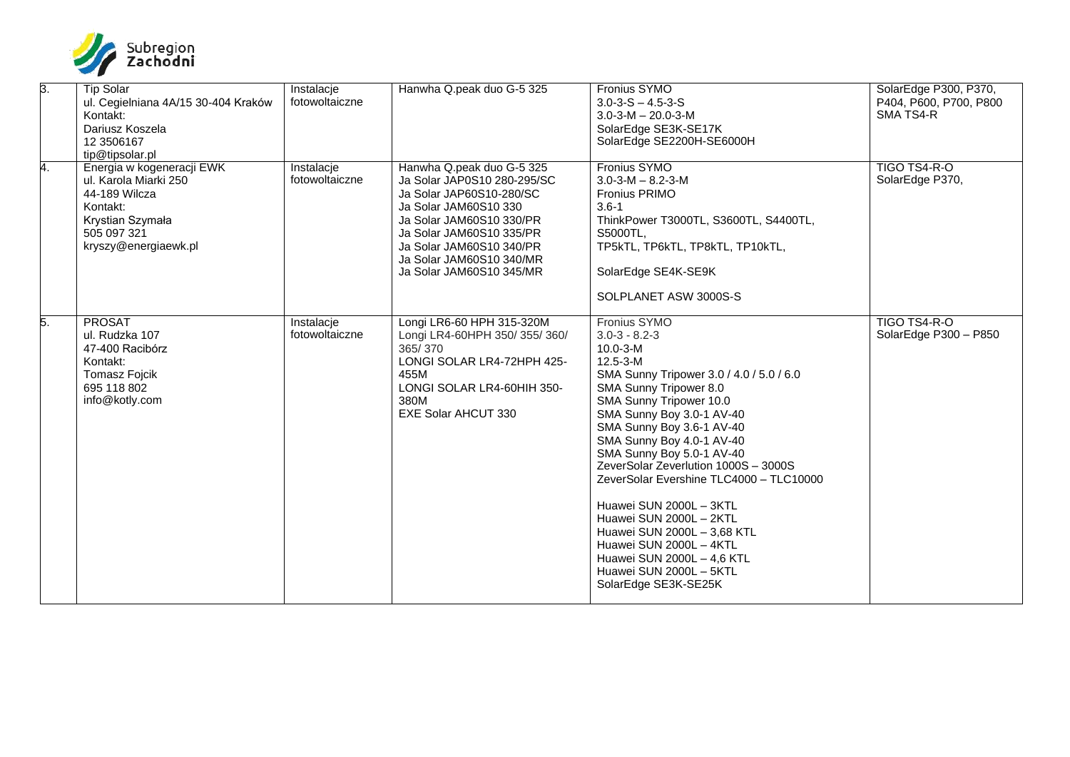

| $\overline{3}$ . | <b>Tip Solar</b><br>ul. Cegielniana 4A/15 30-404 Kraków<br>Kontakt:<br>Dariusz Koszela<br>12 3506167<br>tip@tipsolar.pl                    | Instalacje<br>fotowoltaiczne | Hanwha Q.peak duo G-5 325                                                                                                                                                                                                                                 | Fronius SYMO<br>$3.0 - 3 - S - 4.5 - 3 - S$<br>$3.0 - 3 - M - 20.0 - 3 - M$<br>SolarEdge SE3K-SE17K<br>SolarEdge SE2200H-SE6000H                                                                                                                                                                                                                                                                                                                                                                                                                                                 | SolarEdge P300, P370,<br>P404, P600, P700, P800<br>SMA TS4-R |
|------------------|--------------------------------------------------------------------------------------------------------------------------------------------|------------------------------|-----------------------------------------------------------------------------------------------------------------------------------------------------------------------------------------------------------------------------------------------------------|----------------------------------------------------------------------------------------------------------------------------------------------------------------------------------------------------------------------------------------------------------------------------------------------------------------------------------------------------------------------------------------------------------------------------------------------------------------------------------------------------------------------------------------------------------------------------------|--------------------------------------------------------------|
| 4.               | Energia w kogeneracji EWK<br>ul. Karola Miarki 250<br>44-189 Wilcza<br>Kontakt:<br>Krystian Szymała<br>505 097 321<br>kryszy@energiaewk.pl | Instalacje<br>fotowoltaiczne | Hanwha Q.peak duo G-5 325<br>Ja Solar JAP0S10 280-295/SC<br>Ja Solar JAP60S10-280/SC<br>Ja Solar JAM60S10 330<br>Ja Solar JAM60S10 330/PR<br>Ja Solar JAM60S10 335/PR<br>Ja Solar JAM60S10 340/PR<br>Ja Solar JAM60S10 340/MR<br>Ja Solar JAM60S10 345/MR | Fronius SYMO<br>$3.0 - 3 - M - 8.2 - 3 - M$<br>Fronius PRIMO<br>$3.6 - 1$<br>ThinkPower T3000TL, S3600TL, S4400TL,<br>S5000TL,<br>TP5kTL, TP6kTL, TP8kTL, TP10kTL,<br>SolarEdge SE4K-SE9K<br>SOLPLANET ASW 3000S-S                                                                                                                                                                                                                                                                                                                                                               | TIGO TS4-R-O<br>SolarEdge P370,                              |
| 5.               | <b>PROSAT</b><br>ul. Rudzka 107<br>47-400 Racibórz<br>Kontakt:<br><b>Tomasz Fojcik</b><br>695 118 802<br>info@kotly.com                    | Instalacje<br>fotowoltaiczne | Longi LR6-60 HPH 315-320M<br>Longi LR4-60HPH 350/355/360/<br>365/370<br>LONGI SOLAR LR4-72HPH 425-<br>455M<br>LONGI SOLAR LR4-60HIH 350-<br>380M<br>EXE Solar AHCUT 330                                                                                   | Fronius SYMO<br>$3.0 - 3 - 8.2 - 3$<br>$10.0 - 3 - M$<br>$12.5 - 3 - M$<br>SMA Sunny Tripower 3.0 / 4.0 / 5.0 / 6.0<br>SMA Sunny Tripower 8.0<br>SMA Sunny Tripower 10.0<br>SMA Sunny Boy 3.0-1 AV-40<br>SMA Sunny Boy 3.6-1 AV-40<br>SMA Sunny Boy 4.0-1 AV-40<br>SMA Sunny Boy 5.0-1 AV-40<br>ZeverSolar Zeverlution 1000S - 3000S<br>ZeverSolar Evershine TLC4000 - TLC10000<br>Huawei SUN 2000L - 3KTL<br>Huawei SUN 2000L - 2KTL<br>Huawei SUN 2000L - 3.68 KTL<br>Huawei SUN 2000L - 4KTL<br>Huawei SUN 2000L - 4.6 KTL<br>Huawei SUN 2000L - 5KTL<br>SolarEdge SE3K-SE25K | TIGO TS4-R-O<br>SolarEdge P300 - P850                        |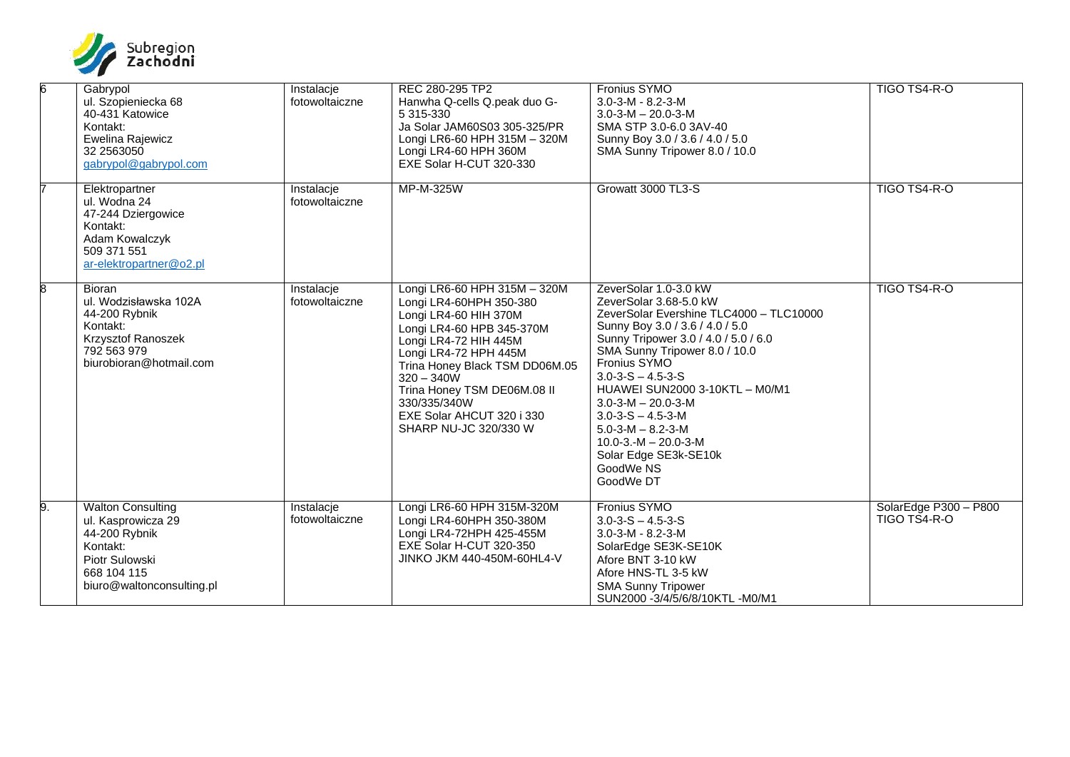

| 6  | Gabrypol<br>ul. Szopieniecka 68<br>40-431 Katowice<br>Kontakt:<br>Ewelina Rajewicz<br>32 2563050<br>gabrypol@gabrypol.com                 | Instalacje<br>fotowoltaiczne | REC 280-295 TP2<br>Hanwha Q-cells Q.peak duo G-<br>5 315-330<br>Ja Solar JAM60S03 305-325/PR<br>Longi LR6-60 HPH 315M - 320M<br>Longi LR4-60 HPH 360M<br>EXE Solar H-CUT 320-330                                                                                                                                       | Fronius SYMO<br>$3.0 - 3 - M - 8.2 - 3 - M$<br>$3.0 - 3 - M - 20.0 - 3 - M$<br>SMA STP 3.0-6.0 3AV-40<br>Sunny Boy 3.0 / 3.6 / 4.0 / 5.0<br>SMA Sunny Tripower 8.0 / 10.0                                                                                                                                                                                                                                                                                                 | TIGO TS4-R-O                          |
|----|-------------------------------------------------------------------------------------------------------------------------------------------|------------------------------|------------------------------------------------------------------------------------------------------------------------------------------------------------------------------------------------------------------------------------------------------------------------------------------------------------------------|---------------------------------------------------------------------------------------------------------------------------------------------------------------------------------------------------------------------------------------------------------------------------------------------------------------------------------------------------------------------------------------------------------------------------------------------------------------------------|---------------------------------------|
|    | Elektropartner<br>ul. Wodna 24<br>47-244 Dziergowice<br>Kontakt:<br>Adam Kowalczyk<br>509 371 551<br>ar-elektropartner@o2.pl              | Instalacje<br>fotowoltaiczne | MP-M-325W                                                                                                                                                                                                                                                                                                              | Growatt 3000 TL3-S                                                                                                                                                                                                                                                                                                                                                                                                                                                        | TIGO TS4-R-O                          |
| 8  | Bioran<br>ul. Wodzisławska 102A<br>44-200 Rybnik<br>Kontakt:<br>Krzysztof Ranoszek<br>792 563 979<br>biurobioran@hotmail.com              | Instalacje<br>fotowoltaiczne | Longi LR6-60 HPH 315M - 320M<br>Longi LR4-60HPH 350-380<br>Longi LR4-60 HIH 370M<br>Longi LR4-60 HPB 345-370M<br>Longi LR4-72 HIH 445M<br>Longi LR4-72 HPH 445M<br>Trina Honey Black TSM DD06M.05<br>$320 - 340W$<br>Trina Honey TSM DE06M.08 II<br>330/335/340W<br>EXE Solar AHCUT 320 i 330<br>SHARP NU-JC 320/330 W | ZeverSolar 1.0-3.0 kW<br>ZeverSolar 3.68-5.0 kW<br>ZeverSolar Evershine TLC4000 - TLC10000<br>Sunny Boy 3.0 / 3.6 / 4.0 / 5.0<br>Sunny Tripower 3.0 / 4.0 / 5.0 / 6.0<br>SMA Sunny Tripower 8.0 / 10.0<br>Fronius SYMO<br>$3.0 - 3 - S - 4.5 - 3 - S$<br>HUAWEI SUN2000 3-10KTL - M0/M1<br>$3.0 - 3 - M - 20.0 - 3 - M$<br>$3.0 - 3 - S - 4.5 - 3 - M$<br>$5.0 - 3 - M - 8.2 - 3 - M$<br>$10.0 - 3 - M - 20.0 - 3 - M$<br>Solar Edge SE3k-SE10k<br>GoodWe NS<br>GoodWe DT | TIGO TS4-R-O                          |
| 9. | <b>Walton Consulting</b><br>ul. Kasprowicza 29<br>44-200 Rybnik<br>Kontakt:<br>Piotr Sulowski<br>668 104 115<br>biuro@waltonconsulting.pl | Instalacje<br>fotowoltaiczne | Longi LR6-60 HPH 315M-320M<br>Longi LR4-60HPH 350-380M<br>Longi LR4-72HPH 425-455M<br>EXE Solar H-CUT 320-350<br>JINKO JKM 440-450M-60HL4-V                                                                                                                                                                            | Fronius SYMO<br>$3.0 - 3 - S - 4.5 - 3 - S$<br>$3.0 - 3 - M - 8.2 - 3 - M$<br>SolarEdge SE3K-SE10K<br>Afore BNT 3-10 kW<br>Afore HNS-TL 3-5 kW<br><b>SMA Sunny Tripower</b><br>SUN2000 -3/4/5/6/8/10KTL -M0/M1                                                                                                                                                                                                                                                            | SolarEdge P300 - P800<br>TIGO TS4-R-O |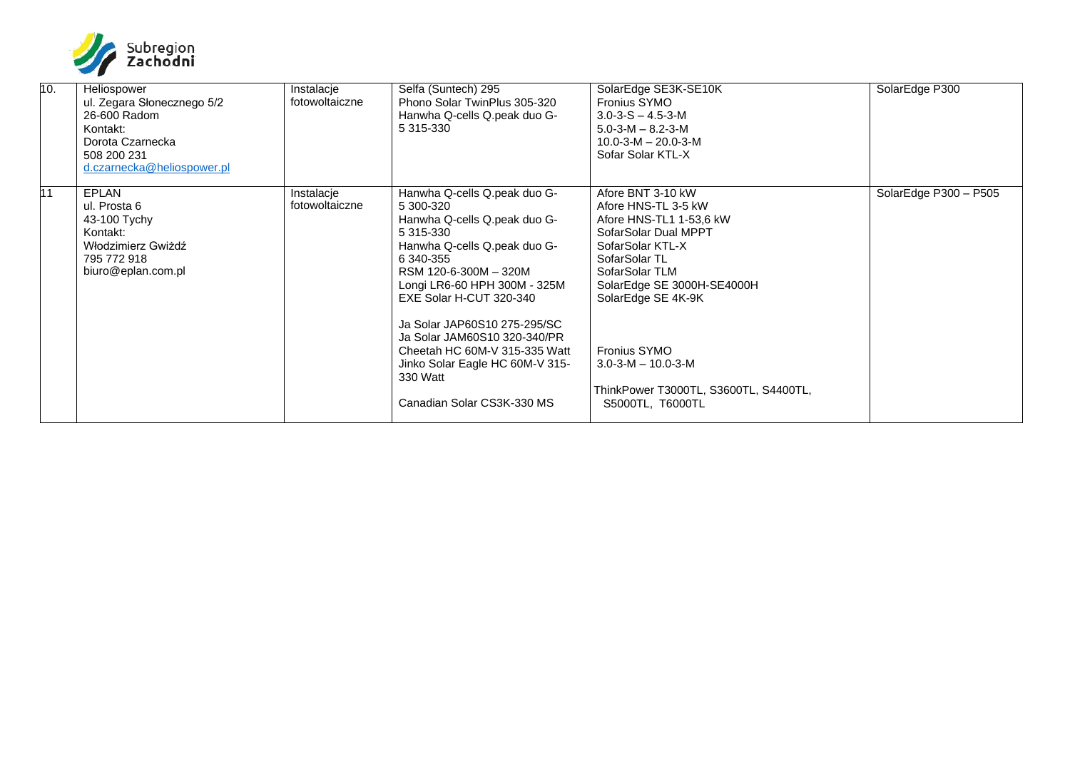

| 10. | Heliospower<br>ul. Zegara Słonecznego 5/2<br>26-600 Radom<br>Kontakt:<br>Dorota Czarnecka<br>508 200 231<br>d.czarnecka@heliospower.pl | Instalacje<br>fotowoltaiczne | Selfa (Suntech) 295<br>Phono Solar TwinPlus 305-320<br>Hanwha Q-cells Q.peak duo G-<br>5 315-330                                                                                                                        | SolarEdge SE3K-SE10K<br><b>Fronius SYMO</b><br>$3.0 - 3 - S - 4.5 - 3 - M$<br>$5.0 - 3 - M - 8.2 - 3 - M$<br>$10.0 - 3 - M - 20.0 - 3 - M$<br>Sofar Solar KTL-X                                        | SolarEdge P300        |
|-----|----------------------------------------------------------------------------------------------------------------------------------------|------------------------------|-------------------------------------------------------------------------------------------------------------------------------------------------------------------------------------------------------------------------|--------------------------------------------------------------------------------------------------------------------------------------------------------------------------------------------------------|-----------------------|
| 11  | <b>EPLAN</b><br>ul. Prosta 6<br>43-100 Tychy<br>Kontakt:<br>Włodzimierz Gwiżdź<br>795 772 918<br>biuro@eplan.com.pl                    | Instalacje<br>fotowoltaiczne | Hanwha Q-cells Q.peak duo G-<br>5 300-320<br>Hanwha Q-cells Q.peak duo G-<br>5 315-330<br>Hanwha Q-cells Q.peak duo G-<br>6 340-355<br>RSM 120-6-300M - 320M<br>Longi LR6-60 HPH 300M - 325M<br>EXE Solar H-CUT 320-340 | Afore BNT 3-10 kW<br>Afore HNS-TL 3-5 kW<br>Afore HNS-TL1 1-53,6 kW<br>SofarSolar Dual MPPT<br>SofarSolar KTL-X<br>SofarSolar TL<br>SofarSolar TLM<br>SolarEdge SE 3000H-SE4000H<br>SolarEdge SE 4K-9K | SolarEdge P300 - P505 |
|     |                                                                                                                                        |                              | Ja Solar JAP60S10 275-295/SC<br>Ja Solar JAM60S10 320-340/PR<br>Cheetah HC 60M-V 315-335 Watt<br>Jinko Solar Eagle HC 60M-V 315-<br>330 Watt<br>Canadian Solar CS3K-330 MS                                              | Fronius SYMO<br>$3.0 - 3 - M - 10.0 - 3 - M$<br>ThinkPower T3000TL, S3600TL, S4400TL,<br>S5000TL, T6000TL                                                                                              |                       |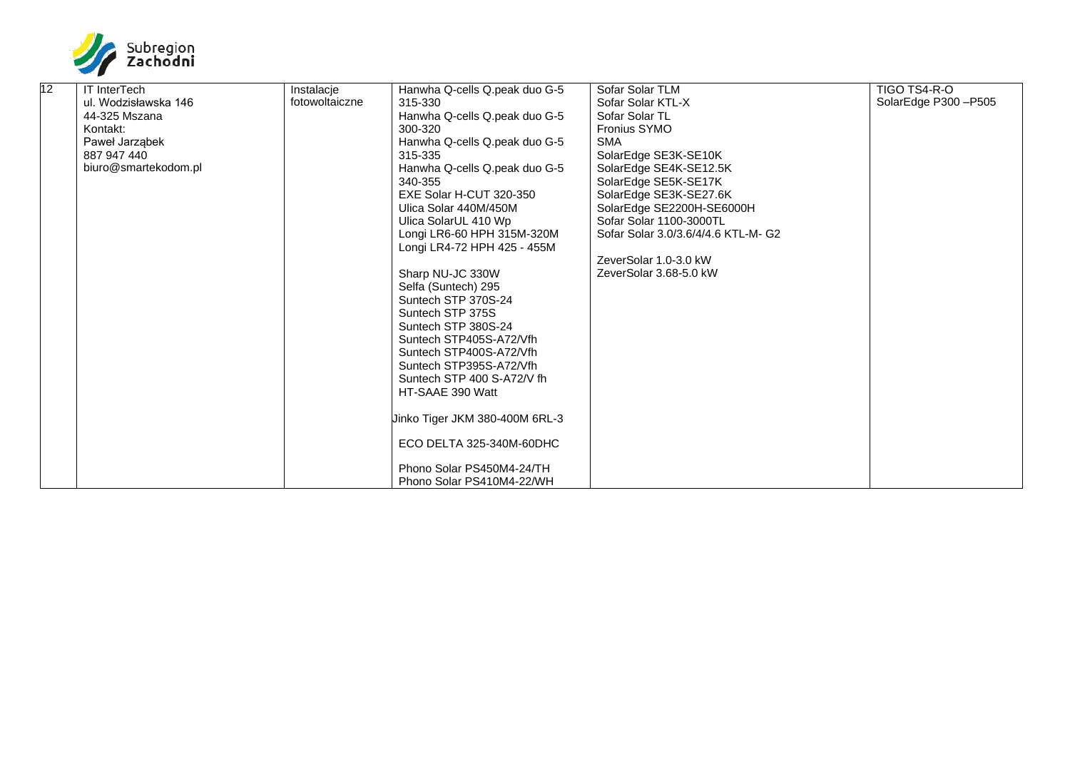

| 12 | <b>IT InterTech</b>  | Instalacie     | Hanwha Q-cells Q.peak duo G-5  | Sofar Solar TLM                     | TIGO TS4-R-O        |
|----|----------------------|----------------|--------------------------------|-------------------------------------|---------------------|
|    | ul. Wodzisławska 146 | fotowoltaiczne | 315-330                        | Sofar Solar KTL-X                   | SolarEdge P300-P505 |
|    | 44-325 Mszana        |                | Hanwha Q-cells Q.peak duo G-5  | Sofar Solar TL                      |                     |
|    | Kontakt:             |                | 300-320                        | Fronius SYMO                        |                     |
|    | Paweł Jarząbek       |                | Hanwha Q-cells Q.peak duo G-5  | <b>SMA</b>                          |                     |
|    | 887 947 440          |                | 315-335                        | SolarEdge SE3K-SE10K                |                     |
|    | biuro@smartekodom.pl |                | Hanwha Q-cells Q.peak duo G-5  | SolarEdge SE4K-SE12.5K              |                     |
|    |                      |                | 340-355                        | SolarEdge SE5K-SE17K                |                     |
|    |                      |                | EXE Solar H-CUT 320-350        | SolarEdge SE3K-SE27.6K              |                     |
|    |                      |                | Ulica Solar 440M/450M          | SolarEdge SE2200H-SE6000H           |                     |
|    |                      |                | Ulica SolarUL 410 Wp           | Sofar Solar 1100-3000TL             |                     |
|    |                      |                | Longi LR6-60 HPH 315M-320M     | Sofar Solar 3.0/3.6/4/4.6 KTL-M- G2 |                     |
|    |                      |                | Longi LR4-72 HPH 425 - 455M    |                                     |                     |
|    |                      |                |                                | ZeverSolar 1.0-3.0 kW               |                     |
|    |                      |                | Sharp NU-JC 330W               | ZeverSolar 3.68-5.0 kW              |                     |
|    |                      |                | Selfa (Suntech) 295            |                                     |                     |
|    |                      |                | Suntech STP 370S-24            |                                     |                     |
|    |                      |                | Suntech STP 375S               |                                     |                     |
|    |                      |                | Suntech STP 380S-24            |                                     |                     |
|    |                      |                | Suntech STP405S-A72/Vfh        |                                     |                     |
|    |                      |                | Suntech STP400S-A72/Vfh        |                                     |                     |
|    |                      |                | Suntech STP395S-A72/Vfh        |                                     |                     |
|    |                      |                | Suntech STP 400 S-A72/V fh     |                                     |                     |
|    |                      |                | HT-SAAE 390 Watt               |                                     |                     |
|    |                      |                |                                |                                     |                     |
|    |                      |                | Jinko Tiger JKM 380-400M 6RL-3 |                                     |                     |
|    |                      |                |                                |                                     |                     |
|    |                      |                | ECO DELTA 325-340M-60DHC       |                                     |                     |
|    |                      |                |                                |                                     |                     |
|    |                      |                | Phono Solar PS450M4-24/TH      |                                     |                     |
|    |                      |                | Phono Solar PS410M4-22/WH      |                                     |                     |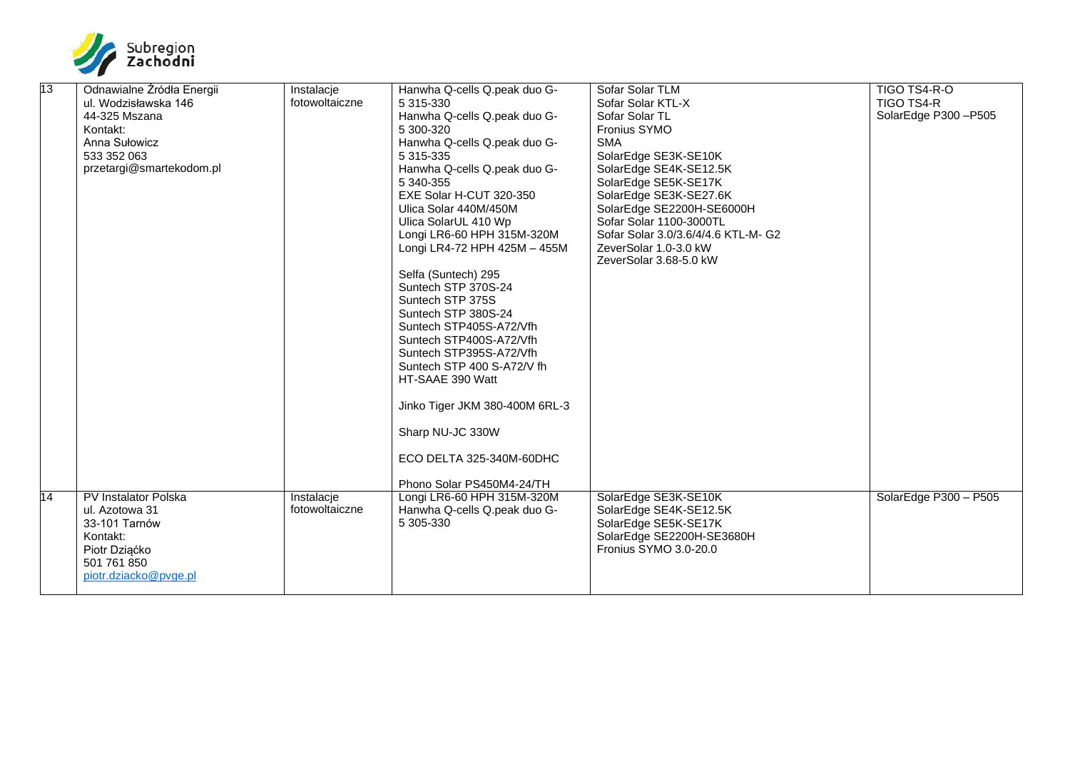

| 13 | Odnawialne Źródła Energii   | Instalacje     | Hanwha Q-cells Q.peak duo G-   | Sofar Solar TLM                     | TIGO TS4-R-O          |
|----|-----------------------------|----------------|--------------------------------|-------------------------------------|-----------------------|
|    | ul. Wodzisławska 146        | fotowoltaiczne | 5 315-330                      | Sofar Solar KTL-X                   | <b>TIGO TS4-R</b>     |
|    | 44-325 Mszana               |                | Hanwha Q-cells Q.peak duo G-   | Sofar Solar TL                      | SolarEdge P300-P505   |
|    | Kontakt:                    |                | 5 300-320                      | <b>Fronius SYMO</b>                 |                       |
|    | Anna Sułowicz               |                | Hanwha Q-cells Q.peak duo G-   | <b>SMA</b>                          |                       |
|    | 533 352 063                 |                | 5 315-335                      | SolarEdge SE3K-SE10K                |                       |
|    | przetargi@smartekodom.pl    |                | Hanwha Q-cells Q.peak duo G-   | SolarEdge SE4K-SE12.5K              |                       |
|    |                             |                | 5 340-355                      | SolarEdge SE5K-SE17K                |                       |
|    |                             |                | EXE Solar H-CUT 320-350        | SolarEdge SE3K-SE27.6K              |                       |
|    |                             |                | Ulica Solar 440M/450M          | SolarEdge SE2200H-SE6000H           |                       |
|    |                             |                | Ulica SolarUL 410 Wp           | Sofar Solar 1100-3000TL             |                       |
|    |                             |                | Longi LR6-60 HPH 315M-320M     | Sofar Solar 3.0/3.6/4/4.6 KTL-M- G2 |                       |
|    |                             |                | Longi LR4-72 HPH 425M - 455M   | ZeverSolar 1.0-3.0 kW               |                       |
|    |                             |                |                                | ZeverSolar 3.68-5.0 kW              |                       |
|    |                             |                | Selfa (Suntech) 295            |                                     |                       |
|    |                             |                | Suntech STP 370S-24            |                                     |                       |
|    |                             |                | Suntech STP 375S               |                                     |                       |
|    |                             |                | Suntech STP 380S-24            |                                     |                       |
|    |                             |                | Suntech STP405S-A72/Vfh        |                                     |                       |
|    |                             |                | Suntech STP400S-A72/Vfh        |                                     |                       |
|    |                             |                | Suntech STP395S-A72/Vfh        |                                     |                       |
|    |                             |                | Suntech STP 400 S-A72/V fh     |                                     |                       |
|    |                             |                | HT-SAAE 390 Watt               |                                     |                       |
|    |                             |                | Jinko Tiger JKM 380-400M 6RL-3 |                                     |                       |
|    |                             |                | Sharp NU-JC 330W               |                                     |                       |
|    |                             |                | ECO DELTA 325-340M-60DHC       |                                     |                       |
|    |                             |                | Phono Solar PS450M4-24/TH      |                                     |                       |
| 14 | <b>PV Instalator Polska</b> | Instalacje     | Longi LR6-60 HPH 315M-320M     | SolarEdge SE3K-SE10K                | SolarEdge P300 - P505 |
|    | ul. Azotowa 31              | fotowoltaiczne | Hanwha Q-cells Q.peak duo G-   | SolarEdge SE4K-SE12.5K              |                       |
|    | 33-101 Tarnów               |                | 5 305-330                      | SolarEdge SE5K-SE17K                |                       |
|    | Kontakt:                    |                |                                | SolarEdge SE2200H-SE3680H           |                       |
|    | Piotr Dziąćko               |                |                                | Fronius SYMO 3.0-20.0               |                       |
|    | 501 761 850                 |                |                                |                                     |                       |
|    | piotr.dziacko@pvge.pl       |                |                                |                                     |                       |
|    |                             |                |                                |                                     |                       |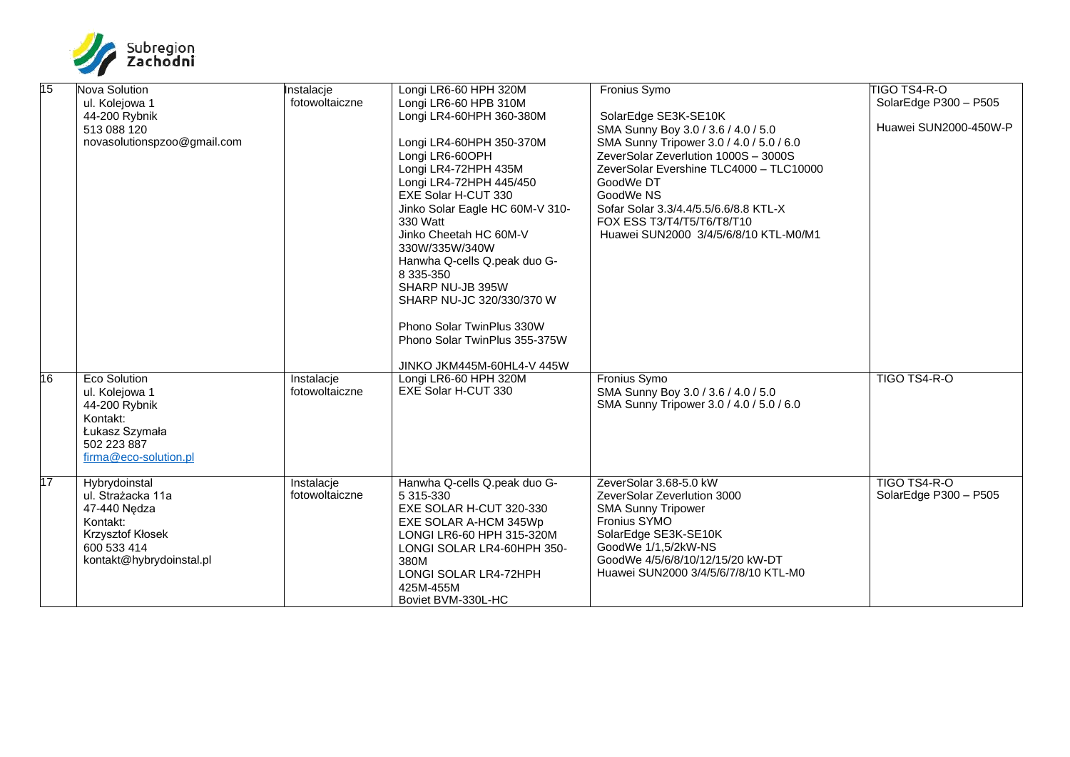

| $\overline{15}$ | Nova Solution               | Instalacie     | Longi LR6-60 HPH 320M           | Fronius Symo                             | <b>TIGO TS4-R-O</b>   |
|-----------------|-----------------------------|----------------|---------------------------------|------------------------------------------|-----------------------|
|                 | ul. Kolejowa 1              | fotowoltaiczne | Longi LR6-60 HPB 310M           |                                          | SolarEdge P300 - P505 |
|                 | 44-200 Rybnik               |                | Longi LR4-60HPH 360-380M        | SolarEdge SE3K-SE10K                     |                       |
|                 | 513 088 120                 |                |                                 | SMA Sunny Boy 3.0 / 3.6 / 4.0 / 5.0      | Huawei SUN2000-450W-P |
|                 | novasolutionspzoo@gmail.com |                | Longi LR4-60HPH 350-370M        | SMA Sunny Tripower 3.0 / 4.0 / 5.0 / 6.0 |                       |
|                 |                             |                | Longi LR6-60OPH                 | ZeverSolar Zeverlution 1000S - 3000S     |                       |
|                 |                             |                | Longi LR4-72HPH 435M            | ZeverSolar Evershine TLC4000 - TLC10000  |                       |
|                 |                             |                | Longi LR4-72HPH 445/450         | GoodWe DT                                |                       |
|                 |                             |                | EXE Solar H-CUT 330             | GoodWe NS                                |                       |
|                 |                             |                | Jinko Solar Eagle HC 60M-V 310- | Sofar Solar 3.3/4.4/5.5/6.6/8.8 KTL-X    |                       |
|                 |                             |                | 330 Watt                        | FOX ESS T3/T4/T5/T6/T8/T10               |                       |
|                 |                             |                | Jinko Cheetah HC 60M-V          | Huawei SUN2000 3/4/5/6/8/10 KTL-M0/M1    |                       |
|                 |                             |                | 330W/335W/340W                  |                                          |                       |
|                 |                             |                | Hanwha Q-cells Q.peak duo G-    |                                          |                       |
|                 |                             |                | 8 335-350                       |                                          |                       |
|                 |                             |                | SHARP NU-JB 395W                |                                          |                       |
|                 |                             |                | SHARP NU-JC 320/330/370 W       |                                          |                       |
|                 |                             |                |                                 |                                          |                       |
|                 |                             |                | Phono Solar TwinPlus 330W       |                                          |                       |
|                 |                             |                | Phono Solar TwinPlus 355-375W   |                                          |                       |
|                 |                             |                |                                 |                                          |                       |
|                 |                             |                | JINKO JKM445M-60HL4-V 445W      |                                          |                       |
| 16              | <b>Eco Solution</b>         | Instalacje     | Longi LR6-60 HPH 320M           | <b>Fronius Symo</b>                      | TIGO TS4-R-O          |
|                 | ul. Kolejowa 1              | fotowoltaiczne | EXE Solar H-CUT 330             | SMA Sunny Boy 3.0 / 3.6 / 4.0 / 5.0      |                       |
|                 | 44-200 Rybnik               |                |                                 | SMA Sunny Tripower 3.0 / 4.0 / 5.0 / 6.0 |                       |
|                 | Kontakt:                    |                |                                 |                                          |                       |
|                 | Łukasz Szymała              |                |                                 |                                          |                       |
|                 | 502 223 887                 |                |                                 |                                          |                       |
|                 | firma@eco-solution.pl       |                |                                 |                                          |                       |
|                 |                             |                |                                 |                                          |                       |
| $\overline{17}$ | Hybrydoinstal               | Instalacje     | Hanwha Q-cells Q.peak duo G-    | ZeverSolar 3.68-5.0 kW                   | TIGO TS4-R-O          |
|                 | ul. Strażacka 11a           | fotowoltaiczne | 5 315-330                       | ZeverSolar Zeverlution 3000              | SolarEdge P300 - P505 |
|                 | 47-440 Nedza                |                | EXE SOLAR H-CUT 320-330         | <b>SMA Sunny Tripower</b>                |                       |
|                 | Kontakt:                    |                | EXE SOLAR A-HCM 345Wp           | Fronius SYMO                             |                       |
|                 | Krzysztof Kłosek            |                | LONGI LR6-60 HPH 315-320M       | SolarEdge SE3K-SE10K                     |                       |
|                 | 600 533 414                 |                | LONGI SOLAR LR4-60HPH 350-      | GoodWe 1/1.5/2kW-NS                      |                       |
|                 | kontakt@hybrydoinstal.pl    |                | 380M                            | GoodWe 4/5/6/8/10/12/15/20 kW-DT         |                       |
|                 |                             |                | LONGI SOLAR LR4-72HPH           | Huawei SUN2000 3/4/5/6/7/8/10 KTL-M0     |                       |
|                 |                             |                | 425M-455M                       |                                          |                       |
|                 |                             |                | Boviet BVM-330L-HC              |                                          |                       |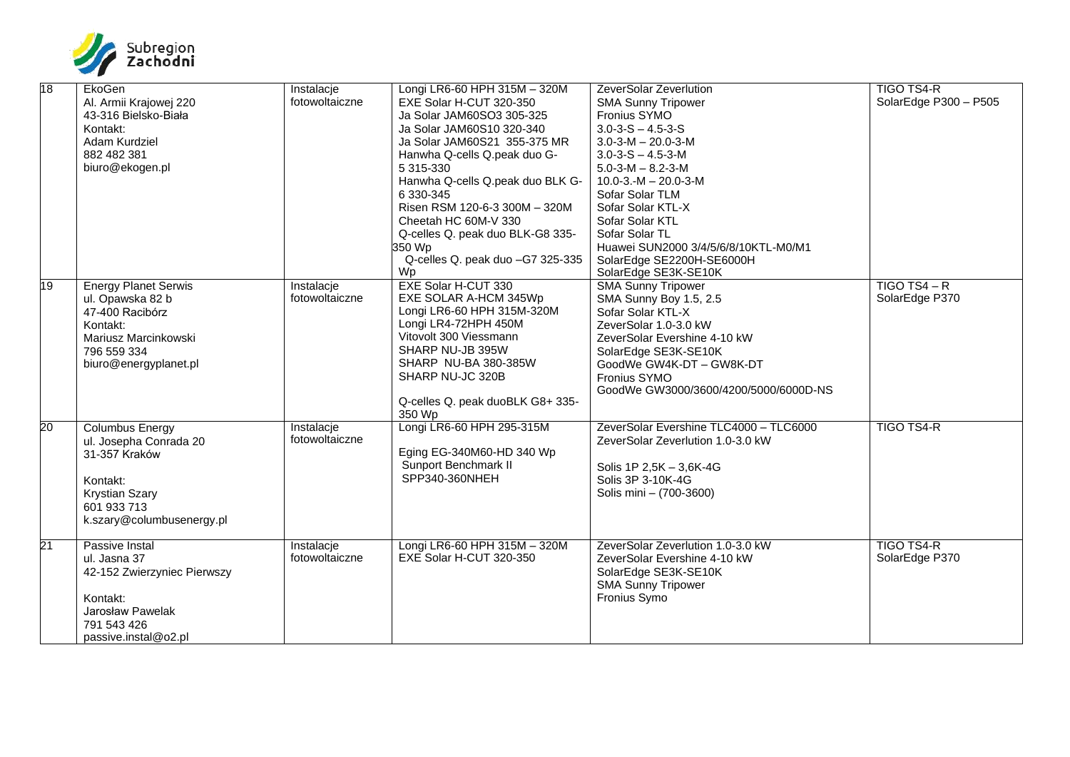

| 18 | EkoGen                      | Instalacje     | Longi LR6-60 HPH 315M - 320M     | ZeverSolar Zeverlution                 | <b>TIGO TS4-R</b>     |
|----|-----------------------------|----------------|----------------------------------|----------------------------------------|-----------------------|
|    | Al. Armii Krajowej 220      | fotowoltaiczne | EXE Solar H-CUT 320-350          | <b>SMA Sunny Tripower</b>              | SolarEdge P300 - P505 |
|    | 43-316 Bielsko-Biała        |                | Ja Solar JAM60SO3 305-325        | Fronius SYMO                           |                       |
|    | Kontakt:                    |                | Ja Solar JAM60S10 320-340        | $3.0 - 3 - S - 4.5 - 3 - S$            |                       |
|    | Adam Kurdziel               |                | Ja Solar JAM60S21 355-375 MR     | $3.0 - 3 - M - 20.0 - 3 - M$           |                       |
|    | 882 482 381                 |                | Hanwha Q-cells Q.peak duo G-     | $3.0 - 3 - S - 4.5 - 3 - M$            |                       |
|    | biuro@ekogen.pl             |                | 5 315-330                        | $5.0 - 3 - M - 8.2 - 3 - M$            |                       |
|    |                             |                | Hanwha Q-cells Q.peak duo BLK G- | $10.0 - 3 - M - 20.0 - 3 - M$          |                       |
|    |                             |                | 6 330-345                        | Sofar Solar TLM                        |                       |
|    |                             |                | Risen RSM 120-6-3 300M - 320M    | Sofar Solar KTL-X                      |                       |
|    |                             |                | Cheetah HC 60M-V 330             | Sofar Solar KTL                        |                       |
|    |                             |                | Q-celles Q. peak duo BLK-G8 335- | Sofar Solar TL                         |                       |
|    |                             |                | 350 Wp                           | Huawei SUN2000 3/4/5/6/8/10KTL-M0/M1   |                       |
|    |                             |                | Q-celles Q. peak duo -G7 325-335 | SolarEdge SE2200H-SE6000H              |                       |
|    |                             |                | Wp                               | SolarEdge SE3K-SE10K                   |                       |
| 19 | <b>Energy Planet Serwis</b> | Instalacje     | <b>EXE Solar H-CUT 330</b>       | <b>SMA Sunny Tripower</b>              | $TIGO TS4 - R$        |
|    | ul. Opawska 82 b            | fotowoltaiczne | EXE SOLAR A-HCM 345Wp            | SMA Sunny Boy 1.5, 2.5                 | SolarEdge P370        |
|    | 47-400 Racibórz             |                | Longi LR6-60 HPH 315M-320M       | Sofar Solar KTL-X                      |                       |
|    | Kontakt:                    |                | Longi LR4-72HPH 450M             | ZeverSolar 1.0-3.0 kW                  |                       |
|    |                             |                | Vitovolt 300 Viessmann           |                                        |                       |
|    | Mariusz Marcinkowski        |                | SHARP NU-JB 395W                 | ZeverSolar Evershine 4-10 kW           |                       |
|    | 796 559 334                 |                | SHARP NU-BA 380-385W             | SolarEdge SE3K-SE10K                   |                       |
|    | biuro@energyplanet.pl       |                | SHARP NU-JC 320B                 | GoodWe GW4K-DT - GW8K-DT               |                       |
|    |                             |                |                                  | Fronius SYMO                           |                       |
|    |                             |                | Q-celles Q. peak duoBLK G8+ 335- | GoodWe GW3000/3600/4200/5000/6000D-NS  |                       |
|    |                             |                | 350 Wp                           |                                        |                       |
| 20 | <b>Columbus Energy</b>      | Instalacie     | Longi LR6-60 HPH 295-315M        | ZeverSolar Evershine TLC4000 - TLC6000 | <b>TIGO TS4-R</b>     |
|    | ul. Josepha Conrada 20      | fotowoltaiczne |                                  | ZeverSolar Zeverlution 1.0-3.0 kW      |                       |
|    | 31-357 Kraków               |                | Eging EG-340M60-HD 340 Wp        |                                        |                       |
|    |                             |                | Sunport Benchmark II             | Solis 1P 2,5K - 3,6K-4G                |                       |
|    |                             |                | SPP340-360NHEH                   | Solis 3P 3-10K-4G                      |                       |
|    | Kontakt:                    |                |                                  | Solis mini - (700-3600)                |                       |
|    | <b>Krystian Szary</b>       |                |                                  |                                        |                       |
|    | 601 933 713                 |                |                                  |                                        |                       |
|    | k.szary@columbusenergy.pl   |                |                                  |                                        |                       |
| 21 | Passive Instal              | Instalacje     | Longi LR6-60 HPH 315M - 320M     | ZeverSolar Zeverlution 1.0-3.0 kW      | <b>TIGO TS4-R</b>     |
|    | ul. Jasna 37                | fotowoltaiczne | EXE Solar H-CUT 320-350          | ZeverSolar Evershine 4-10 kW           | SolarEdge P370        |
|    | 42-152 Zwierzyniec Pierwszy |                |                                  | SolarEdge SE3K-SE10K                   |                       |
|    |                             |                |                                  | <b>SMA Sunny Tripower</b>              |                       |
|    | Kontakt:                    |                |                                  | Fronius Symo                           |                       |
|    | Jarosław Pawelak            |                |                                  |                                        |                       |
|    |                             |                |                                  |                                        |                       |
|    | 791 543 426                 |                |                                  |                                        |                       |
|    | passive.instal@o2.pl        |                |                                  |                                        |                       |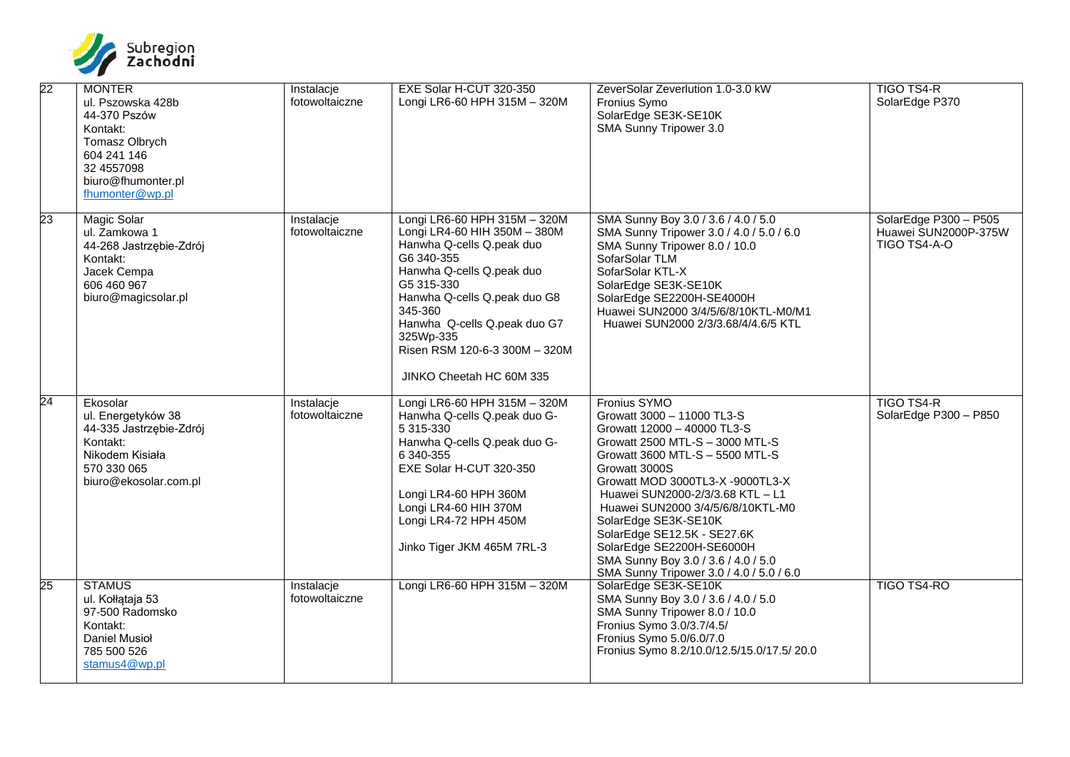

| 22              | <b>MONTER</b><br>ul. Pszowska 428b<br>44-370 Pszów<br>Kontakt:<br>Tomasz Olbrych<br>604 241 146<br>32 4557098<br>biuro@fhumonter.pl<br>fhumonter@wp.pl | Instalacje<br>fotowoltaiczne | EXE Solar H-CUT 320-350<br>Longi LR6-60 HPH 315M - 320M                                                                                                                                                                                                                                                 | ZeverSolar Zeverlution 1.0-3.0 kW<br>Fronius Symo<br>SolarEdge SE3K-SE10K<br>SMA Sunny Tripower 3.0                                                                                                                                                                                                                                                                                                                                                  | TIGO TS4-R<br>SolarEdge P370                                  |
|-----------------|--------------------------------------------------------------------------------------------------------------------------------------------------------|------------------------------|---------------------------------------------------------------------------------------------------------------------------------------------------------------------------------------------------------------------------------------------------------------------------------------------------------|------------------------------------------------------------------------------------------------------------------------------------------------------------------------------------------------------------------------------------------------------------------------------------------------------------------------------------------------------------------------------------------------------------------------------------------------------|---------------------------------------------------------------|
| 23              | <b>Magic Solar</b><br>ul. Zamkowa 1<br>44-268 Jastrzębie-Zdrój<br>Kontakt:<br>Jacek Cempa<br>606 460 967<br>biuro@magicsolar.pl                        | Instalacje<br>fotowoltaiczne | Longi LR6-60 HPH 315M - 320M<br>Longi LR4-60 HIH 350M - 380M<br>Hanwha Q-cells Q.peak duo<br>G6 340-355<br>Hanwha Q-cells Q.peak duo<br>G5 315-330<br>Hanwha Q-cells Q.peak duo G8<br>345-360<br>Hanwha Q-cells Q.peak duo G7<br>325Wp-335<br>Risen RSM 120-6-3 300M - 320M<br>JINKO Cheetah HC 60M 335 | SMA Sunny Boy 3.0 / 3.6 / 4.0 / 5.0<br>SMA Sunny Tripower 3.0 / 4.0 / 5.0 / 6.0<br>SMA Sunny Tripower 8.0 / 10.0<br>SofarSolar TLM<br>SofarSolar KTL-X<br>SolarEdge SE3K-SE10K<br>SolarEdge SE2200H-SE4000H<br>Huawei SUN2000 3/4/5/6/8/10KTL-M0/M1<br>Huawei SUN2000 2/3/3.68/4/4.6/5 KTL                                                                                                                                                           | SolarEdge P300 - P505<br>Huawei SUN2000P-375W<br>TIGO TS4-A-O |
| $\overline{24}$ | Ekosolar<br>ul. Energetyków 38<br>44-335 Jastrzębie-Zdrój<br>Kontakt:<br>Nikodem Kisiała<br>570 330 065<br>biuro@ekosolar.com.pl                       | Instalacje<br>fotowoltaiczne | Longi LR6-60 HPH 315M - 320M<br>Hanwha Q-cells Q.peak duo G-<br>5 315-330<br>Hanwha Q-cells Q.peak duo G-<br>6 340-355<br>EXE Solar H-CUT 320-350<br>Longi LR4-60 HPH 360M<br>Longi LR4-60 HIH 370M<br>Longi LR4-72 HPH 450M<br>Jinko Tiger JKM 465M 7RL-3                                              | Fronius SYMO<br>Growatt 3000 - 11000 TL3-S<br>Growatt 12000 - 40000 TL3-S<br>Growatt 2500 MTL-S - 3000 MTL-S<br>Growatt 3600 MTL-S - 5500 MTL-S<br>Growatt 3000S<br>Growatt MOD 3000TL3-X -9000TL3-X<br>Huawei SUN2000-2/3/3.68 KTL - L1<br>Huawei SUN2000 3/4/5/6/8/10KTL-M0<br>SolarEdge SE3K-SE10K<br>SolarEdge SE12.5K - SE27.6K<br>SolarEdge SE2200H-SE6000H<br>SMA Sunny Boy 3.0 / 3.6 / 4.0 / 5.0<br>SMA Sunny Tripower 3.0 / 4.0 / 5.0 / 6.0 | TIGO TS4-R<br>SolarEdge P300 - P850                           |
| 25              | <b>STAMUS</b><br>ul. Kołłątaja 53<br>97-500 Radomsko<br>Kontakt:<br><b>Daniel Musioł</b><br>785 500 526<br>stamus4@wp.pl                               | Instalacje<br>fotowoltaiczne | Longi LR6-60 HPH 315M - 320M                                                                                                                                                                                                                                                                            | SolarEdge SE3K-SE10K<br>SMA Sunny Boy 3.0 / 3.6 / 4.0 / 5.0<br>SMA Sunny Tripower 8.0 / 10.0<br>Fronius Symo 3.0/3.7/4.5/<br>Fronius Symo 5.0/6.0/7.0<br>Fronius Symo 8.2/10.0/12.5/15.0/17.5/ 20.0                                                                                                                                                                                                                                                  | TIGO TS4-RO                                                   |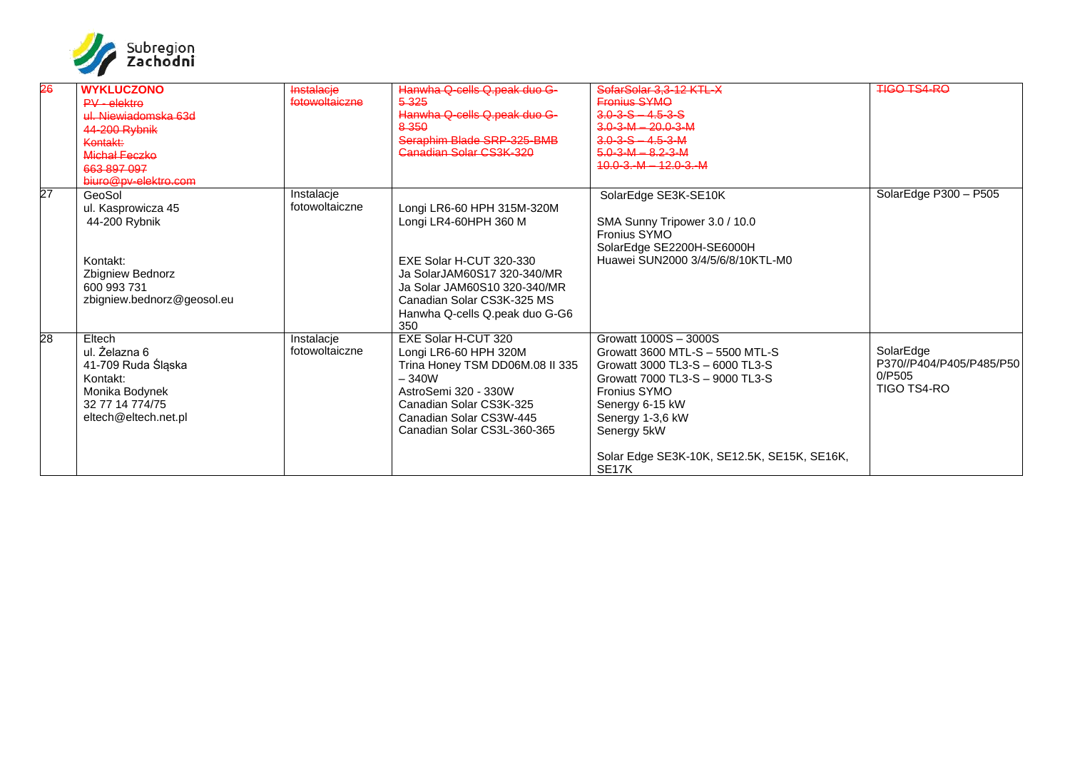

| 26              | <b>WYKLUCZONO</b>          | Instalacje     | Hanwha Q-cells Q.peak duo G-    | SofarSolar 3.3-12 KTL-X                     | <b>TIGO TS4-RO</b>       |
|-----------------|----------------------------|----------------|---------------------------------|---------------------------------------------|--------------------------|
|                 | $PV - elektra$             | fotowoltaiczne | 5 3 2 5                         | <b>Fronius SYMO</b>                         |                          |
|                 | ul. Niewiadomska 63d       |                | Hanwha Q-cells Q.peak duo G-    | $3.0 - 3 - 5 - 4.5 - 3 - 5$                 |                          |
|                 | 44-200 Rybnik              |                | 8350                            | $3.0 - 3 - M - 20.0 - 3 - M$                |                          |
|                 | Kontakt:                   |                | Seraphim Blade SRP-325-BMB      | $3.0 - 3 - S - 4.5 - 3 - M$                 |                          |
|                 | Michał Feczke              |                | Canadian Solar CS3K-320         | $5.0 - 3 - M - 8.2 - 3 - M$                 |                          |
|                 | 663 897 097                |                |                                 | $10.0 - 3 - M - 12.0 - 3 - M$               |                          |
|                 | biuro@pv-elektro.com       |                |                                 |                                             |                          |
| $\overline{27}$ | GeoSol                     | Instalacie     |                                 | SolarEdge SE3K-SE10K                        | SolarEdge P300 - P505    |
|                 | ul. Kasprowicza 45         | fotowoltaiczne | Longi LR6-60 HPH 315M-320M      |                                             |                          |
|                 | 44-200 Rybnik              |                | Longi LR4-60HPH 360 M           | SMA Sunny Tripower 3.0 / 10.0               |                          |
|                 |                            |                |                                 | Fronius SYMO                                |                          |
|                 |                            |                |                                 | SolarEdge SE2200H-SE6000H                   |                          |
|                 | Kontakt:                   |                | EXE Solar H-CUT 320-330         | Huawei SUN2000 3/4/5/6/8/10KTL-M0           |                          |
|                 | Zbigniew Bednorz           |                | Ja SolarJAM60S17 320-340/MR     |                                             |                          |
|                 | 600 993 731                |                | Ja Solar JAM60S10 320-340/MR    |                                             |                          |
|                 | zbigniew.bednorz@geosol.eu |                | Canadian Solar CS3K-325 MS      |                                             |                          |
|                 |                            |                | Hanwha Q-cells Q.peak duo G-G6  |                                             |                          |
|                 |                            |                | 350                             |                                             |                          |
| 28              | Eltech                     | Instalacje     | <b>EXE Solar H-CUT 320</b>      | Growatt 1000S - 3000S                       |                          |
|                 | ul. Żelazna 6              | fotowoltaiczne | Longi LR6-60 HPH 320M           | Growatt 3600 MTL-S - 5500 MTL-S             | SolarEdge                |
|                 |                            |                |                                 | Growatt 3000 TL3-S - 6000 TL3-S             | P370//P404/P405/P485/P50 |
|                 | 41-709 Ruda Śląska         |                | Trina Honey TSM DD06M.08 II 335 |                                             | 0/P505                   |
|                 | Kontakt:                   |                | $-340W$                         | Growatt 7000 TL3-S - 9000 TL3-S             | TIGO TS4-RO              |
|                 | Monika Bodynek             |                | AstroSemi 320 - 330W            | <b>Fronius SYMO</b>                         |                          |
|                 | 32 77 14 774/75            |                | Canadian Solar CS3K-325         | Senergy 6-15 kW                             |                          |
|                 | eltech@eltech.net.pl       |                | Canadian Solar CS3W-445         | Senergy 1-3,6 kW                            |                          |
|                 |                            |                | Canadian Solar CS3L-360-365     | Senergy 5kW                                 |                          |
|                 |                            |                |                                 |                                             |                          |
|                 |                            |                |                                 | Solar Edge SE3K-10K, SE12.5K, SE15K, SE16K, |                          |
|                 |                            |                |                                 | SE <sub>17</sub> K                          |                          |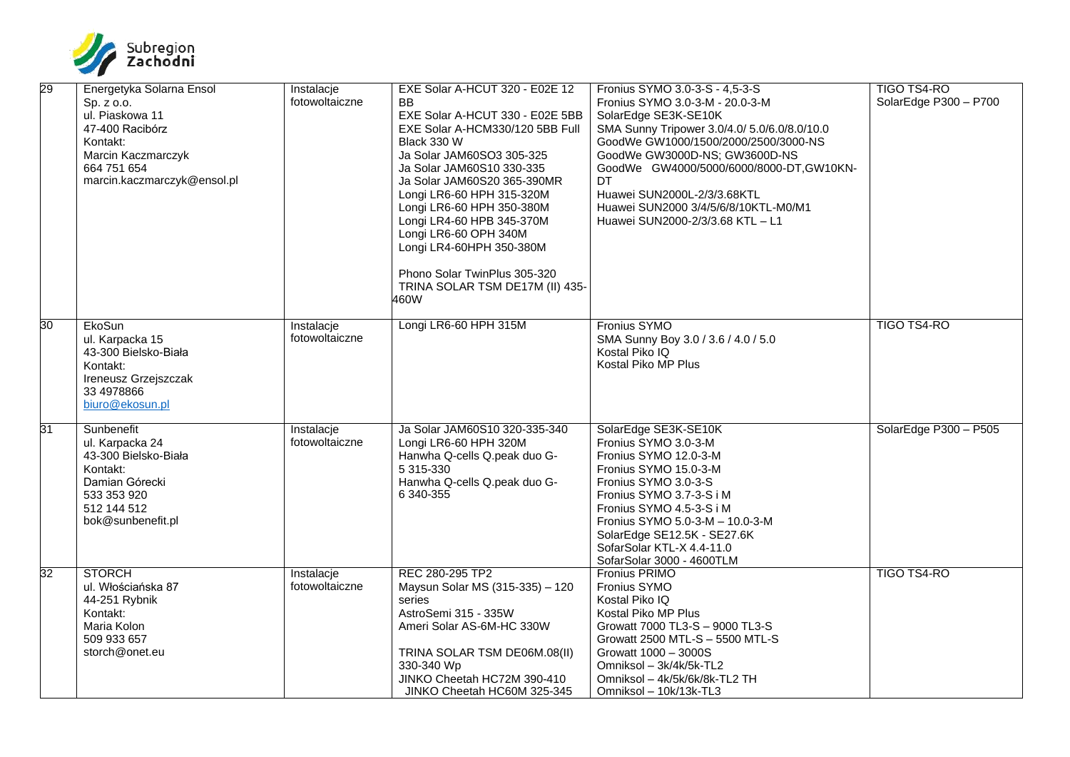

| 29 | Energetyka Solarna Ensol<br>Sp. z o.o.<br>ul. Piaskowa 11<br>47-400 Racibórz<br>Kontakt:<br>Marcin Kaczmarczyk<br>664 751 654<br>marcin.kaczmarczyk@ensol.pl | Instalacje<br>fotowoltaiczne | EXE Solar A-HCUT 320 - E02E 12<br><b>BB</b><br>EXE Solar A-HCUT 330 - E02E 5BB<br>EXE Solar A-HCM330/120 5BB Full<br>Black 330 W<br>Ja Solar JAM60SO3 305-325<br>Ja Solar JAM60S10 330-335<br>Ja Solar JAM60S20 365-390MR<br>Longi LR6-60 HPH 315-320M<br>Longi LR6-60 HPH 350-380M<br>Longi LR4-60 HPB 345-370M<br>Longi LR6-60 OPH 340M<br>Longi LR4-60HPH 350-380M<br>Phono Solar TwinPlus 305-320<br>TRINA SOLAR TSM DE17M (II) 435-<br>460W | Fronius SYMO 3.0-3-S - 4,5-3-S<br>Fronius SYMO 3.0-3-M - 20.0-3-M<br>SolarEdge SE3K-SE10K<br>SMA Sunny Tripower 3.0/4.0/ 5.0/6.0/8.0/10.0<br>GoodWe GW1000/1500/2000/2500/3000-NS<br>GoodWe GW3000D-NS; GW3600D-NS<br>GoodWe GW4000/5000/6000/8000-DT, GW10KN-<br>DT<br>Huawei SUN2000L-2/3/3.68KTL<br>Huawei SUN2000 3/4/5/6/8/10KTL-M0/M1<br>Huawei SUN2000-2/3/3.68 KTL - L1 | <b>TIGO TS4-RO</b><br>SolarEdge P300 - P700 |
|----|--------------------------------------------------------------------------------------------------------------------------------------------------------------|------------------------------|--------------------------------------------------------------------------------------------------------------------------------------------------------------------------------------------------------------------------------------------------------------------------------------------------------------------------------------------------------------------------------------------------------------------------------------------------|---------------------------------------------------------------------------------------------------------------------------------------------------------------------------------------------------------------------------------------------------------------------------------------------------------------------------------------------------------------------------------|---------------------------------------------|
| 30 | EkoSun<br>ul. Karpacka 15<br>43-300 Bielsko-Biała<br>Kontakt:<br>Ireneusz Grzejszczak<br>33 4978866<br>biuro@ekosun.pl                                       | Instalacje<br>fotowoltaiczne | Longi LR6-60 HPH 315M                                                                                                                                                                                                                                                                                                                                                                                                                            | Fronius SYMO<br>SMA Sunny Boy 3.0 / 3.6 / 4.0 / 5.0<br>Kostal Piko IQ<br>Kostal Piko MP Plus                                                                                                                                                                                                                                                                                    | <b>TIGO TS4-RO</b>                          |
| 31 | Sunbenefit<br>ul. Karpacka 24<br>43-300 Bielsko-Biała<br>Kontakt:<br>Damian Górecki<br>533 353 920<br>512 144 512<br>bok@sunbenefit.pl                       | Instalacje<br>fotowoltaiczne | Ja Solar JAM60S10 320-335-340<br>Longi LR6-60 HPH 320M<br>Hanwha Q-cells Q.peak duo G-<br>5 315-330<br>Hanwha Q-cells Q.peak duo G-<br>6 340-355                                                                                                                                                                                                                                                                                                 | SolarEdge SE3K-SE10K<br>Fronius SYMO 3.0-3-M<br>Fronius SYMO 12.0-3-M<br>Fronius SYMO 15.0-3-M<br>Fronius SYMO 3.0-3-S<br>Fronius SYMO 3.7-3-S i M<br>Fronius SYMO 4.5-3-S i M<br>Fronius SYMO 5.0-3-M - 10.0-3-M<br>SolarEdge SE12.5K - SE27.6K<br>SofarSolar KTL-X 4.4-11.0<br>SofarSolar 3000 - 4600TLM                                                                      | SolarEdge P300 - P505                       |
| 32 | <b>STORCH</b><br>ul. Włościańska 87<br>44-251 Rybnik<br>Kontakt:<br>Maria Kolon<br>509 933 657<br>storch@onet.eu                                             | Instalacje<br>fotowoltaiczne | REC 280-295 TP2<br>Maysun Solar MS (315-335) - 120<br>series<br>AstroSemi 315 - 335W<br>Ameri Solar AS-6M-HC 330W<br>TRINA SOLAR TSM DE06M.08(II)<br>330-340 Wp<br>JINKO Cheetah HC72M 390-410<br>JINKO Cheetah HC60M 325-345                                                                                                                                                                                                                    | <b>Fronius PRIMO</b><br>Fronius SYMO<br>Kostal Piko IQ<br>Kostal Piko MP Plus<br>Growatt 7000 TL3-S - 9000 TL3-S<br>Growatt 2500 MTL-S - 5500 MTL-S<br>Growatt 1000 - 3000S<br>Omniksol - 3k/4k/5k-TL2<br>Omniksol - 4k/5k/6k/8k-TL2 TH<br>Omniksol - 10k/13k-TL3                                                                                                               | <b>TIGO TS4-RO</b>                          |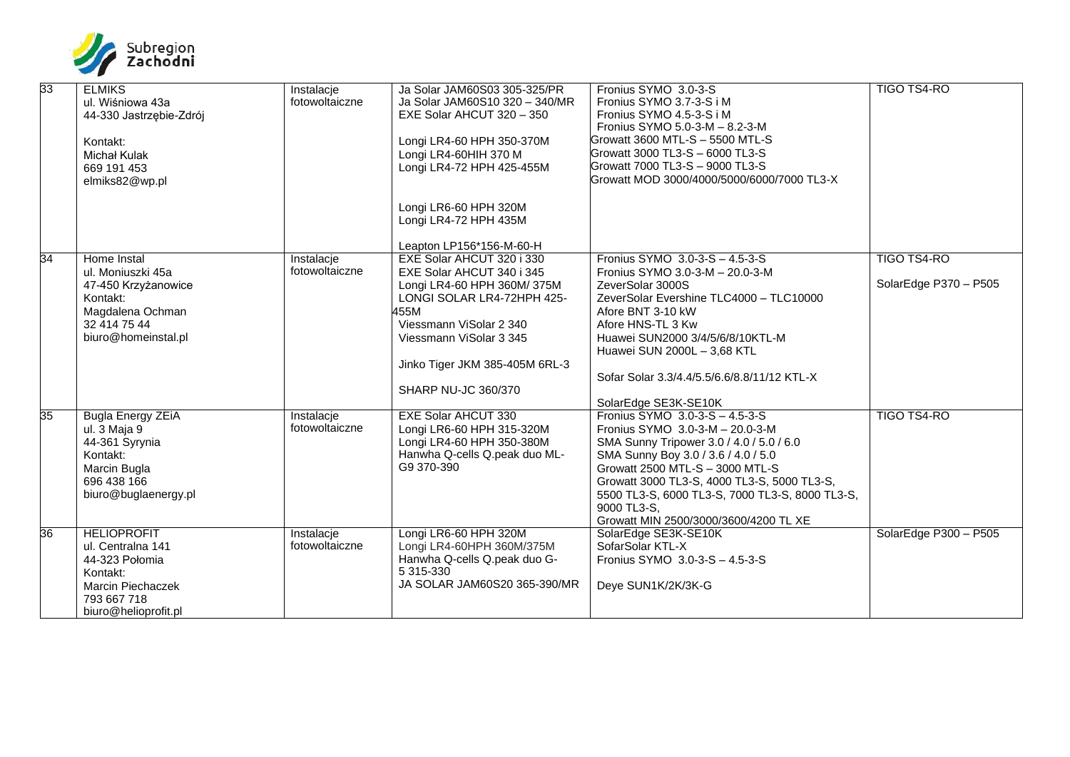

| 33 | <b>ELMIKS</b><br>ul. Wiśniowa 43a<br>44-330 Jastrzębie-Zdrój<br>Kontakt:<br>Michał Kulak<br>669 191 453<br>elmiks82@wp.pl                | Instalacje<br>fotowoltaiczne | Ja Solar JAM60S03 305-325/PR<br>Ja Solar JAM60S10 320 - 340/MR<br>EXE Solar AHCUT 320 - 350<br>Longi LR4-60 HPH 350-370M<br>Longi LR4-60HIH 370 M<br>Longi LR4-72 HPH 425-455M<br>Longi LR6-60 HPH 320M<br>Longi LR4-72 HPH 435M                                      | Fronius SYMO 3.0-3-S<br>Fronius SYMO 3.7-3-S i M<br>Fronius SYMO 4.5-3-S i M<br>Fronius SYMO 5.0-3-M - 8.2-3-M<br>Growatt 3600 MTL-S - 5500 MTL-S<br>Growatt 3000 TL3-S - 6000 TL3-S<br>Growatt 7000 TL3-S - 9000 TL3-S<br>Growatt MOD 3000/4000/5000/6000/7000 TL3-X                                                                             | <b>TIGO TS4-RO</b>                          |
|----|------------------------------------------------------------------------------------------------------------------------------------------|------------------------------|-----------------------------------------------------------------------------------------------------------------------------------------------------------------------------------------------------------------------------------------------------------------------|---------------------------------------------------------------------------------------------------------------------------------------------------------------------------------------------------------------------------------------------------------------------------------------------------------------------------------------------------|---------------------------------------------|
| 34 | Home Instal<br>ul. Moniuszki 45a<br>47-450 Krzyżanowice<br>Kontakt:<br>Magdalena Ochman<br>32 414 75 44<br>biuro@homeinstal.pl           | Instalacje<br>fotowoltaiczne | Leapton LP156*156-M-60-H<br>EXE Solar AHCUT 320 i 330<br>EXE Solar AHCUT 340 i 345<br>Longi LR4-60 HPH 360M/375M<br>LONGI SOLAR LR4-72HPH 425-<br>455M<br>Viessmann ViSolar 2 340<br>Viessmann ViSolar 3 345<br>Jinko Tiger JKM 385-405M 6RL-3<br>SHARP NU-JC 360/370 | Fronius SYMO 3.0-3-S - 4.5-3-S<br>Fronius SYMO 3.0-3-M - 20.0-3-M<br>ZeverSolar 3000S<br>ZeverSolar Evershine TLC4000 - TLC10000<br>Afore BNT 3-10 kW<br>Afore HNS-TL 3 Kw<br>Huawei SUN2000 3/4/5/6/8/10KTL-M<br>Huawei SUN 2000L - 3,68 KTL<br>Sofar Solar 3.3/4.4/5.5/6.6/8.8/11/12 KTL-X<br>SolarEdge SE3K-SE10K                              | <b>TIGO TS4-RO</b><br>SolarEdge P370 - P505 |
| 35 | <b>Bugla Energy ZEIA</b><br>ul. 3 Maja 9<br>44-361 Syrynia<br>Kontakt:<br>Marcin Bugla<br>696 438 166<br>biuro@buglaenergy.pl            | Instalacje<br>fotowoltaiczne | <b>EXE Solar AHCUT 330</b><br>Longi LR6-60 HPH 315-320M<br>Longi LR4-60 HPH 350-380M<br>Hanwha Q-cells Q.peak duo ML-<br>G9 370-390                                                                                                                                   | Fronius SYMO 3.0-3-S - 4.5-3-S<br>Fronius SYMO 3.0-3-M - 20.0-3-M<br>SMA Sunny Tripower 3.0 / 4.0 / 5.0 / 6.0<br>SMA Sunny Boy 3.0 / 3.6 / 4.0 / 5.0<br>Growatt 2500 MTL-S - 3000 MTL-S<br>Growatt 3000 TL3-S, 4000 TL3-S, 5000 TL3-S,<br>5500 TL3-S, 6000 TL3-S, 7000 TL3-S, 8000 TL3-S,<br>9000 TL3-S.<br>Growatt MIN 2500/3000/3600/4200 TL XE | <b>TIGO TS4-RO</b>                          |
| 36 | <b>HELIOPROFIT</b><br>ul. Centralna 141<br>44-323 Połomia<br>Kontakt:<br><b>Marcin Piechaczek</b><br>793 667 718<br>biuro@helioprofit.pl | Instalacje<br>fotowoltaiczne | Longi LR6-60 HPH 320M<br>Longi LR4-60HPH 360M/375M<br>Hanwha Q-cells Q.peak duo G-<br>5 315-330<br>JA SOLAR JAM60S20 365-390/MR                                                                                                                                       | SolarEdge SE3K-SE10K<br>SofarSolar KTL-X<br>Fronius SYMO 3.0-3-S - 4.5-3-S<br>Deye SUN1K/2K/3K-G                                                                                                                                                                                                                                                  | SolarEdge P300 - P505                       |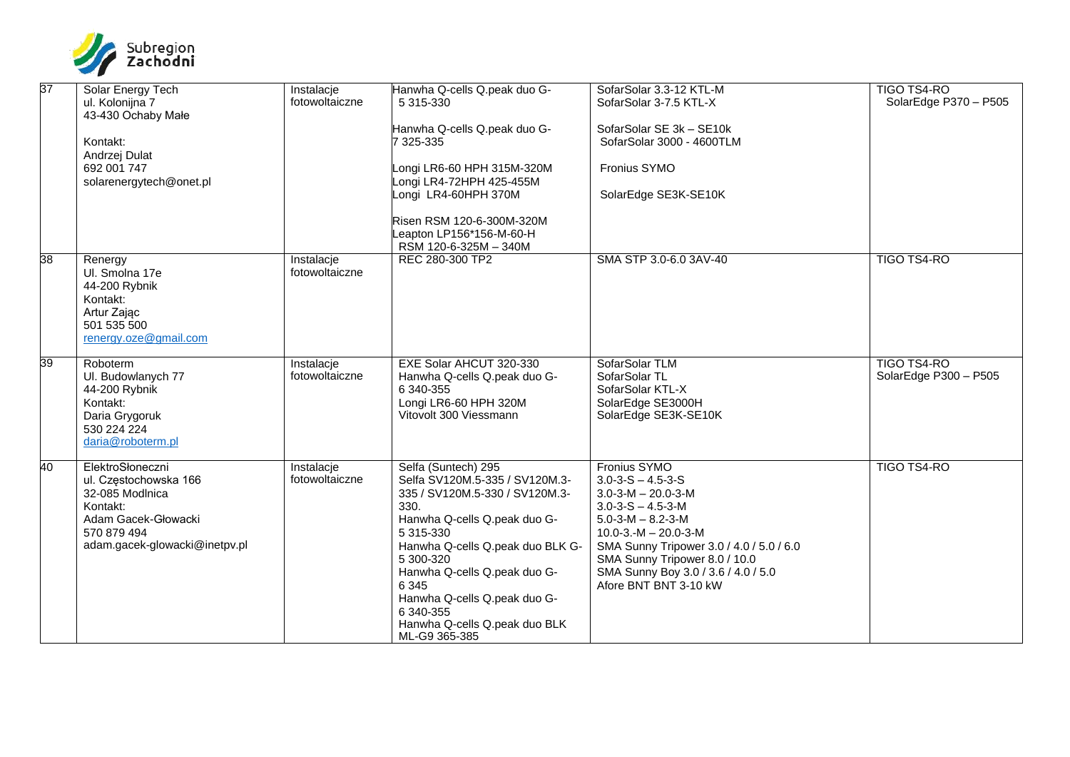

| 37 | Solar Energy Tech             | Instalacje     | Hanwha Q-cells Q.peak duo G-     | SofarSolar 3.3-12 KTL-M                  | <b>TIGO TS4-RO</b>    |
|----|-------------------------------|----------------|----------------------------------|------------------------------------------|-----------------------|
|    | ul. Kolonijna 7               | fotowoltaiczne | 5 315-330                        | SofarSolar 3-7.5 KTL-X                   | SolarEdge P370 - P505 |
|    | 43-430 Ochaby Małe            |                |                                  |                                          |                       |
|    |                               |                | Hanwha Q-cells Q.peak duo G-     | SofarSolar SE 3k - SE10k                 |                       |
|    | Kontakt:                      |                | 7 325-335                        | SofarSolar 3000 - 4600TLM                |                       |
|    | Andrzej Dulat                 |                |                                  |                                          |                       |
|    | 692 001 747                   |                | Longi LR6-60 HPH 315M-320M       | Fronius SYMO                             |                       |
|    | solarenergytech@onet.pl       |                | Longi LR4-72HPH 425-455M         |                                          |                       |
|    |                               |                | ongi LR4-60HPH 370M              | SolarEdge SE3K-SE10K                     |                       |
|    |                               |                | Risen RSM 120-6-300M-320M        |                                          |                       |
|    |                               |                | eapton LP156*156-M-60-H          |                                          |                       |
|    |                               |                | RSM 120-6-325M - 340M            |                                          |                       |
| 38 | Renergy                       | Instalacje     | REC 280-300 TP2                  | SMA STP 3.0-6.0 3AV-40                   | <b>TIGO TS4-RO</b>    |
|    | Ul. Smolna 17e                | fotowoltaiczne |                                  |                                          |                       |
|    | 44-200 Rybnik                 |                |                                  |                                          |                       |
|    | Kontakt:                      |                |                                  |                                          |                       |
|    | Artur Zając                   |                |                                  |                                          |                       |
|    | 501 535 500                   |                |                                  |                                          |                       |
|    | renergy.oze@gmail.com         |                |                                  |                                          |                       |
| 39 | Roboterm                      | Instalacje     | EXE Solar AHCUT 320-330          | SofarSolar TLM                           | <b>TIGO TS4-RO</b>    |
|    | UI. Budowlanych 77            | fotowoltaiczne | Hanwha Q-cells Q.peak duo G-     | SofarSolar TL                            | SolarEdge P300 - P505 |
|    | 44-200 Rybnik                 |                | 6 340-355                        | SofarSolar KTL-X                         |                       |
|    | Kontakt:                      |                | Longi LR6-60 HPH 320M            | SolarEdge SE3000H                        |                       |
|    | Daria Grygoruk                |                | Vitovolt 300 Viessmann           | SolarEdge SE3K-SE10K                     |                       |
|    | 530 224 224                   |                |                                  |                                          |                       |
|    | daria@roboterm.pl             |                |                                  |                                          |                       |
| 40 | ElektroSłoneczni              | Instalacje     | Selfa (Suntech) 295              | Fronius SYMO                             | <b>TIGO TS4-RO</b>    |
|    | ul. Częstochowska 166         | fotowoltaiczne | Selfa SV120M.5-335 / SV120M.3-   | $3.0 - 3 - S - 4.5 - 3 - S$              |                       |
|    | 32-085 Modlnica               |                | 335 / SV120M.5-330 / SV120M.3-   | $3.0 - 3 - M - 20.0 - 3 - M$             |                       |
|    | Kontakt:                      |                | 330.                             | $3.0 - 3 - S - 4.5 - 3 - M$              |                       |
|    | Adam Gacek-Głowacki           |                | Hanwha Q-cells Q.peak duo G-     | $5.0 - 3 - M - 8.2 - 3 - M$              |                       |
|    | 570 879 494                   |                | 5 315-330                        | $10.0 - 3 - M - 20.0 - 3 - M$            |                       |
|    | adam.gacek-glowacki@inetpv.pl |                | Hanwha Q-cells Q.peak duo BLK G- | SMA Sunny Tripower 3.0 / 4.0 / 5.0 / 6.0 |                       |
|    |                               |                | 5 300-320                        | SMA Sunny Tripower 8.0 / 10.0            |                       |
|    |                               |                | Hanwha Q-cells Q.peak duo G-     | SMA Sunny Boy 3.0 / 3.6 / 4.0 / 5.0      |                       |
|    |                               |                | 6 3 4 5                          | Afore BNT BNT 3-10 kW                    |                       |
|    |                               |                | Hanwha Q-cells Q.peak duo G-     |                                          |                       |
|    |                               |                | 6 340-355                        |                                          |                       |
|    |                               |                | Hanwha Q-cells Q.peak duo BLK    |                                          |                       |
|    |                               |                | ML-G9 365-385                    |                                          |                       |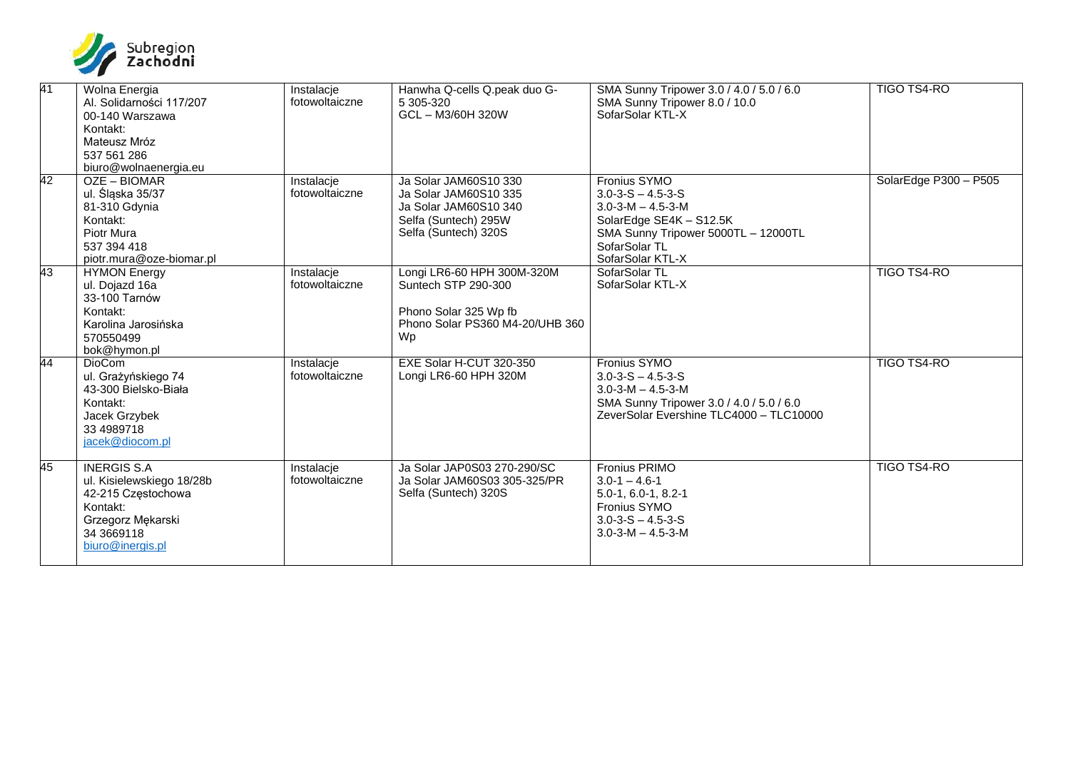

| $\overline{41}$ | Wolna Energia<br>Al. Solidarności 117/207<br>00-140 Warszawa<br>Kontakt:<br>Mateusz Mróz<br>537 561 286<br>biuro@wolnaenergia.eu         | Instalacje<br>fotowoltaiczne | Hanwha Q-cells Q.peak duo G-<br>5 305-320<br>GCL-M3/60H 320W                                                            | SMA Sunny Tripower 3.0 / 4.0 / 5.0 / 6.0<br>SMA Sunny Tripower 8.0 / 10.0<br>SofarSolar KTL-X                                                                                     | <b>TIGO TS4-RO</b>    |
|-----------------|------------------------------------------------------------------------------------------------------------------------------------------|------------------------------|-------------------------------------------------------------------------------------------------------------------------|-----------------------------------------------------------------------------------------------------------------------------------------------------------------------------------|-----------------------|
| 42              | OZE - BIOMAR<br>ul. Śląska 35/37<br>81-310 Gdynia<br>Kontakt:<br>Piotr Mura<br>537 394 418<br>piotr.mura@oze-biomar.pl                   | Instalacje<br>fotowoltaiczne | Ja Solar JAM60S10 330<br>Ja Solar JAM60S10 335<br>Ja Solar JAM60S10 340<br>Selfa (Suntech) 295W<br>Selfa (Suntech) 320S | Fronius SYMO<br>$3.0 - 3 - S - 4.5 - 3 - S$<br>$3.0 - 3 - M - 4.5 - 3 - M$<br>SolarEdge SE4K - S12.5K<br>SMA Sunny Tripower 5000TL - 12000TL<br>SofarSolar TL<br>SofarSolar KTL-X | SolarEdge P300 - P505 |
| 43              | <b>HYMON Energy</b><br>ul. Dojazd 16a<br>33-100 Tarnów<br>Kontakt:<br>Karolina Jarosińska<br>570550499<br>bok@hymon.pl                   | Instalacje<br>fotowoltaiczne | Longi LR6-60 HPH 300M-320M<br>Suntech STP 290-300<br>Phono Solar 325 Wp fb<br>Phono Solar PS360 M4-20/UHB 360<br>Wp     | SofarSolar TL<br>SofarSolar KTL-X                                                                                                                                                 | <b>TIGO TS4-RO</b>    |
| 44              | <b>DioCom</b><br>ul. Grażyńskiego 74<br>43-300 Bielsko-Biała<br>Kontakt:<br>Jacek Grzybek<br>33 4989718<br>jacek@diocom.pl               | Instalacje<br>fotowoltaiczne | EXE Solar H-CUT 320-350<br>Longi LR6-60 HPH 320M                                                                        | <b>Fronius SYMO</b><br>$3.0 - 3 - S - 4.5 - 3 - S$<br>$3.0 - 3 - M - 4.5 - 3 - M$<br>SMA Sunny Tripower 3.0 / 4.0 / 5.0 / 6.0<br>ZeverSolar Evershine TLC4000 - TLC10000          | <b>TIGO TS4-RO</b>    |
| 45              | <b>INERGIS S.A</b><br>ul. Kisielewskiego 18/28b<br>42-215 Częstochowa<br>Kontakt:<br>Grzegorz Mękarski<br>34 3669118<br>biuro@inergis.pl | Instalacje<br>fotowoltaiczne | Ja Solar JAP0S03 270-290/SC<br>Ja Solar JAM60S03 305-325/PR<br>Selfa (Suntech) 320S                                     | Fronius PRIMO<br>$3.0 - 1 - 4.6 - 1$<br>$5.0 - 1, 6.0 - 1, 8.2 - 1$<br><b>Fronius SYMO</b><br>$3.0 - 3 - S - 4.5 - 3 - S$<br>$3.0 - 3 - M - 4.5 - 3 - M$                          | TIGO TS4-RO           |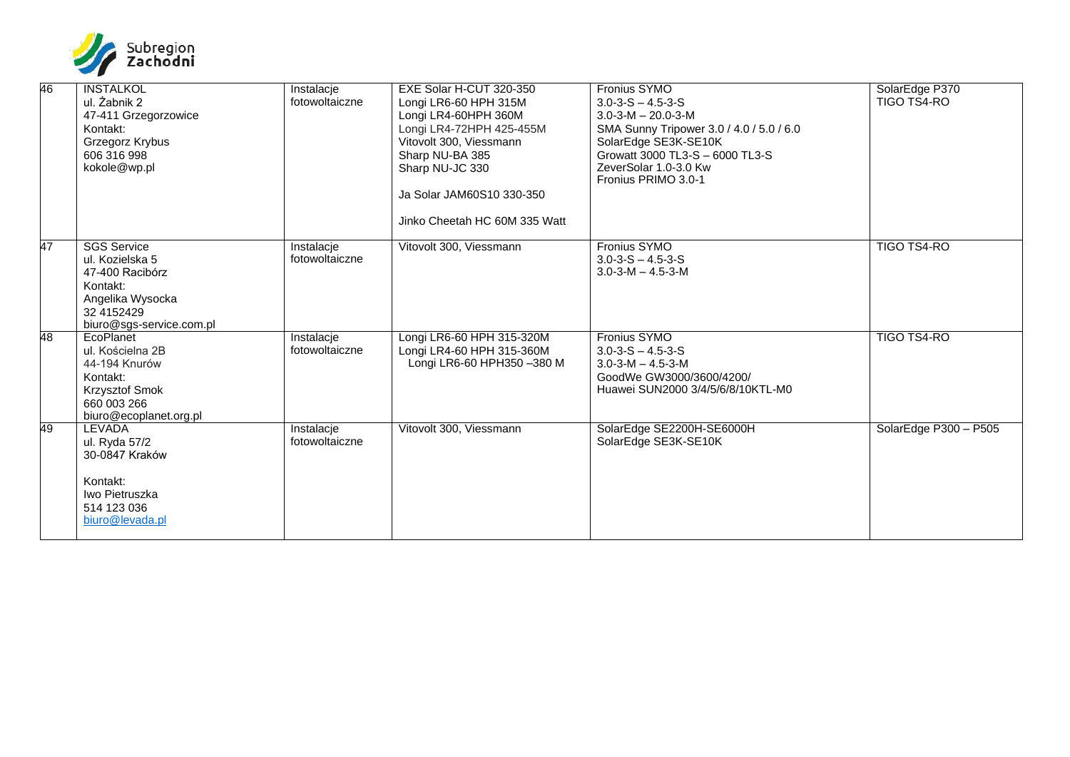

| 46 | <b>INSTALKOL</b><br>ul. Żabnik 2<br>47-411 Grzegorzowice<br>Kontakt:<br>Grzegorz Krybus<br>606 316 998<br>kokole@wp.pl             | Instalacje<br>fotowoltaiczne | EXE Solar H-CUT 320-350<br>Longi LR6-60 HPH 315M<br>Longi LR4-60HPH 360M<br>Longi LR4-72HPH 425-455M<br>Vitovolt 300, Viessmann<br>Sharp NU-BA 385<br>Sharp NU-JC 330<br>Ja Solar JAM60S10 330-350<br>Jinko Cheetah HC 60M 335 Watt | <b>Fronius SYMO</b><br>$3.0 - 3 - S - 4.5 - 3 - S$<br>$3.0 - 3 - M - 20.0 - 3 - M$<br>SMA Sunny Tripower 3.0 / 4.0 / 5.0 / 6.0<br>SolarEdge SE3K-SE10K<br>Growatt 3000 TL3-S - 6000 TL3-S<br>ZeverSolar 1.0-3.0 Kw<br>Fronius PRIMO 3.0-1 | SolarEdge P370<br>TIGO TS4-RO |
|----|------------------------------------------------------------------------------------------------------------------------------------|------------------------------|-------------------------------------------------------------------------------------------------------------------------------------------------------------------------------------------------------------------------------------|-------------------------------------------------------------------------------------------------------------------------------------------------------------------------------------------------------------------------------------------|-------------------------------|
| 47 | <b>SGS Service</b><br>ul. Kozielska 5<br>47-400 Racibórz<br>Kontakt:<br>Angelika Wysocka<br>32 4152429<br>biuro@sgs-service.com.pl | Instalacje<br>fotowoltaiczne | Vitovolt 300, Viessmann                                                                                                                                                                                                             | Fronius SYMO<br>$3.0 - 3 - S - 4.5 - 3 - S$<br>$3.0 - 3 - M - 4.5 - 3 - M$                                                                                                                                                                | <b>TIGO TS4-RO</b>            |
| 48 | EcoPlanet<br>ul. Kościelna 2B<br>44-194 Knurów<br>Kontakt:<br>Krzysztof Smok<br>660 003 266<br>biuro@ecoplanet.org.pl              | Instalacje<br>fotowoltaiczne | Longi LR6-60 HPH 315-320M<br>Longi LR4-60 HPH 315-360M<br>Longi LR6-60 HPH350 -380 M                                                                                                                                                | Fronius SYMO<br>$3.0 - 3 - S - 4.5 - 3 - S$<br>$3.0 - 3 - M - 4.5 - 3 - M$<br>GoodWe GW3000/3600/4200/<br>Huawei SUN2000 3/4/5/6/8/10KTL-M0                                                                                               | TIGO TS4-RO                   |
| 49 | <b>LEVADA</b><br>ul. Ryda 57/2<br>30-0847 Kraków<br>Kontakt:<br>Iwo Pietruszka<br>514 123 036<br>biuro@levada.pl                   | Instalacje<br>fotowoltaiczne | Vitovolt 300, Viessmann                                                                                                                                                                                                             | SolarEdge SE2200H-SE6000H<br>SolarEdge SE3K-SE10K                                                                                                                                                                                         | SolarEdge P300 - P505         |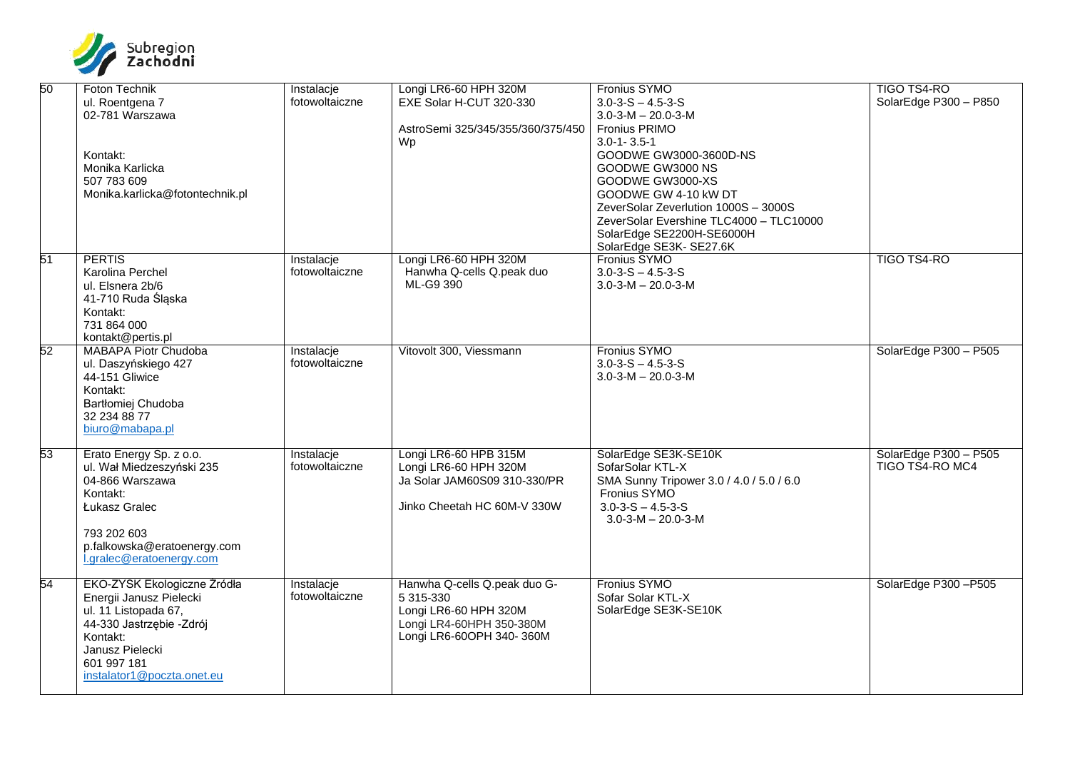

| 50     | Foton Technik<br>ul. Roentgena 7<br>02-781 Warszawa<br>Kontakt:<br>Monika Karlicka<br>507 783 609<br>Monika.karlicka@fotontechnik.pl                                                   | Instalacje<br>fotowoltaiczne | Longi LR6-60 HPH 320M<br>EXE Solar H-CUT 320-330<br>AstroSemi 325/345/355/360/375/450<br>Wp                                | Fronius SYMO<br>$3.0 - 3 - S - 4.5 - 3 - S$<br>$3.0 - 3 - M - 20.0 - 3 - M$<br>Fronius PRIMO<br>$3.0 - 1 - 3.5 - 1$<br>GOODWE GW3000-3600D-NS<br>GOODWE GW3000 NS<br>GOODWE GW3000-XS<br>GOODWE GW 4-10 KW DT<br>ZeverSolar Zeverlution 1000S - 3000S<br>ZeverSolar Evershine TLC4000 - TLC10000<br>SolarEdge SE2200H-SE6000H<br>SolarEdge SE3K- SE27.6K | <b>TIGO TS4-RO</b><br>SolarEdge P300 - P850 |
|--------|----------------------------------------------------------------------------------------------------------------------------------------------------------------------------------------|------------------------------|----------------------------------------------------------------------------------------------------------------------------|----------------------------------------------------------------------------------------------------------------------------------------------------------------------------------------------------------------------------------------------------------------------------------------------------------------------------------------------------------|---------------------------------------------|
| 51     | <b>PERTIS</b><br>Karolina Perchel<br>ul. Elsnera 2b/6<br>41-710 Ruda Śląska<br>Kontakt:<br>731 864 000<br>kontakt@pertis.pl                                                            | Instalacje<br>fotowoltaiczne | Longi LR6-60 HPH 320M<br>Hanwha Q-cells Q.peak duo<br>ML-G9 390                                                            | Fronius SYMO<br>$3.0 - 3 - S - 4.5 - 3 - S$<br>$3.0 - 3 - M - 20.0 - 3 - M$                                                                                                                                                                                                                                                                              | <b>TIGO TS4-RO</b>                          |
| $52\,$ | <b>MABAPA Piotr Chudoba</b><br>ul. Daszyńskiego 427<br>44-151 Gliwice<br>Kontakt:<br>Bartłomiej Chudoba<br>32 234 88 77<br>biuro@mabapa.pl                                             | Instalacje<br>fotowoltaiczne | Vitovolt 300, Viessmann                                                                                                    | Fronius SYMO<br>$3.0 - 3 - S - 4.5 - 3 - S$<br>$3.0 - 3 - M - 20.0 - 3 - M$                                                                                                                                                                                                                                                                              | SolarEdge P300 - P505                       |
| 53     | Erato Energy Sp. z o.o.<br>ul. Wał Miedzeszyński 235<br>04-866 Warszawa<br>Kontakt:<br>Łukasz Gralec<br>793 202 603<br>p.falkowska@eratoenergy.com<br>l.gralec@eratoenergy.com         | Instalacje<br>fotowoltaiczne | Longi LR6-60 HPB 315M<br>Longi LR6-60 HPH 320M<br>Ja Solar JAM60S09 310-330/PR<br>Jinko Cheetah HC 60M-V 330W              | SolarEdge SE3K-SE10K<br>SofarSolar KTL-X<br>SMA Sunny Tripower 3.0 / 4.0 / 5.0 / 6.0<br>Fronius SYMO<br>$3.0 - 3 - S - 4.5 - 3 - S$<br>$3.0 - 3 - M - 20.0 - 3 - M$                                                                                                                                                                                      | SolarEdge P300 - P505<br>TIGO TS4-RO MC4    |
| 54     | EKO-ZYSK Ekologiczne Źródła<br>Energii Janusz Pielecki<br>ul. 11 Listopada 67,<br>44-330 Jastrzębie -Zdrój<br>Kontakt:<br>Janusz Pielecki<br>601 997 181<br>instalator1@poczta.onet.eu | Instalacje<br>fotowoltaiczne | Hanwha Q-cells Q.peak duo G-<br>5 315-330<br>Longi LR6-60 HPH 320M<br>Longi LR4-60HPH 350-380M<br>Longi LR6-60OPH 340-360M | Fronius SYMO<br>Sofar Solar KTL-X<br>SolarEdge SE3K-SE10K                                                                                                                                                                                                                                                                                                | SolarEdge P300-P505                         |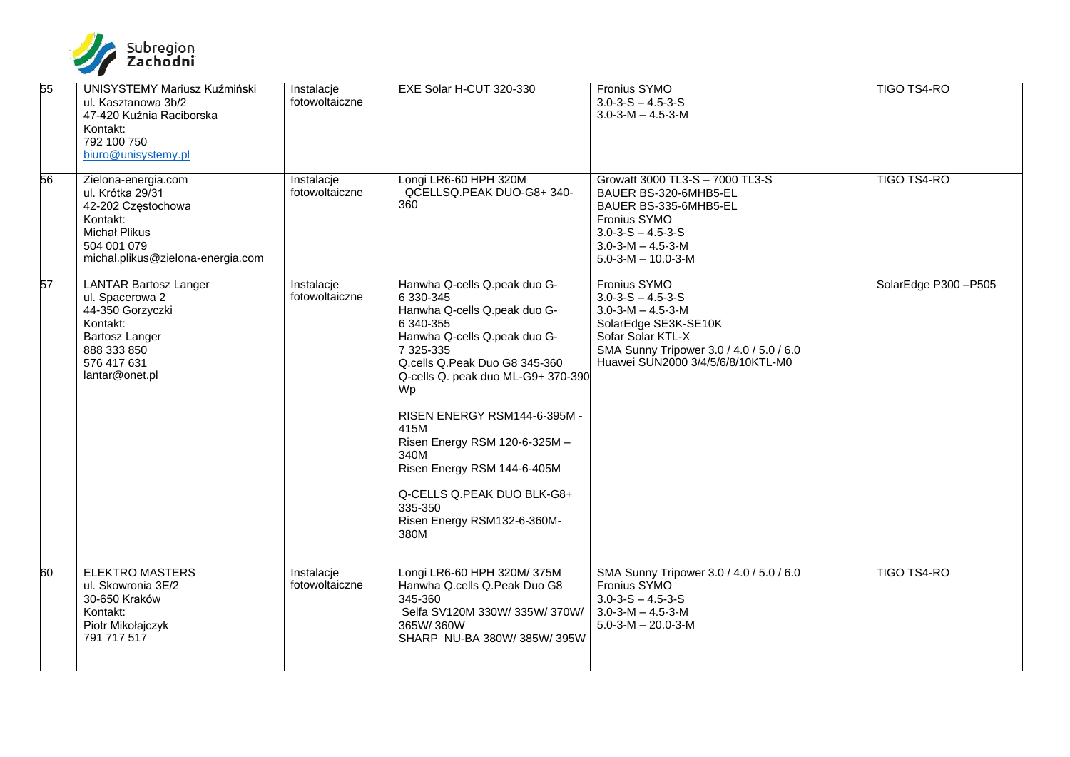

| 55 | <b>UNISYSTEMY Mariusz Kuźmiński</b><br>ul. Kasztanowa 3b/2<br>47-420 Kuźnia Raciborska<br>Kontakt:<br>792 100 750<br>biuro@unisystemy.pl              | Instalacje<br>fotowoltaiczne | EXE Solar H-CUT 320-330                                                                                                                                                                                                                                                                                                                                                                                          | Fronius SYMO<br>$3.0 - 3 - S - 4.5 - 3 - S$<br>$3.0 - 3 - M - 4.5 - 3 - M$                                                                                                                               | <b>TIGO TS4-RO</b>  |
|----|-------------------------------------------------------------------------------------------------------------------------------------------------------|------------------------------|------------------------------------------------------------------------------------------------------------------------------------------------------------------------------------------------------------------------------------------------------------------------------------------------------------------------------------------------------------------------------------------------------------------|----------------------------------------------------------------------------------------------------------------------------------------------------------------------------------------------------------|---------------------|
| 56 | Zielona-energia.com<br>ul. Krótka 29/31<br>42-202 Częstochowa<br>Kontakt:<br><b>Michał Plikus</b><br>504 001 079<br>michal.plikus@zielona-energia.com | Instalacje<br>fotowoltaiczne | Longi LR6-60 HPH 320M<br>QCELLSQ.PEAK DUO-G8+340-<br>360                                                                                                                                                                                                                                                                                                                                                         | Growatt 3000 TL3-S - 7000 TL3-S<br>BAUER BS-320-6MHB5-EL<br>BAUER BS-335-6MHB5-EL<br>Fronius SYMO<br>$3.0 - 3 - S - 4.5 - 3 - S$<br>$3.0 - 3 - M - 4.5 - 3 - M$<br>$5.0 - 3 - M - 10.0 - 3 - M$          | <b>TIGO TS4-RO</b>  |
| 57 | <b>LANTAR Bartosz Langer</b><br>ul. Spacerowa 2<br>44-350 Gorzyczki<br>Kontakt:<br>Bartosz Langer<br>888 333 850<br>576 417 631<br>lantar@onet.pl     | Instalacje<br>fotowoltaiczne | Hanwha Q-cells Q.peak duo G-<br>6 330-345<br>Hanwha Q-cells Q.peak duo G-<br>6 340-355<br>Hanwha Q-cells Q.peak duo G-<br>7 325-335<br>Q.cells Q.Peak Duo G8 345-360<br>Q-cells Q. peak duo ML-G9+ 370-390<br>Wp<br>RISEN ENERGY RSM144-6-395M -<br>415M<br>Risen Energy RSM 120-6-325M -<br>340M<br>Risen Energy RSM 144-6-405M<br>Q-CELLS Q.PEAK DUO BLK-G8+<br>335-350<br>Risen Energy RSM132-6-360M-<br>380M | Fronius SYMO<br>$3.0 - 3 - S - 4.5 - 3 - S$<br>$3.0 - 3 - M - 4.5 - 3 - M$<br>SolarEdge SE3K-SE10K<br>Sofar Solar KTL-X<br>SMA Sunny Tripower 3.0 / 4.0 / 5.0 / 6.0<br>Huawei SUN2000 3/4/5/6/8/10KTL-M0 | SolarEdge P300-P505 |
| 60 | <b>ELEKTRO MASTERS</b><br>ul. Skowronia 3E/2<br>30-650 Kraków<br>Kontakt:<br>Piotr Mikołajczyk<br>791 717 517                                         | Instalacje<br>fotowoltaiczne | Longi LR6-60 HPH 320M/375M<br>Hanwha Q.cells Q.Peak Duo G8<br>345-360<br>Selfa SV120M 330W/335W/370W/<br>365W/360W<br>SHARP NU-BA 380W/385W/395W                                                                                                                                                                                                                                                                 | SMA Sunny Tripower 3.0 / 4.0 / 5.0 / 6.0<br>Fronius SYMO<br>$3.0 - 3 - S - 4.5 - 3 - S$<br>$3.0 - 3 - M - 4.5 - 3 - M$<br>$5.0 - 3 - M - 20.0 - 3 - M$                                                   | <b>TIGO TS4-RO</b>  |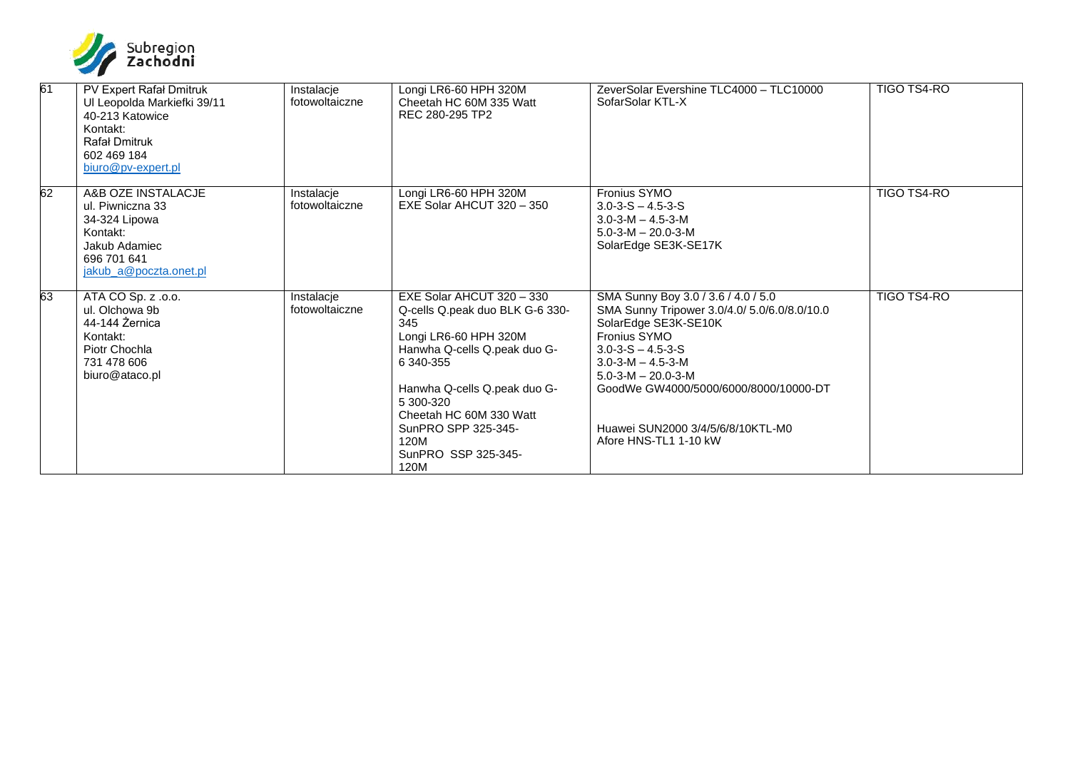

| 61 | PV Expert Rafał Dmitruk<br>Ul Leopolda Markiefki 39/11<br>40-213 Katowice<br>Kontakt:<br><b>Rafał Dmitruk</b><br>602 469 184<br>biuro@pv-expert.pl | Instalacje<br>fotowoltaiczne | Longi LR6-60 HPH 320M<br>Cheetah HC 60M 335 Watt<br>REC 280-295 TP2                                                                                                                                                                                                             | ZeverSolar Evershine TLC4000 - TLC10000<br>SofarSolar KTL-X                                                                                                                                                                                                                                                                             | <b>TIGO TS4-RO</b> |
|----|----------------------------------------------------------------------------------------------------------------------------------------------------|------------------------------|---------------------------------------------------------------------------------------------------------------------------------------------------------------------------------------------------------------------------------------------------------------------------------|-----------------------------------------------------------------------------------------------------------------------------------------------------------------------------------------------------------------------------------------------------------------------------------------------------------------------------------------|--------------------|
| 62 | A&B OZE INSTALACJE<br>ul. Piwniczna 33<br>34-324 Lipowa<br>Kontakt:<br>Jakub Adamiec<br>696 701 641<br>jakub a@poczta.onet.pl                      | Instalacje<br>fotowoltaiczne | Longi LR6-60 HPH 320M<br>EXE Solar AHCUT 320 - 350                                                                                                                                                                                                                              | Fronius SYMO<br>$3.0 - 3 - S - 4.5 - 3 - S$<br>$3.0 - 3 - M - 4.5 - 3 - M$<br>$5.0 - 3 - M - 20.0 - 3 - M$<br>SolarEdge SE3K-SE17K                                                                                                                                                                                                      | TIGO TS4-RO        |
| 63 | ATA CO Sp. z .o.o.<br>ul. Olchowa 9b<br>44-144 Żernica<br>Kontakt:<br>Piotr Chochla<br>731 478 606<br>biuro@ataco.pl                               | Instalacje<br>fotowoltaiczne | EXE Solar AHCUT 320 - 330<br>Q-cells Q.peak duo BLK G-6 330-<br>345<br>Longi LR6-60 HPH 320M<br>Hanwha Q-cells Q.peak duo G-<br>6 340-355<br>Hanwha Q-cells Q.peak duo G-<br>5 300-320<br>Cheetah HC 60M 330 Watt<br>SunPRO SPP 325-345-<br>120M<br>SunPRO SSP 325-345-<br>120M | SMA Sunny Boy 3.0 / 3.6 / 4.0 / 5.0<br>SMA Sunny Tripower 3.0/4.0/ 5.0/6.0/8.0/10.0<br>SolarEdge SE3K-SE10K<br><b>Fronius SYMO</b><br>$3.0 - 3 - S - 4.5 - 3 - S$<br>$3.0 - 3 - M - 4.5 - 3 - M$<br>$5.0 - 3 - M - 20.0 - 3 - M$<br>GoodWe GW4000/5000/6000/8000/10000-DT<br>Huawei SUN2000 3/4/5/6/8/10KTL-M0<br>Afore HNS-TL1 1-10 kW | <b>TIGO TS4-RO</b> |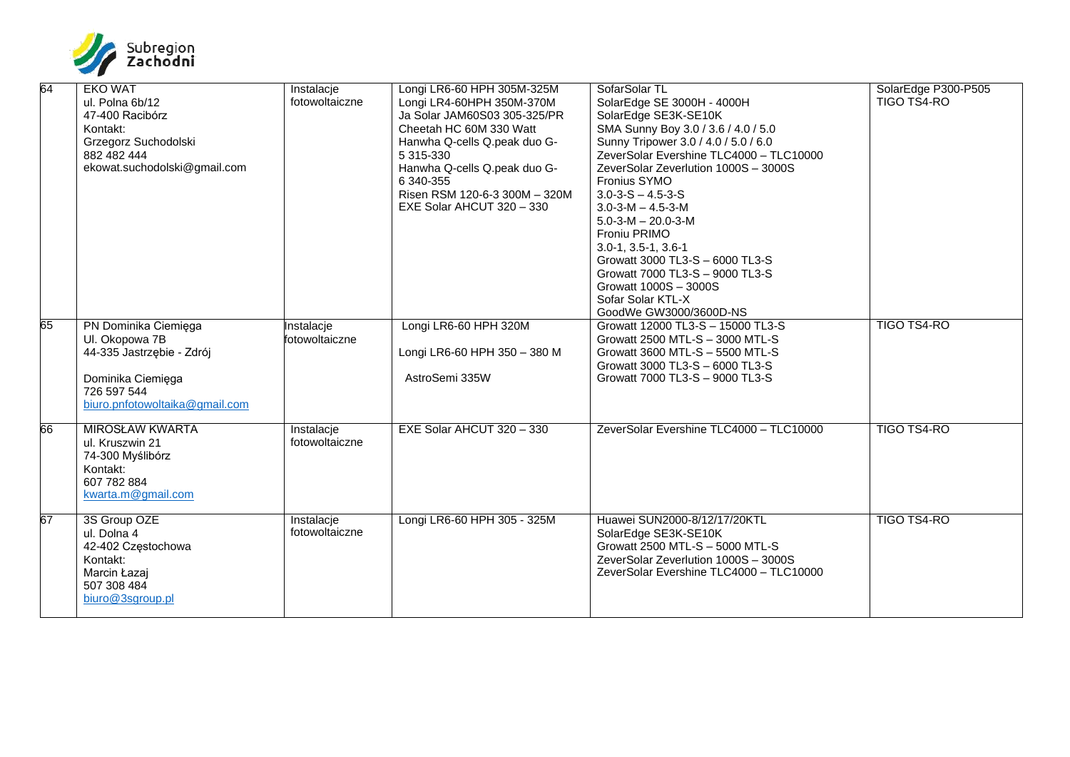

| 64 | <b>EKO WAT</b><br>ul. Polna 6b/12<br>47-400 Racibórz<br>Kontakt:<br>Grzegorz Suchodolski<br>882 482 444<br>ekowat.suchodolski@gmail.com   | Instalacje<br>fotowoltaiczne | Longi LR6-60 HPH 305M-325M<br>Longi LR4-60HPH 350M-370M<br>Ja Solar JAM60S03 305-325/PR<br>Cheetah HC 60M 330 Watt<br>Hanwha Q-cells Q.peak duo G-<br>5 315-330<br>Hanwha Q-cells Q.peak duo G-<br>6 340-355<br>Risen RSM 120-6-3 300M - 320M<br>EXE Solar AHCUT 320 - 330 | SofarSolar TL<br>SolarEdge SE 3000H - 4000H<br>SolarEdge SE3K-SE10K<br>SMA Sunny Boy 3.0 / 3.6 / 4.0 / 5.0<br>Sunny Tripower 3.0 / 4.0 / 5.0 / 6.0<br>ZeverSolar Evershine TLC4000 - TLC10000<br>ZeverSolar Zeverlution 1000S - 3000S<br>Fronius SYMO<br>$3.0 - 3 - S - 4.5 - 3 - S$<br>$3.0 - 3 - M - 4.5 - 3 - M$<br>$5.0 - 3 - M - 20.0 - 3 - M$<br>Froniu PRIMO<br>$3.0 - 1, 3.5 - 1, 3.6 - 1$<br>Growatt 3000 TL3-S - 6000 TL3-S<br>Growatt 7000 TL3-S - 9000 TL3-S<br>Growatt 1000S - 3000S<br>Sofar Solar KTL-X<br>GoodWe GW3000/3600D-NS | SolarEdge P300-P505<br>TIGO TŠ4-RO |
|----|-------------------------------------------------------------------------------------------------------------------------------------------|------------------------------|----------------------------------------------------------------------------------------------------------------------------------------------------------------------------------------------------------------------------------------------------------------------------|--------------------------------------------------------------------------------------------------------------------------------------------------------------------------------------------------------------------------------------------------------------------------------------------------------------------------------------------------------------------------------------------------------------------------------------------------------------------------------------------------------------------------------------------------|------------------------------------|
| 65 | PN Dominika Ciemięga<br>Ul. Okopowa 7B<br>44-335 Jastrzębie - Zdrój<br>Dominika Ciemięga<br>726 597 544<br>biuro.pnfotowoltaika@gmail.com | Instalacje<br>fotowoltaiczne | Longi LR6-60 HPH 320M<br>Longi LR6-60 HPH 350 - 380 M<br>AstroSemi 335W                                                                                                                                                                                                    | Growatt 12000 TL3-S - 15000 TL3-S<br>Growatt 2500 MTL-S - 3000 MTL-S<br>Growatt 3600 MTL-S - 5500 MTL-S<br>Growatt 3000 TL3-S - 6000 TL3-S<br>Growatt 7000 TL3-S - 9000 TL3-S                                                                                                                                                                                                                                                                                                                                                                    | <b>TIGO TS4-RO</b>                 |
| 66 | <b>MIROSŁAW KWARTA</b><br>ul. Kruszwin 21<br>74-300 Myślibórz<br>Kontakt:<br>607 782 884<br>kwarta.m@gmail.com                            | Instalacje<br>fotowoltaiczne | EXE Solar AHCUT 320 - 330                                                                                                                                                                                                                                                  | ZeverSolar Evershine TLC4000 - TLC10000                                                                                                                                                                                                                                                                                                                                                                                                                                                                                                          | <b>TIGO TS4-RO</b>                 |
| 67 | 3S Group OZE<br>ul. Dolna 4<br>42-402 Częstochowa<br>Kontakt:<br>Marcin Łazaj<br>507 308 484<br>biuro@3sgroup.pl                          | Instalacje<br>fotowoltaiczne | Longi LR6-60 HPH 305 - 325M                                                                                                                                                                                                                                                | Huawei SUN2000-8/12/17/20KTL<br>SolarEdge SE3K-SE10K<br>Growatt 2500 MTL-S - 5000 MTL-S<br>ZeverSolar Zeverlution 1000S - 3000S<br>ZeverSolar Evershine TLC4000 - TLC10000                                                                                                                                                                                                                                                                                                                                                                       | <b>TIGO TS4-RO</b>                 |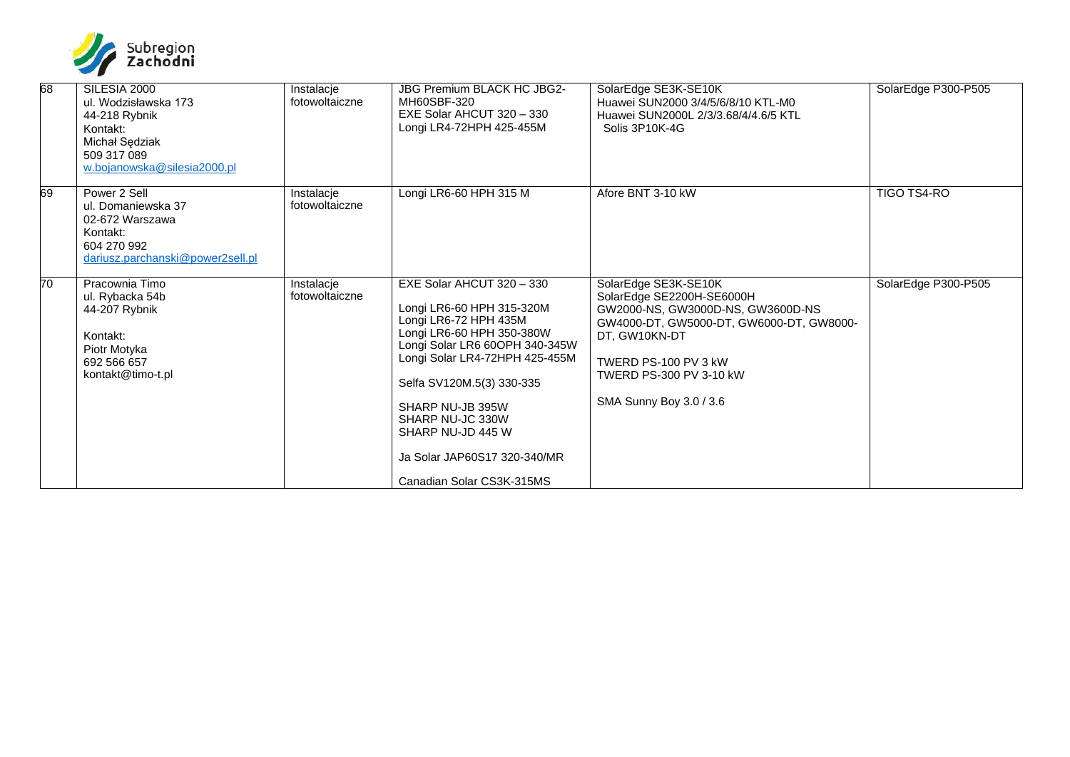

| 68              | SILESIA 2000<br>ul. Wodzisławska 173<br>44-218 Rybnik<br>Kontakt:<br>Michał Sędziak<br>509 317 089<br>w.bojanowska@silesia2000.pl | Instalacje<br>fotowoltaiczne | JBG Premium BLACK HC JBG2-<br>MH60SBF-320<br>EXE Solar AHCUT 320 - 330<br>Longi LR4-72HPH 425-455M                                                                                                                                                                                                                                      | SolarEdge SE3K-SE10K<br>Huawei SUN2000 3/4/5/6/8/10 KTL-M0<br>Huawei SUN2000L 2/3/3.68/4/4.6/5 KTL<br>Solis 3P10K-4G                                                                                                              | SolarEdge P300-P505 |
|-----------------|-----------------------------------------------------------------------------------------------------------------------------------|------------------------------|-----------------------------------------------------------------------------------------------------------------------------------------------------------------------------------------------------------------------------------------------------------------------------------------------------------------------------------------|-----------------------------------------------------------------------------------------------------------------------------------------------------------------------------------------------------------------------------------|---------------------|
| 69              | Power 2 Sell<br>ul. Domaniewska 37<br>02-672 Warszawa<br>Kontakt:<br>604 270 992<br>dariusz.parchanski@power2sell.pl              | Instalacje<br>fotowoltaiczne | Longi LR6-60 HPH 315 M                                                                                                                                                                                                                                                                                                                  | Afore BNT 3-10 kW                                                                                                                                                                                                                 | <b>TIGO TS4-RO</b>  |
| $\overline{70}$ | Pracownia Timo<br>ul. Rybacka 54b<br>44-207 Rybnik<br>Kontakt:<br>Piotr Motyka<br>692 566 657<br>kontakt@timo-t.pl                | Instalacje<br>fotowoltaiczne | EXE Solar AHCUT 320 - 330<br>Longi LR6-60 HPH 315-320M<br>Longi LR6-72 HPH 435M<br>Longi LR6-60 HPH 350-380W<br>Longi Solar LR6 60OPH 340-345W<br>Longi Solar LR4-72HPH 425-455M<br>Selfa SV120M.5(3) 330-335<br>SHARP NU-JB 395W<br>SHARP NU-JC 330W<br>SHARP NU-JD 445 W<br>Ja Solar JAP60S17 320-340/MR<br>Canadian Solar CS3K-315MS | SolarEdge SE3K-SE10K<br>SolarEdge SE2200H-SE6000H<br>GW2000-NS, GW3000D-NS, GW3600D-NS<br>GW4000-DT, GW5000-DT, GW6000-DT, GW8000-<br>DT, GW10KN-DT<br>TWERD PS-100 PV 3 kW<br>TWERD PS-300 PV 3-10 kW<br>SMA Sunny Boy 3.0 / 3.6 | SolarEdge P300-P505 |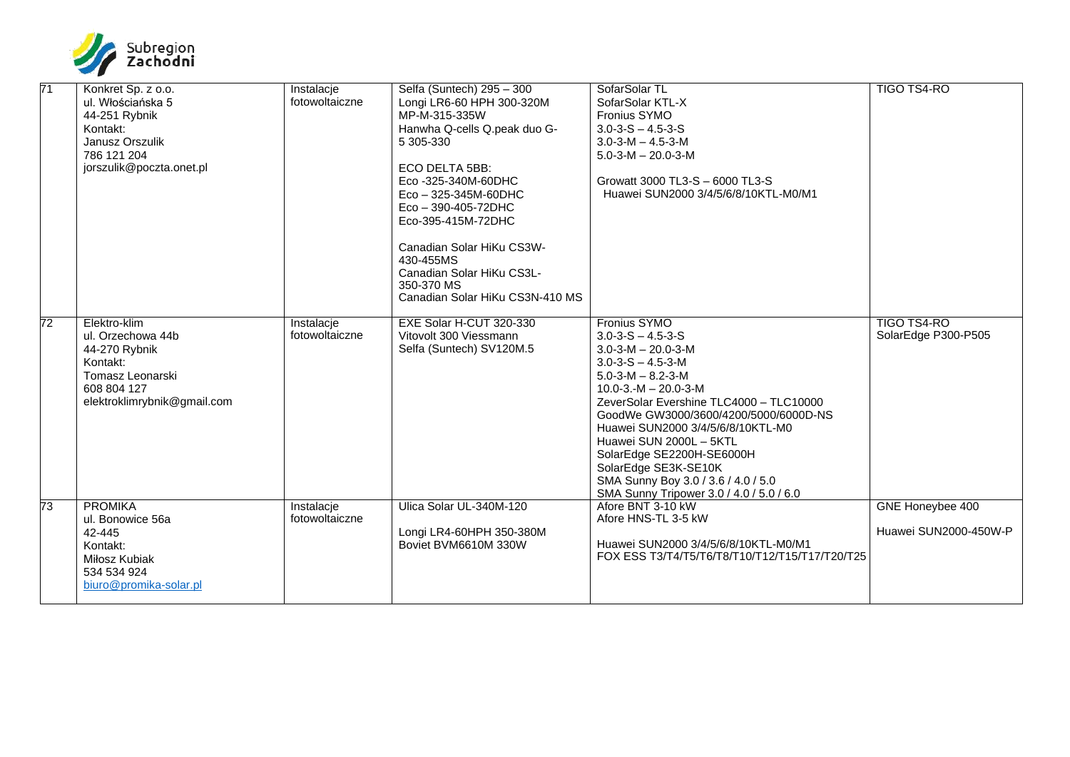

| $\overline{71}$ | Konkret Sp. z o.o.<br>ul. Włościańska 5<br>44-251 Rybnik<br>Kontakt:<br>Janusz Orszulik<br>786 121 204<br>jorszulik@poczta.onet.pl | Instalacje<br>fotowoltaiczne | Selfa (Suntech) 295 - 300<br>Longi LR6-60 HPH 300-320M<br>MP-M-315-335W<br>Hanwha Q-cells Q.peak duo G-<br>5 305-330<br>ECO DELTA 5BB:<br>Eco -325-340M-60DHC<br>$Eco - 325-345M-60DHC$<br>$Eco - 390 - 405 - 72DHC$<br>Eco-395-415M-72DHC<br>Canadian Solar HiKu CS3W-<br>430-455MS<br>Canadian Solar HiKu CS3L-<br>350-370 MS<br>Canadian Solar HiKu CS3N-410 MS | SofarSolar TL<br>SofarSolar KTL-X<br><b>Fronius SYMO</b><br>$3.0 - 3 - S - 4.5 - 3 - S$<br>$3.0 - 3 - M - 4.5 - 3 - M$<br>$5.0 - 3 - M - 20.0 - 3 - M$<br>Growatt 3000 TL3-S - 6000 TL3-S<br>Huawei SUN2000 3/4/5/6/8/10KTL-M0/M1                                                                                                                                                                                                                                             | TIGO TS4-RO                               |
|-----------------|------------------------------------------------------------------------------------------------------------------------------------|------------------------------|--------------------------------------------------------------------------------------------------------------------------------------------------------------------------------------------------------------------------------------------------------------------------------------------------------------------------------------------------------------------|-------------------------------------------------------------------------------------------------------------------------------------------------------------------------------------------------------------------------------------------------------------------------------------------------------------------------------------------------------------------------------------------------------------------------------------------------------------------------------|-------------------------------------------|
| 72              | Elektro-klim<br>ul. Orzechowa 44b<br>44-270 Rybnik<br>Kontakt:<br>Tomasz Leonarski<br>608 804 127<br>elektroklimrybnik@gmail.com   | Instalacje<br>fotowoltaiczne | EXE Solar H-CUT 320-330<br>Vitovolt 300 Viessmann<br>Selfa (Suntech) SV120M.5                                                                                                                                                                                                                                                                                      | <b>Fronius SYMO</b><br>$3.0 - 3 - S - 4.5 - 3 - S$<br>$3.0 - 3 - M - 20.0 - 3 - M$<br>$3.0 - 3 - S - 4.5 - 3 - M$<br>$5.0 - 3 - M - 8.2 - 3 - M$<br>$10.0 - 3 - M - 20.0 - 3 - M$<br>ZeverSolar Evershine TLC4000 - TLC10000<br>GoodWe GW3000/3600/4200/5000/6000D-NS<br>Huawei SUN2000 3/4/5/6/8/10KTL-M0<br>Huawei SUN 2000L - 5KTL<br>SolarEdge SE2200H-SE6000H<br>SolarEdge SE3K-SE10K<br>SMA Sunny Boy 3.0 / 3.6 / 4.0 / 5.0<br>SMA Sunny Tripower 3.0 / 4.0 / 5.0 / 6.0 | <b>TIGO TS4-RO</b><br>SolarEdge P300-P505 |
| 73              | <b>PROMIKA</b><br>ul. Bonowice 56a<br>42-445<br>Kontakt:<br>Miłosz Kubiak<br>534 534 924<br>biuro@promika-solar.pl                 | Instalacje<br>fotowoltaiczne | Ulica Solar UL-340M-120<br>Longi LR4-60HPH 350-380M<br>Boviet BVM6610M 330W                                                                                                                                                                                                                                                                                        | Afore BNT 3-10 kW<br>Afore HNS-TL 3-5 kW<br>Huawei SUN2000 3/4/5/6/8/10KTL-M0/M1<br>FOX ESS T3/T4/T5/T6/T8/T10/T12/T15/T17/T20/T25                                                                                                                                                                                                                                                                                                                                            | GNE Honeybee 400<br>Huawei SUN2000-450W-P |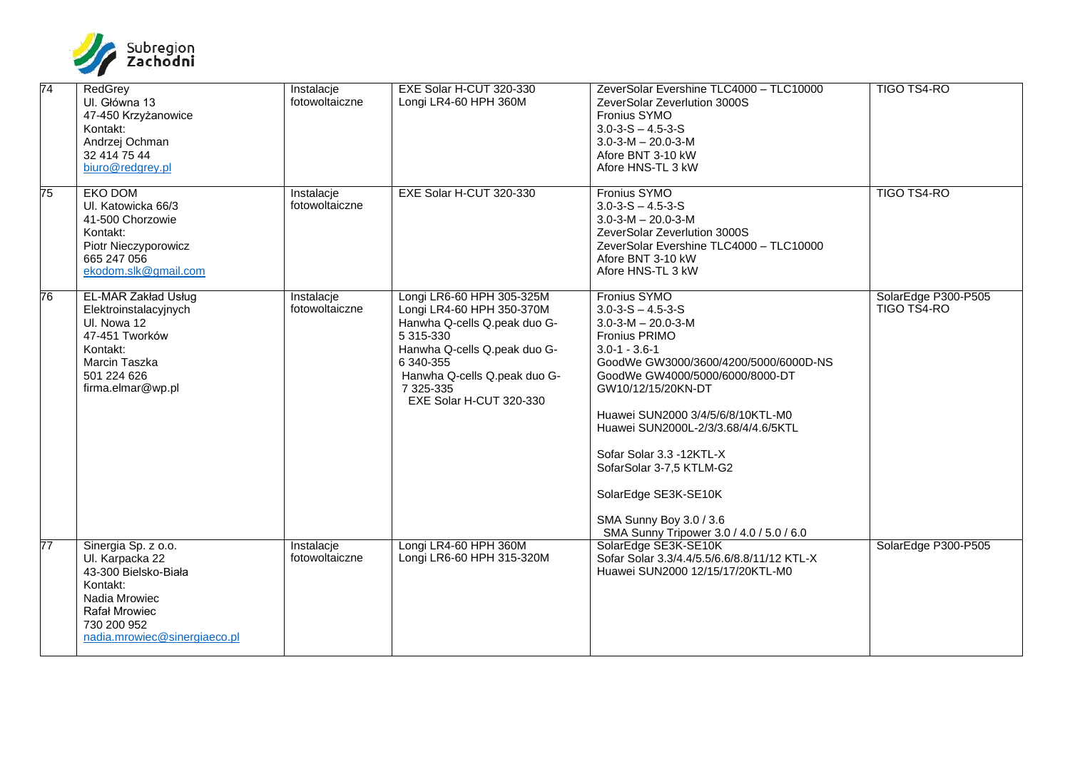

| $\overline{74}$ | RedGrey<br>Ul. Główna 13<br>47-450 Krzyżanowice<br>Kontakt:<br>Andrzej Ochman<br>32 414 75 44<br>biuro@redgrey.pl                                                  | Instalacje<br>fotowoltaiczne | EXE Solar H-CUT 320-330<br>Longi LR4-60 HPH 360M                                                                                                                                                                         | ZeverSolar Evershine TLC4000 - TLC10000<br>ZeverSolar Zeverlution 3000S<br>Fronius SYMO<br>$3.0 - 3 - S - 4.5 - 3 - S$<br>$3.0 - 3 - M - 20.0 - 3 - M$<br>Afore BNT 3-10 kW<br>Afore HNS-TL 3 kW                                                                                                                                                                                                                                                                | TIGO TS4-RO                        |
|-----------------|--------------------------------------------------------------------------------------------------------------------------------------------------------------------|------------------------------|--------------------------------------------------------------------------------------------------------------------------------------------------------------------------------------------------------------------------|-----------------------------------------------------------------------------------------------------------------------------------------------------------------------------------------------------------------------------------------------------------------------------------------------------------------------------------------------------------------------------------------------------------------------------------------------------------------|------------------------------------|
| 75              | EKO DOM<br>Ul. Katowicka 66/3<br>41-500 Chorzowie<br>Kontakt:<br>Piotr Nieczyporowicz<br>665 247 056<br>ekodom.slk@gmail.com                                       | Instalacje<br>fotowoltaiczne | EXE Solar H-CUT 320-330                                                                                                                                                                                                  | Fronius SYMO<br>$3.0 - 3 - S - 4.5 - 3 - S$<br>$3.0 - 3 - M - 20.0 - 3 - M$<br>ZeverSolar Zeverlution 3000S<br>ZeverSolar Evershine TLC4000 - TLC10000<br>Afore BNT 3-10 kW<br>Afore HNS-TL 3 kW                                                                                                                                                                                                                                                                | TIGO TS4-RO                        |
| 76              | <b>EL-MAR Zakład Usług</b><br>Elektroinstalacyjnych<br>UI. Nowa 12<br>47-451 Tworków<br>Kontakt:<br>Marcin Taszka<br>501 224 626<br>firma.elmar@wp.pl              | Instalacje<br>fotowoltaiczne | Longi LR6-60 HPH 305-325M<br>Longi LR4-60 HPH 350-370M<br>Hanwha Q-cells Q.peak duo G-<br>5 315-330<br>Hanwha Q-cells Q.peak duo G-<br>6 340-355<br>Hanwha Q-cells Q.peak duo G-<br>7 325-335<br>EXE Solar H-CUT 320-330 | Fronius SYMO<br>$3.0 - 3 - S - 4.5 - 3 - S$<br>$3.0 - 3 - M - 20.0 - 3 - M$<br><b>Fronius PRIMO</b><br>$3.0 - 1 - 3.6 - 1$<br>GoodWe GW3000/3600/4200/5000/6000D-NS<br>GoodWe GW4000/5000/6000/8000-DT<br>GW10/12/15/20KN-DT<br>Huawei SUN2000 3/4/5/6/8/10KTL-M0<br>Huawei SUN2000L-2/3/3.68/4/4.6/5KTL<br>Sofar Solar 3.3 -12KTL-X<br>SofarSolar 3-7,5 KTLM-G2<br>SolarEdge SE3K-SE10K<br>SMA Sunny Boy 3.0 / 3.6<br>SMA Sunny Tripower 3.0 / 4.0 / 5.0 / 6.0 | SolarEdge P300-P505<br>TIGO TS4-RO |
| 77              | Sinergia Sp. z o.o.<br>Ul. Karpacka 22<br>43-300 Bielsko-Biała<br>Kontakt:<br>Nadia Mrowiec<br><b>Rafał Mrowiec</b><br>730 200 952<br>nadia.mrowiec@sinergiaeco.pl | Instalacje<br>fotowoltaiczne | Longi LR4-60 HPH 360M<br>Longi LR6-60 HPH 315-320M                                                                                                                                                                       | SolarEdge SE3K-SE10K<br>Sofar Solar 3.3/4.4/5.5/6.6/8.8/11/12 KTL-X<br>Huawei SUN2000 12/15/17/20KTL-M0                                                                                                                                                                                                                                                                                                                                                         | SolarEdge P300-P505                |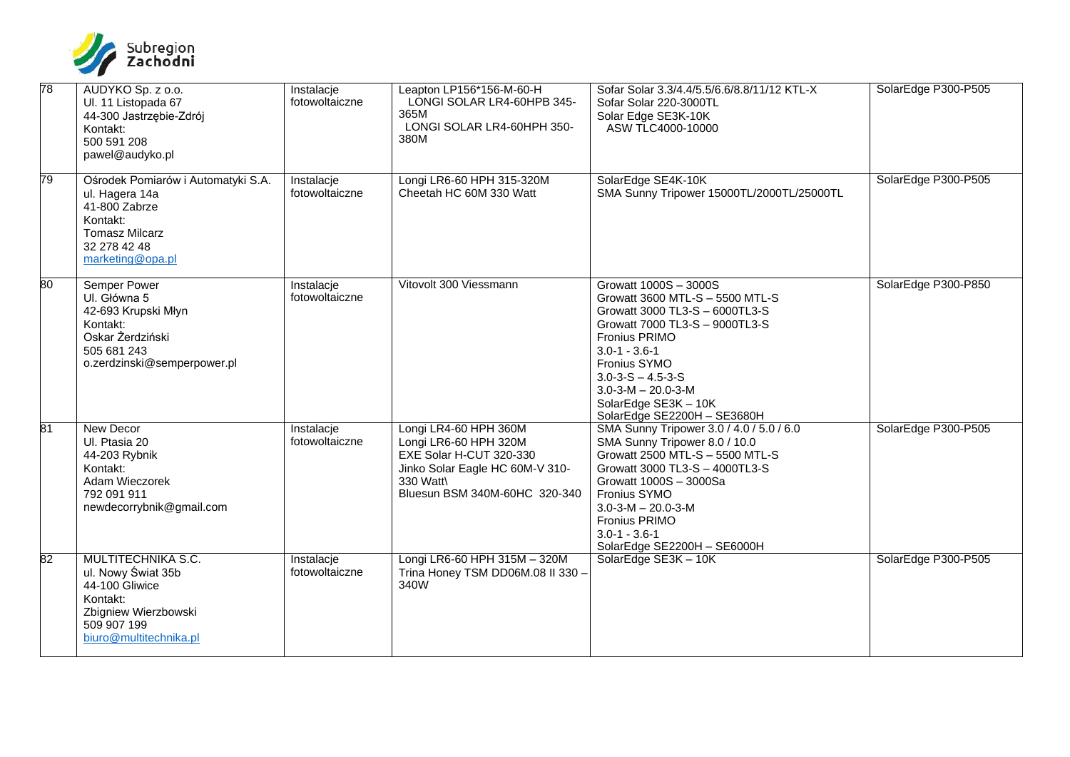

| 78 | AUDYKO Sp. z o.o.<br>Ul. 11 Listopada 67<br>44-300 Jastrzębie-Zdrój<br>Kontakt:<br>500 591 208<br>pawel@audyko.pl                              | Instalacje<br>fotowoltaiczne | Leapton LP156*156-M-60-H<br>LONGI SOLAR LR4-60HPB 345-<br>365M<br>LONGI SOLAR LR4-60HPH 350-<br>380M                                                       | Sofar Solar 3.3/4.4/5.5/6.6/8.8/11/12 KTL-X<br>Sofar Solar 220-3000TL<br>Solar Edge SE3K-10K<br>ASW TLC4000-10000                                                                                                                                                                                                 | SolarEdge P300-P505 |
|----|------------------------------------------------------------------------------------------------------------------------------------------------|------------------------------|------------------------------------------------------------------------------------------------------------------------------------------------------------|-------------------------------------------------------------------------------------------------------------------------------------------------------------------------------------------------------------------------------------------------------------------------------------------------------------------|---------------------|
| 79 | Ośrodek Pomiarów i Automatyki S.A.<br>ul. Hagera 14a<br>41-800 Zabrze<br>Kontakt:<br><b>Tomasz Milcarz</b><br>32 278 42 48<br>marketing@opa.pl | Instalacje<br>fotowoltaiczne | Longi LR6-60 HPH 315-320M<br>Cheetah HC 60M 330 Watt                                                                                                       | SolarEdge SE4K-10K<br>SMA Sunny Tripower 15000TL/2000TL/25000TL                                                                                                                                                                                                                                                   | SolarEdge P300-P505 |
| 80 | <b>Semper Power</b><br>UI. Główna 5<br>42-693 Krupski Młyn<br>Kontakt:<br>Oskar Żerdziński<br>505 681 243<br>o.zerdzinski@semperpower.pl       | Instalacje<br>fotowoltaiczne | Vitovolt 300 Viessmann                                                                                                                                     | Growatt 1000S - 3000S<br>Growatt 3600 MTL-S - 5500 MTL-S<br>Growatt 3000 TL3-S - 6000TL3-S<br>Growatt 7000 TL3-S - 9000TL3-S<br><b>Fronius PRIMO</b><br>$3.0 - 1 - 3.6 - 1$<br>Fronius SYMO<br>$3.0 - 3 - S - 4.5 - 3 - S$<br>$3.0 - 3 - M - 20.0 - 3 - M$<br>SolarEdge SE3K - 10K<br>SolarEdge SE2200H - SE3680H | SolarEdge P300-P850 |
| 81 | <b>New Decor</b><br>Ul. Ptasia 20<br>44-203 Rybnik<br>Kontakt:<br>Adam Wieczorek<br>792 091 911<br>newdecorrybnik@gmail.com                    | Instalacje<br>fotowoltaiczne | Longi LR4-60 HPH 360M<br>Longi LR6-60 HPH 320M<br>EXE Solar H-CUT 320-330<br>Jinko Solar Eagle HC 60M-V 310-<br>330 Watt\<br>Bluesun BSM 340M-60HC 320-340 | SMA Sunny Tripower 3.0 / 4.0 / 5.0 / 6.0<br>SMA Sunny Tripower 8.0 / 10.0<br>Growatt 2500 MTL-S - 5500 MTL-S<br>Growatt 3000 TL3-S - 4000TL3-S<br>Growatt 1000S - 3000Sa<br>Fronius SYMO<br>$3.0 - 3 - M - 20.0 - 3 - M$<br><b>Fronius PRIMO</b><br>$3.0 - 1 - 3.6 - 1$<br>SolarEdge SE2200H - SE6000H            | SolarEdge P300-P505 |
| 82 | MULTITECHNIKA S.C.<br>ul. Nowy Świat 35b<br>44-100 Gliwice<br>Kontakt:<br>Zbigniew Wierzbowski<br>509 907 199<br>biuro@multitechnika.pl        | Instalacje<br>fotowoltaiczne | Longi LR6-60 HPH 315M - 320M<br>Trina Honey TSM DD06M.08 II 330 -<br>340W                                                                                  | SolarEdge SE3K - 10K                                                                                                                                                                                                                                                                                              | SolarEdge P300-P505 |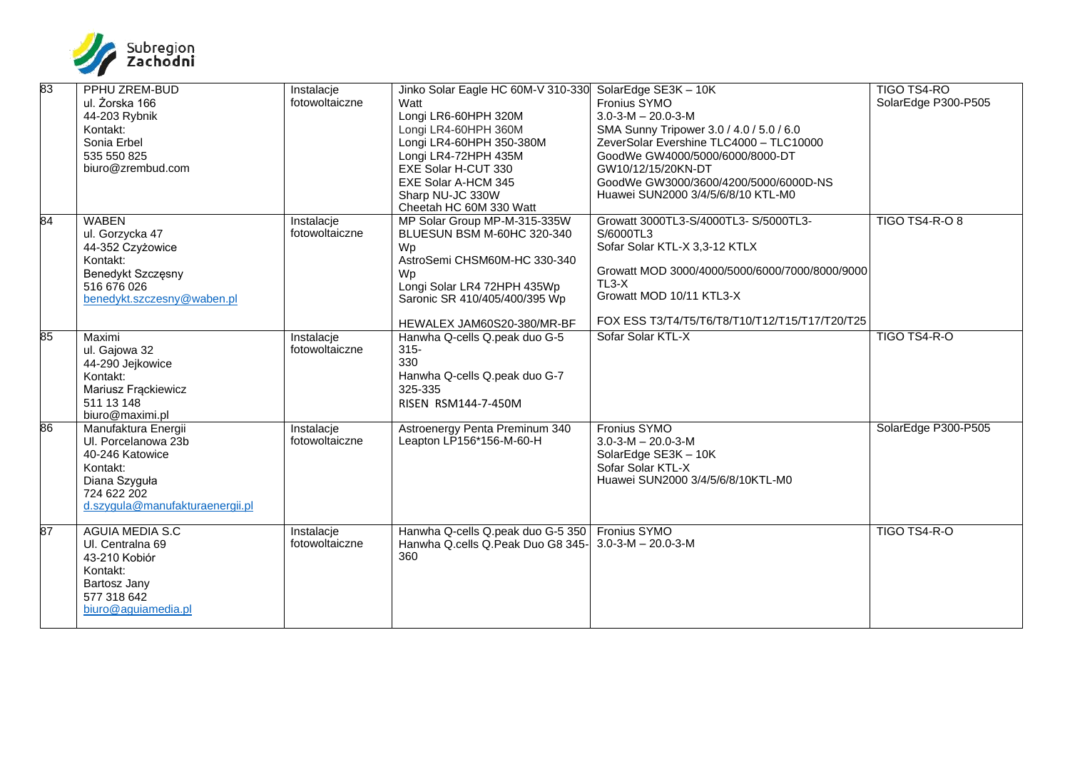

| 83 | PPHU ZREM-BUD                   | Instalacje     | Jinko Solar Eagle HC 60M-V 310-330                   | SolarEdge SE3K - 10K                           | TIGO TS4-RO           |
|----|---------------------------------|----------------|------------------------------------------------------|------------------------------------------------|-----------------------|
|    | ul. Żorska 166                  | fotowoltaiczne | Watt                                                 | Fronius SYMO                                   | SolarEdge P300-P505   |
|    | 44-203 Rybnik                   |                | Longi LR6-60HPH 320M                                 | $3.0 - 3 - M - 20.0 - 3 - M$                   |                       |
|    | Kontakt:                        |                | Longi LR4-60HPH 360M                                 | SMA Sunny Tripower 3.0 / 4.0 / 5.0 / 6.0       |                       |
|    | Sonia Erbel                     |                | Longi LR4-60HPH 350-380M                             | ZeverSolar Evershine TLC4000 - TLC10000        |                       |
|    | 535 550 825                     |                | Longi LR4-72HPH 435M                                 | GoodWe GW4000/5000/6000/8000-DT                |                       |
|    | biuro@zrembud.com               |                | EXE Solar H-CUT 330                                  | GW10/12/15/20KN-DT                             |                       |
|    |                                 |                | EXE Solar A-HCM 345                                  | GoodWe GW3000/3600/4200/5000/6000D-NS          |                       |
|    |                                 |                | Sharp NU-JC 330W                                     | Huawei SUN2000 3/4/5/6/8/10 KTL-M0             |                       |
|    |                                 |                | Cheetah HC 60M 330 Watt                              |                                                |                       |
| 84 | <b>WABEN</b>                    | Instalacje     | MP Solar Group MP-M-315-335W                         | Growatt 3000TL3-S/4000TL3-S/5000TL3-           | <b>TIGO TS4-R-O 8</b> |
|    | ul. Gorzycka 47                 | fotowoltaiczne | BLUESUN BSM M-60HC 320-340                           | S/6000TL3                                      |                       |
|    | 44-352 Czyżowice                |                | Wp                                                   | Sofar Solar KTL-X 3,3-12 KTLX                  |                       |
|    | Kontakt:                        |                | AstroSemi CHSM60M-HC 330-340                         |                                                |                       |
|    | Benedykt Szczęsny               |                | Wp                                                   | Growatt MOD 3000/4000/5000/6000/7000/8000/9000 |                       |
|    | 516 676 026                     |                | Longi Solar LR4 72HPH 435Wp                          | $TL3-X$<br>Growatt MOD 10/11 KTL3-X            |                       |
|    | benedykt.szczesny@waben.pl      |                | Saronic SR 410/405/400/395 Wp                        |                                                |                       |
|    |                                 |                | HEWALEX JAM60S20-380/MR-BF                           | FOX ESS T3/T4/T5/T6/T8/T10/T12/T15/T17/T20/T25 |                       |
| 85 | Maximi                          | Instalacje     | Hanwha Q-cells Q.peak duo G-5                        | Sofar Solar KTL-X                              | TIGO TS4-R-O          |
|    | ul. Gajowa 32                   | fotowoltaiczne | $315 -$                                              |                                                |                       |
|    | 44-290 Jejkowice                |                | 330                                                  |                                                |                       |
|    | Kontakt:                        |                | Hanwha Q-cells Q.peak duo G-7                        |                                                |                       |
|    | Mariusz Frąckiewicz             |                | 325-335                                              |                                                |                       |
|    | 511 13 148                      |                | RISEN RSM144-7-450M                                  |                                                |                       |
|    | biuro@maximi.pl                 |                |                                                      |                                                |                       |
| 86 | Manufaktura Energii             | Instalacje     | Astroenergy Penta Preminum 340                       | <b>Fronius SYMO</b>                            | SolarEdge P300-P505   |
|    | UI. Porcelanowa 23b             | fotowoltaiczne | Leapton LP156*156-M-60-H                             | $3.0 - 3 - M - 20.0 - 3 - M$                   |                       |
|    | 40-246 Katowice                 |                |                                                      | SolarEdge SE3K - 10K                           |                       |
|    | Kontakt:                        |                |                                                      | Sofar Solar KTL-X                              |                       |
|    | Diana Szyguła                   |                |                                                      | Huawei SUN2000 3/4/5/6/8/10KTL-M0              |                       |
|    | 724 622 202                     |                |                                                      |                                                |                       |
|    | d.szygula@manufakturaenergii.pl |                |                                                      |                                                |                       |
| 87 | <b>AGUIA MEDIA S.C</b>          | Instalacje     | Hanwha Q-cells Q.peak duo G-5 350   Fronius SYMO     |                                                | TIGO TS4-R-O          |
|    | UI. Centralna 69                | fotowoltaiczne | Hanwha Q.cells Q.Peak Duo G8 345- 3.0-3-M - 20.0-3-M |                                                |                       |
|    | 43-210 Kobiór                   |                | 360                                                  |                                                |                       |
|    | Kontakt:                        |                |                                                      |                                                |                       |
|    | Bartosz Jany                    |                |                                                      |                                                |                       |
|    | 577 318 642                     |                |                                                      |                                                |                       |
|    | biuro@aguiamedia.pl             |                |                                                      |                                                |                       |
|    |                                 |                |                                                      |                                                |                       |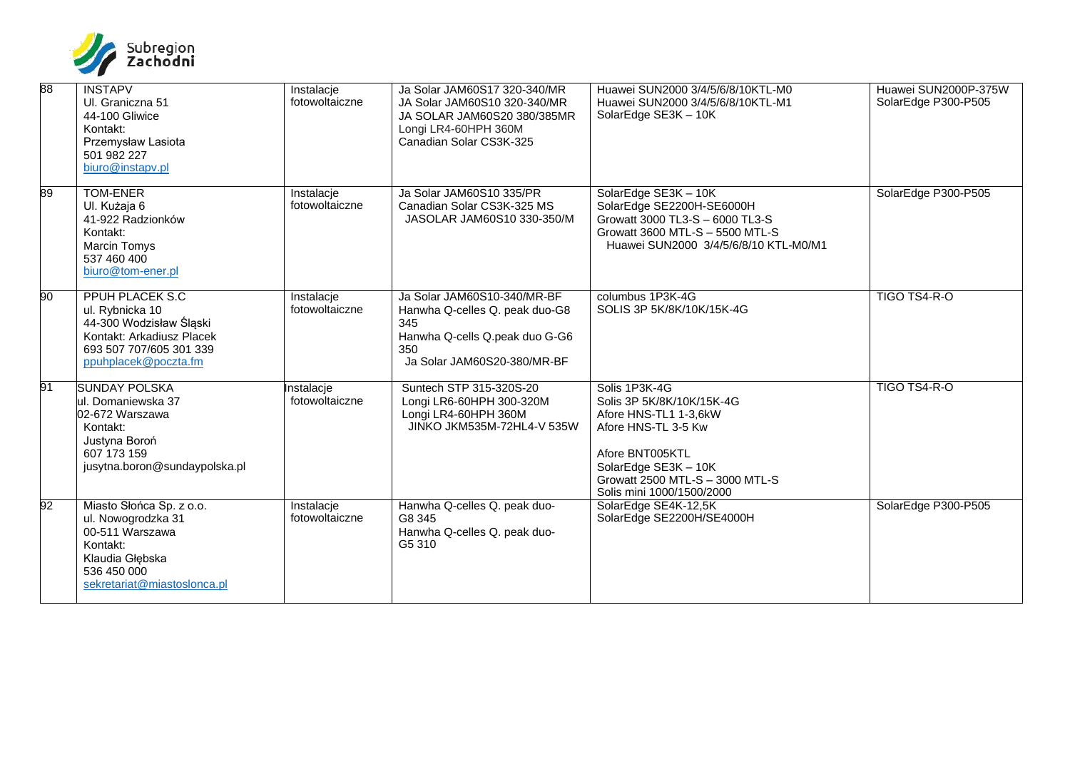

| 88 | <b>INSTAPV</b><br>Ul. Graniczna 51<br>44-100 Gliwice<br>Kontakt:<br>Przemysław Lasiota<br>501 982 227<br>biuro@instapv.pl                            | Instalacje<br>fotowoltaiczne | Ja Solar JAM60S17 320-340/MR<br>JA Solar JAM60S10 320-340/MR<br>JA SOLAR JAM60S20 380/385MR<br>Longi LR4-60HPH 360M<br>Canadian Solar CS3K-325 | Huawei SUN2000 3/4/5/6/8/10KTL-M0<br>Huawei SUN2000 3/4/5/6/8/10KTL-M1<br>SolarEdge SE3K - 10K                                                                                                        | Huawei SUN2000P-375W<br>SolarEdge P300-P505 |
|----|------------------------------------------------------------------------------------------------------------------------------------------------------|------------------------------|------------------------------------------------------------------------------------------------------------------------------------------------|-------------------------------------------------------------------------------------------------------------------------------------------------------------------------------------------------------|---------------------------------------------|
| 89 | <b>TOM-ENER</b><br>UI. Kużaja 6<br>41-922 Radzionków<br>Kontakt:<br>Marcin Tomys<br>537 460 400<br>biuro@tom-ener.pl                                 | Instalacje<br>fotowoltaiczne | Ja Solar JAM60S10 335/PR<br>Canadian Solar CS3K-325 MS<br>JASOLAR JAM60S10 330-350/M                                                           | SolarEdge SE3K - 10K<br>SolarEdge SE2200H-SE6000H<br>Growatt 3000 TL3-S - 6000 TL3-S<br>Growatt 3600 MTL-S - 5500 MTL-S<br>Huawei SUN2000 3/4/5/6/8/10 KTL-M0/M1                                      | SolarEdge P300-P505                         |
| 90 | <b>PPUH PLACEK S.C</b><br>ul. Rybnicka 10<br>44-300 Wodzisław Śląski<br>Kontakt: Arkadiusz Placek<br>693 507 707/605 301 339<br>ppuhplacek@poczta.fm | Instalacje<br>fotowoltaiczne | Ja Solar JAM60S10-340/MR-BF<br>Hanwha Q-celles Q. peak duo-G8<br>345<br>Hanwha Q-cells Q.peak duo G-G6<br>350<br>Ja Solar JAM60S20-380/MR-BF   | columbus 1P3K-4G<br>SOLIS 3P 5K/8K/10K/15K-4G                                                                                                                                                         | TIGO TS4-R-O                                |
| 91 | <b>SUNDAY POLSKA</b><br>ul. Domaniewska 37<br>02-672 Warszawa<br>Kontakt:<br>Justyna Boroń<br>607 173 159<br>jusytna.boron@sundaypolska.pl           | Instalacje<br>fotowoltaiczne | Suntech STP 315-320S-20<br>Longi LR6-60HPH 300-320M<br>Longi LR4-60HPH 360M<br>JINKO JKM535M-72HL4-V 535W                                      | Solis 1P3K-4G<br>Solis 3P 5K/8K/10K/15K-4G<br>Afore HNS-TL1 1-3,6kW<br>Afore HNS-TL 3-5 Kw<br>Afore BNT005KTL<br>SolarEdge SE3K - 10K<br>Growatt 2500 MTL-S - 3000 MTL-S<br>Solis mini 1000/1500/2000 | TIGO TS4-R-O                                |
| 92 | Miasto Słońca Sp. z o.o.<br>ul. Nowogrodzka 31<br>00-511 Warszawa<br>Kontakt:<br>Klaudia Głębska<br>536 450 000<br>sekretariat@miastoslonca.pl       | Instalacje<br>fotowoltaiczne | Hanwha Q-celles Q. peak duo-<br>G8 345<br>Hanwha Q-celles Q. peak duo-<br>G5 310                                                               | SolarEdge SE4K-12,5K<br>SolarEdge SE2200H/SE4000H                                                                                                                                                     | SolarEdge P300-P505                         |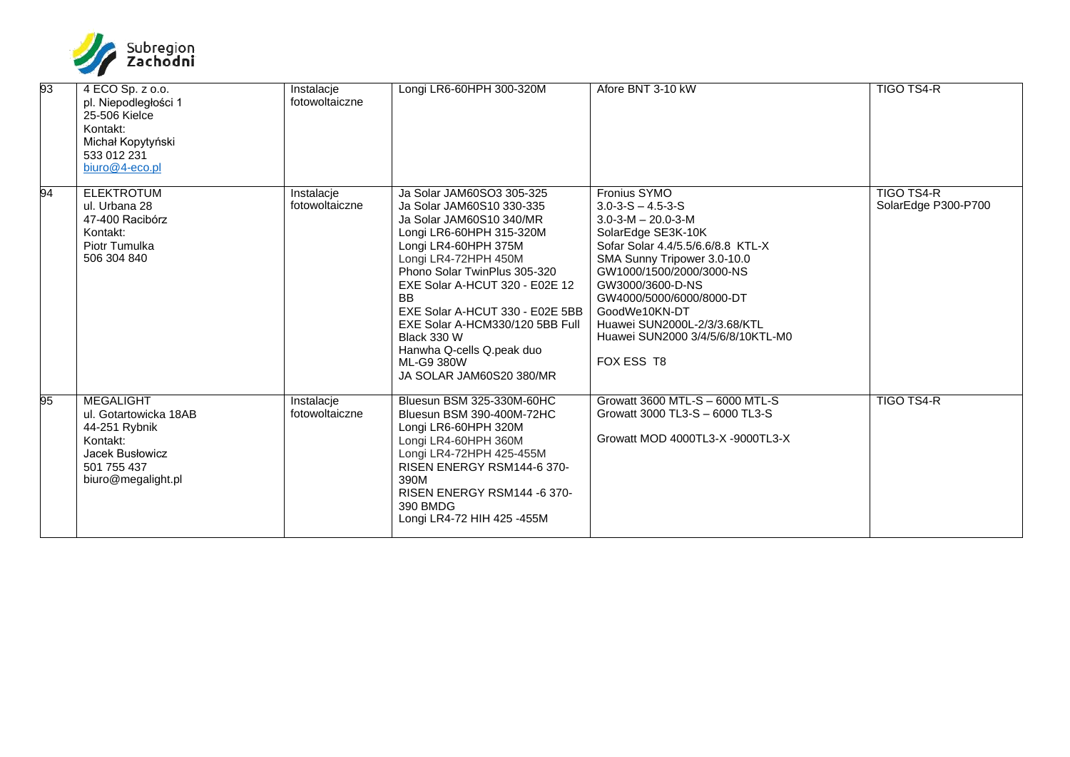

| 93 | 4 ECO Sp. z o.o.<br>pl. Niepodległości 1<br>25-506 Kielce<br>Kontakt:<br>Michał Kopytyński<br>533 012 231<br>biuro@4-eco.pl    | Instalacje<br>fotowoltaiczne | Longi LR6-60HPH 300-320M                                                                                                                                                                                                                                                                                                                                                                                  | Afore BNT 3-10 kW                                                                                                                                                                                                                                                                                                                                     | <b>TIGO TS4-R</b>                 |
|----|--------------------------------------------------------------------------------------------------------------------------------|------------------------------|-----------------------------------------------------------------------------------------------------------------------------------------------------------------------------------------------------------------------------------------------------------------------------------------------------------------------------------------------------------------------------------------------------------|-------------------------------------------------------------------------------------------------------------------------------------------------------------------------------------------------------------------------------------------------------------------------------------------------------------------------------------------------------|-----------------------------------|
| 94 | <b>ELEKTROTUM</b><br>ul. Urbana 28<br>47-400 Racibórz<br>Kontakt:<br>Piotr Tumulka<br>506 304 840                              | Instalacje<br>fotowoltaiczne | Ja Solar JAM60SO3 305-325<br>Ja Solar JAM60S10 330-335<br>Ja Solar JAM60S10 340/MR<br>Longi LR6-60HPH 315-320M<br>Longi LR4-60HPH 375M<br>Longi LR4-72HPH 450M<br>Phono Solar TwinPlus 305-320<br>EXE Solar A-HCUT 320 - E02E 12<br><b>BB</b><br>EXE Solar A-HCUT 330 - E02E 5BB<br>EXE Solar A-HCM330/120 5BB Full<br>Black 330 W<br>Hanwha Q-cells Q.peak duo<br>ML-G9 380W<br>JA SOLAR JAM60S20 380/MR | Fronius SYMO<br>$3.0 - 3 - S - 4.5 - 3 - S$<br>$3.0 - 3 - M - 20.0 - 3 - M$<br>SolarEdge SE3K-10K<br>Sofar Solar 4.4/5.5/6.6/8.8 KTL-X<br>SMA Sunny Tripower 3.0-10.0<br>GW1000/1500/2000/3000-NS<br>GW3000/3600-D-NS<br>GW4000/5000/6000/8000-DT<br>GoodWe10KN-DT<br>Huawei SUN2000L-2/3/3.68/KTL<br>Huawei SUN2000 3/4/5/6/8/10KTL-M0<br>FOX ESS T8 | TIGO TS4-R<br>SolarEdge P300-P700 |
| 95 | <b>MEGALIGHT</b><br>ul. Gotartowicka 18AB<br>44-251 Rybnik<br>Kontakt:<br>Jacek Busłowicz<br>501 755 437<br>biuro@megalight.pl | Instalacje<br>fotowoltaiczne | Bluesun BSM 325-330M-60HC<br>Bluesun BSM 390-400M-72HC<br>Longi LR6-60HPH 320M<br>Longi LR4-60HPH 360M<br>Longi LR4-72HPH 425-455M<br>RISEN ENERGY RSM144-6 370-<br>390M<br>RISEN ENERGY RSM144 -6 370-<br>390 BMDG<br>Longi LR4-72 HIH 425 -455M                                                                                                                                                         | Growatt 3600 MTL-S - 6000 MTL-S<br>Growatt 3000 TL3-S - 6000 TL3-S<br>Growatt MOD 4000TL3-X -9000TL3-X                                                                                                                                                                                                                                                | <b>TIGO TS4-R</b>                 |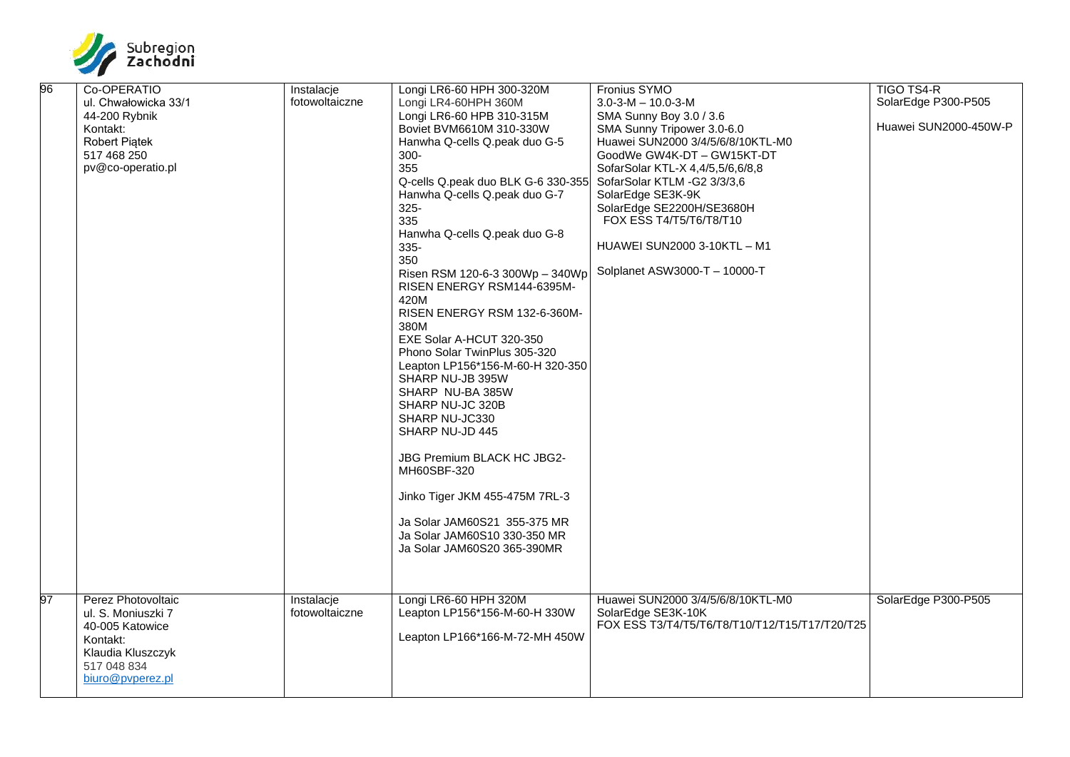

| 96 | Co-OPERATIO          | Instalacje     | Longi LR6-60 HPH 300-320M          | Fronius SYMO                                   | <b>TIGO TS4-R</b>     |
|----|----------------------|----------------|------------------------------------|------------------------------------------------|-----------------------|
|    | ul. Chwałowicka 33/1 | fotowoltaiczne | Longi LR4-60HPH 360M               | $3.0 - 3 - M - 10.0 - 3 - M$                   | SolarEdge P300-P505   |
|    | 44-200 Rybnik        |                | Longi LR6-60 HPB 310-315M          | SMA Sunny Boy 3.0 / 3.6                        |                       |
|    | Kontakt:             |                | Boviet BVM6610M 310-330W           | SMA Sunny Tripower 3.0-6.0                     | Huawei SUN2000-450W-P |
|    | <b>Robert Piatek</b> |                | Hanwha Q-cells Q.peak duo G-5      | Huawei SUN2000 3/4/5/6/8/10KTL-M0              |                       |
|    | 517 468 250          |                | $300 -$                            | GoodWe GW4K-DT - GW15KT-DT                     |                       |
|    | pv@co-operatio.pl    |                | 355                                | SofarSolar KTL-X 4,4/5,5/6,6/8,8               |                       |
|    |                      |                | Q-cells Q.peak duo BLK G-6 330-355 | SofarSolar KTLM -G2 3/3/3,6                    |                       |
|    |                      |                | Hanwha Q-cells Q.peak duo G-7      | SolarEdge SE3K-9K                              |                       |
|    |                      |                | $325 -$                            | SolarEdge SE2200H/SE3680H                      |                       |
|    |                      |                | 335                                | FOX ESS T4/T5/T6/T8/T10                        |                       |
|    |                      |                | Hanwha Q-cells Q.peak duo G-8      |                                                |                       |
|    |                      |                | 335-                               | HUAWEI SUN2000 3-10KTL - M1                    |                       |
|    |                      |                | 350                                |                                                |                       |
|    |                      |                | Risen RSM 120-6-3 300Wp - 340Wp    | Solplanet ASW3000-T - 10000-T                  |                       |
|    |                      |                | RISEN ENERGY RSM144-6395M-         |                                                |                       |
|    |                      |                | 420M                               |                                                |                       |
|    |                      |                | RISEN ENERGY RSM 132-6-360M-       |                                                |                       |
|    |                      |                | 380M                               |                                                |                       |
|    |                      |                | EXE Solar A-HCUT 320-350           |                                                |                       |
|    |                      |                | Phono Solar TwinPlus 305-320       |                                                |                       |
|    |                      |                | Leapton LP156*156-M-60-H 320-350   |                                                |                       |
|    |                      |                | SHARP NU-JB 395W                   |                                                |                       |
|    |                      |                | SHARP NU-BA 385W                   |                                                |                       |
|    |                      |                | SHARP NU-JC 320B                   |                                                |                       |
|    |                      |                | SHARP NU-JC330                     |                                                |                       |
|    |                      |                | SHARP NU-JD 445                    |                                                |                       |
|    |                      |                |                                    |                                                |                       |
|    |                      |                | JBG Premium BLACK HC JBG2-         |                                                |                       |
|    |                      |                | MH60SBF-320                        |                                                |                       |
|    |                      |                |                                    |                                                |                       |
|    |                      |                | Jinko Tiger JKM 455-475M 7RL-3     |                                                |                       |
|    |                      |                |                                    |                                                |                       |
|    |                      |                | Ja Solar JAM60S21 355-375 MR       |                                                |                       |
|    |                      |                | Ja Solar JAM60S10 330-350 MR       |                                                |                       |
|    |                      |                | Ja Solar JAM60S20 365-390MR        |                                                |                       |
|    |                      |                |                                    |                                                |                       |
|    |                      |                |                                    |                                                |                       |
| 97 | Perez Photovoltaic   | Instalacje     | Longi LR6-60 HPH 320M              | Huawei SUN2000 3/4/5/6/8/10KTL-M0              | SolarEdge P300-P505   |
|    | ul. S. Moniuszki 7   | fotowoltaiczne | Leapton LP156*156-M-60-H 330W      | SolarEdge SE3K-10K                             |                       |
|    | 40-005 Katowice      |                |                                    | FOX ESS T3/T4/T5/T6/T8/T10/T12/T15/T17/T20/T25 |                       |
|    | Kontakt:             |                | Leapton LP166*166-M-72-MH 450W     |                                                |                       |
|    | Klaudia Kluszczyk    |                |                                    |                                                |                       |
|    | 517 048 834          |                |                                    |                                                |                       |
|    | biuro@pvperez.pl     |                |                                    |                                                |                       |
|    |                      |                |                                    |                                                |                       |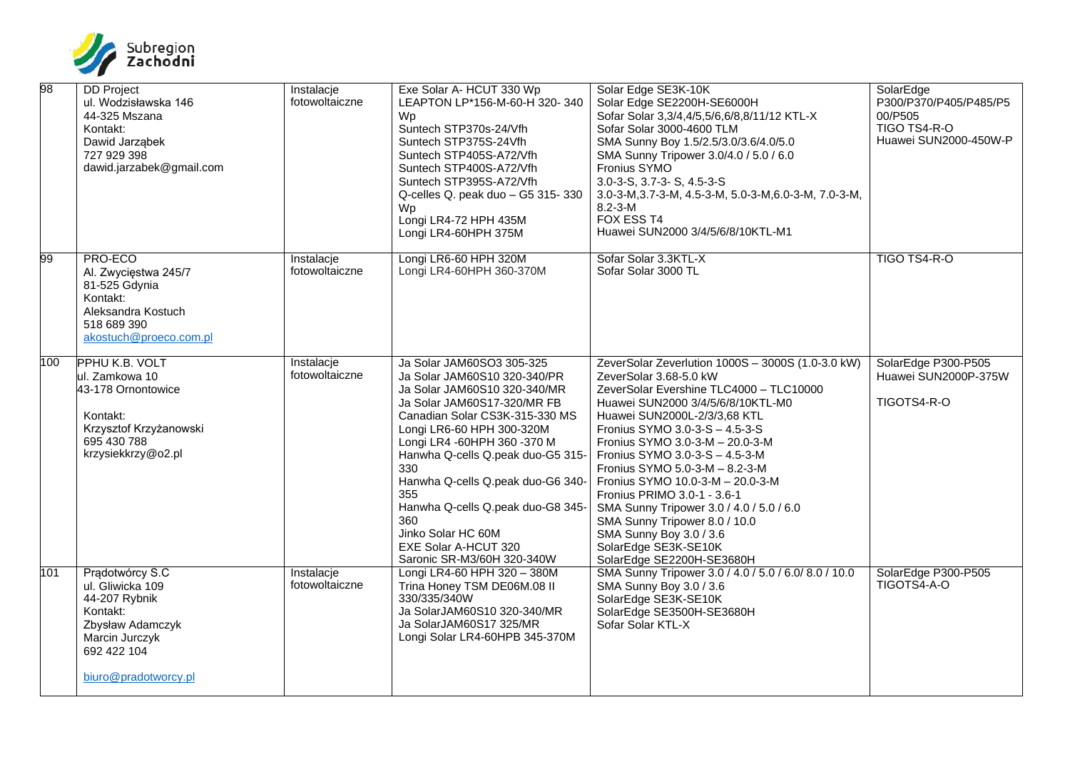

| 98  | <b>DD</b> Project<br>ul. Wodzisławska 146<br>44-325 Mszana<br>Kontakt:<br>Dawid Jarząbek<br>727 929 398<br>dawid.jarzabek@gmail.com           | Instalacje<br>fotowoltaiczne | Exe Solar A- HCUT 330 Wp<br>LEAPTON LP*156-M-60-H 320-340<br>Wp<br>Suntech STP370s-24/Vfh<br>Suntech STP375S-24Vfh<br>Suntech STP405S-A72/Vfh<br>Suntech STP400S-A72/Vfh<br>Suntech STP395S-A72/Vfh<br>Q-celles Q. peak duo - G5 315- 330<br>Wp.<br>Longi LR4-72 HPH 435M<br>Longi LR4-60HPH 375M                                                                                                                                             | Solar Edge SE3K-10K<br>Solar Edge SE2200H-SE6000H<br>Sofar Solar 3,3/4,4/5,5/6,6/8,8/11/12 KTL-X<br>Sofar Solar 3000-4600 TLM<br>SMA Sunny Boy 1.5/2.5/3.0/3.6/4.0/5.0<br>SMA Sunny Tripower 3.0/4.0 / 5.0 / 6.0<br>Fronius SYMO<br>3.0-3-S, 3.7-3-S, 4.5-3-S<br>3.0-3-M, 3.7-3-M, 4.5-3-M, 5.0-3-M, 6.0-3-M, 7.0-3-M,<br>$8.2 - 3 - M$<br>FOX ESS T4<br>Huawei SUN2000 3/4/5/6/8/10KTL-M1                                                                                                                                                                           | SolarEdge<br>P300/P370/P405/P485/P5<br>00/P505<br>TIGO TS4-R-O<br>Huawei SUN2000-450W-P |
|-----|-----------------------------------------------------------------------------------------------------------------------------------------------|------------------------------|-----------------------------------------------------------------------------------------------------------------------------------------------------------------------------------------------------------------------------------------------------------------------------------------------------------------------------------------------------------------------------------------------------------------------------------------------|----------------------------------------------------------------------------------------------------------------------------------------------------------------------------------------------------------------------------------------------------------------------------------------------------------------------------------------------------------------------------------------------------------------------------------------------------------------------------------------------------------------------------------------------------------------------|-----------------------------------------------------------------------------------------|
| 99  | PRO-ECO<br>Al. Zwycięstwa 245/7<br>81-525 Gdynia<br>Kontakt:<br>Aleksandra Kostuch<br>518 689 390<br>akostuch@proeco.com.pl                   | Instalacje<br>fotowoltaiczne | Longi LR6-60 HPH 320M<br>Longi LR4-60HPH 360-370M                                                                                                                                                                                                                                                                                                                                                                                             | Sofar Solar 3.3KTL-X<br>Sofar Solar 3000 TL                                                                                                                                                                                                                                                                                                                                                                                                                                                                                                                          | TIGO TS4-R-O                                                                            |
| 100 | <b>PPHU K.B. VOLT</b><br>ul. Zamkowa 10<br>43-178 Ornontowice<br>Kontakt:<br>Krzysztof Krzyżanowski<br>695 430 788<br>krzysiekkrzy@o2.pl      | Instalacje<br>fotowoltaiczne | Ja Solar JAM60SO3 305-325<br>Ja Solar JAM60S10 320-340/PR<br>Ja Solar JAM60S10 320-340/MR<br>Ja Solar JAM60S17-320/MR FB<br>Canadian Solar CS3K-315-330 MS<br>Longi LR6-60 HPH 300-320M<br>Longi LR4 -60HPH 360 -370 M<br>Hanwha Q-cells Q.peak duo-G5 315-<br>330<br>Hanwha Q-cells Q.peak duo-G6 340-<br>355<br>Hanwha Q-cells Q.peak duo-G8 345-<br>360<br>Jinko Solar HC 60M<br><b>EXE Solar A-HCUT 320</b><br>Saronic SR-M3/60H 320-340W | ZeverSolar Zeverlution 1000S - 3000S (1.0-3.0 kW)<br>ZeverSolar 3.68-5.0 kW<br>ZeverSolar Evershine TLC4000 - TLC10000<br>Huawei SUN2000 3/4/5/6/8/10KTL-M0<br>Huawei SUN2000L-2/3/3,68 KTL<br>Fronius SYMO 3.0-3-S - 4.5-3-S<br>Fronius SYMO 3.0-3-M - 20.0-3-M<br>Fronius SYMO 3.0-3-S - 4.5-3-M<br>Fronius SYMO 5.0-3-M - 8.2-3-M<br>Fronius SYMO 10.0-3-M - 20.0-3-M<br>Fronius PRIMO 3.0-1 - 3.6-1<br>SMA Sunny Tripower 3.0 / 4.0 / 5.0 / 6.0<br>SMA Sunny Tripower 8.0 / 10.0<br>SMA Sunny Boy 3.0 / 3.6<br>SolarEdge SE3K-SE10K<br>SolarEdge SE2200H-SE3680H | SolarEdge P300-P505<br>Huawei SUN2000P-375W<br>TIGOTS4-R-O                              |
| 101 | Pradotwórcy S.C<br>ul. Gliwicka 109<br>44-207 Rybnik<br>Kontakt:<br>Zbysław Adamczyk<br>Marcin Jurczyk<br>692 422 104<br>biuro@pradotworcy.pl | Instalacje<br>fotowoltaiczne | Longi LR4-60 HPH 320 - 380M<br>Trina Honey TSM DE06M.08 II<br>330/335/340W<br>Ja SolarJAM60S10 320-340/MR<br>Ja SolarJAM60S17 325/MR<br>Longi Solar LR4-60HPB 345-370M                                                                                                                                                                                                                                                                        | SMA Sunny Tripower 3.0 / 4.0 / 5.0 / 6.0 / 8.0 / 10.0<br>SMA Sunny Boy 3.0 / 3.6<br>SolarEdge SE3K-SE10K<br>SolarEdge SE3500H-SE3680H<br>Sofar Solar KTL-X                                                                                                                                                                                                                                                                                                                                                                                                           | SolarEdge P300-P505<br>TIGOTS4-A-O                                                      |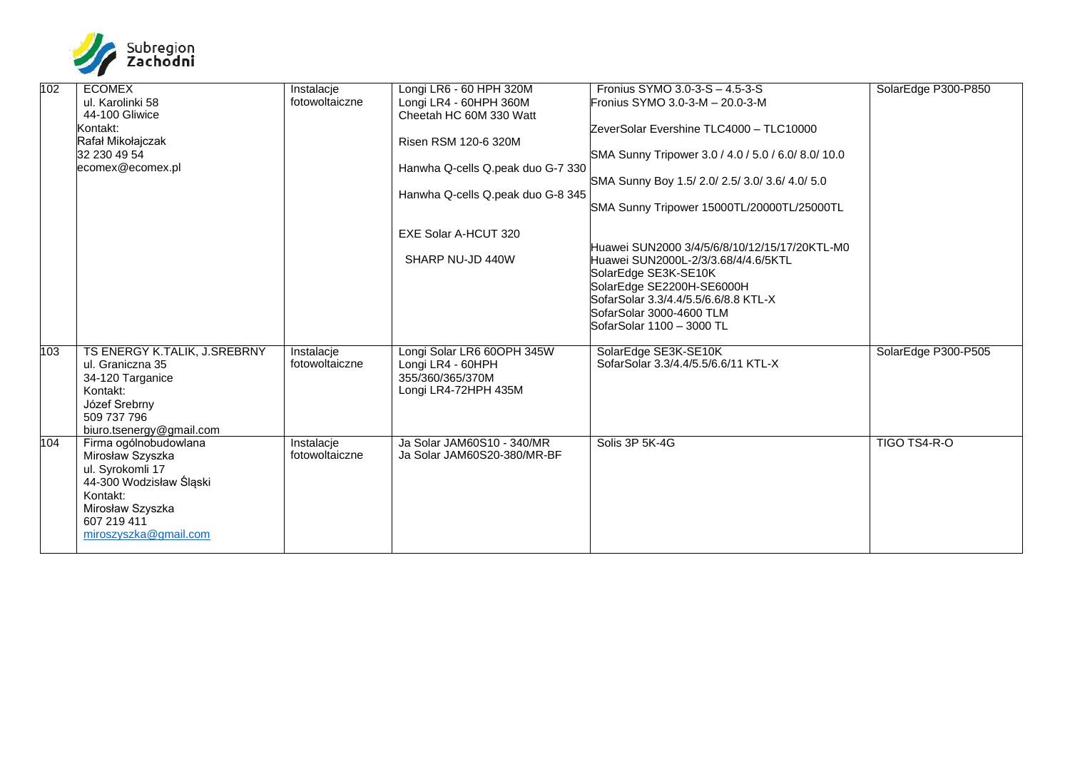

| 102 | <b>ECOMEX</b><br>ul. Karolinki 58<br>44-100 Gliwice                                                                                                              | Instalacje<br>fotowoltaiczne | Longi LR6 - 60 HPH 320M<br>Longi LR4 - 60HPH 360M<br>Cheetah HC 60M 330 Watt                | Fronius SYMO 3.0-3-S - 4.5-3-S<br>Fronius SYMO 3.0-3-M - 20.0-3-M                                                                                                                                                                          | SolarEdge P300-P850 |
|-----|------------------------------------------------------------------------------------------------------------------------------------------------------------------|------------------------------|---------------------------------------------------------------------------------------------|--------------------------------------------------------------------------------------------------------------------------------------------------------------------------------------------------------------------------------------------|---------------------|
|     | Kontakt:<br>Rafał Mikołajczak                                                                                                                                    |                              | Risen RSM 120-6 320M                                                                        | ZeverSolar Evershine TLC4000 - TLC10000                                                                                                                                                                                                    |                     |
|     | 32 230 49 54<br>ecomex@ecomex.pl                                                                                                                                 |                              | Hanwha Q-cells Q.peak duo G-7 330                                                           | SMA Sunny Tripower 3.0 / 4.0 / 5.0 / 6.0 / 8.0 / 10.0                                                                                                                                                                                      |                     |
|     |                                                                                                                                                                  |                              | Hanwha Q-cells Q.peak duo G-8 345                                                           | SMA Sunny Boy 1.5/ 2.0/ 2.5/ 3.0/ 3.6/ 4.0/ 5.0                                                                                                                                                                                            |                     |
|     |                                                                                                                                                                  |                              |                                                                                             | SMA Sunny Tripower 15000TL/20000TL/25000TL                                                                                                                                                                                                 |                     |
|     |                                                                                                                                                                  |                              | EXE Solar A-HCUT 320                                                                        |                                                                                                                                                                                                                                            |                     |
|     |                                                                                                                                                                  |                              | SHARP NU-JD 440W                                                                            | Huawei SUN2000 3/4/5/6/8/10/12/15/17/20KTL-M0<br>Huawei SUN2000L-2/3/3.68/4/4.6/5KTL<br>SolarEdge SE3K-SE10K<br>SolarEdge SE2200H-SE6000H<br>SofarSolar 3.3/4.4/5.5/6.6/8.8 KTL-X<br>SofarSolar 3000-4600 TLM<br>SofarSolar 1100 – 3000 TL |                     |
| 103 | TS ENERGY K.TALIK, J.SREBRNY<br>ul. Graniczna 35<br>34-120 Targanice<br>Kontakt:<br>Józef Srebrny<br>509 737 796<br>biuro.tsenergy@gmail.com                     | Instalacje<br>fotowoltaiczne | Longi Solar LR6 60OPH 345W<br>Longi LR4 - 60HPH<br>355/360/365/370M<br>Longi LR4-72HPH 435M | SolarEdge SE3K-SE10K<br>SofarSolar 3.3/4.4/5.5/6.6/11 KTL-X                                                                                                                                                                                | SolarEdge P300-P505 |
| 104 | Firma ogólnobudowlana<br>Mirosław Szyszka<br>ul. Syrokomli 17<br>44-300 Wodzisław Śląski<br>Kontakt:<br>Mirosław Szyszka<br>607 219 411<br>miroszyszka@gmail.com | Instalacje<br>fotowoltaiczne | Ja Solar JAM60S10 - 340/MR<br>Ja Solar JAM60S20-380/MR-BF                                   | Solis 3P 5K-4G                                                                                                                                                                                                                             | TIGO TS4-R-O        |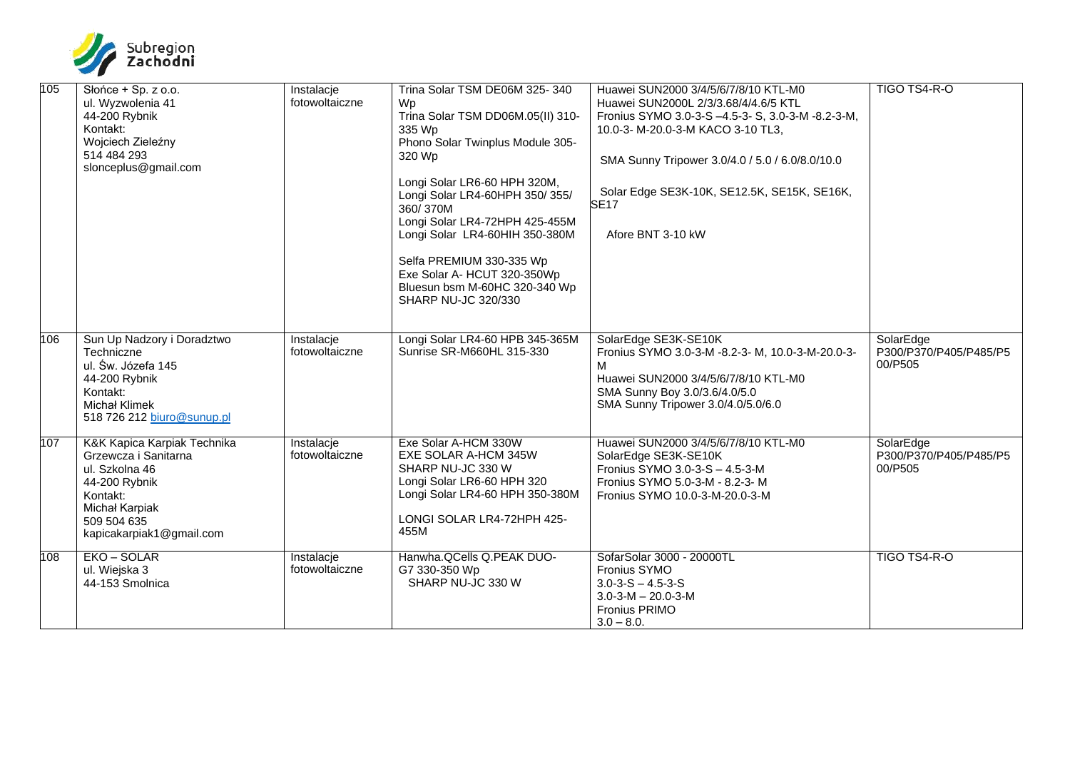

| 105 | Słońce + Sp. z o.o.<br>ul. Wyzwolenia 41<br>44-200 Rybnik<br>Kontakt:<br>Wojciech Zieleźny<br>514 484 293<br>slonceplus@gmail.com                               | Instalacje<br>fotowoltaiczne | Trina Solar TSM DE06M 325-340<br>Wp<br>Trina Solar TSM DD06M.05(II) 310-<br>335 Wp<br>Phono Solar Twinplus Module 305-<br>320 Wp<br>Longi Solar LR6-60 HPH 320M,<br>Longi Solar LR4-60HPH 350/355/<br>360/370M<br>Longi Solar LR4-72HPH 425-455M<br>Longi Solar LR4-60HIH 350-380M<br>Selfa PREMIUM 330-335 Wp<br>Exe Solar A- HCUT 320-350Wp<br>Bluesun bsm M-60HC 320-340 Wp<br><b>SHARP NU-JC 320/330</b> | Huawei SUN2000 3/4/5/6/7/8/10 KTL-M0<br>Huawei SUN2000L 2/3/3.68/4/4.6/5 KTL<br>Fronius SYMO 3.0-3-S -4.5-3- S, 3.0-3-M -8.2-3-M,<br>10.0-3- M-20.0-3-M KACO 3-10 TL3,<br>SMA Sunny Tripower 3.0/4.0 / 5.0 / 6.0/8.0/10.0<br>Solar Edge SE3K-10K, SE12.5K, SE15K, SE16K,<br><b>SE17</b><br>Afore BNT 3-10 kW | TIGO TS4-R-O                                   |
|-----|-----------------------------------------------------------------------------------------------------------------------------------------------------------------|------------------------------|--------------------------------------------------------------------------------------------------------------------------------------------------------------------------------------------------------------------------------------------------------------------------------------------------------------------------------------------------------------------------------------------------------------|--------------------------------------------------------------------------------------------------------------------------------------------------------------------------------------------------------------------------------------------------------------------------------------------------------------|------------------------------------------------|
| 106 | Sun Up Nadzory i Doradztwo<br>Techniczne<br>ul. Św. Józefa 145<br>44-200 Rybnik<br>Kontakt:<br><b>Michał Klimek</b><br>518 726 212 biuro@sunup.pl               | Instalacje<br>fotowoltaiczne | Longi Solar LR4-60 HPB 345-365M<br>Sunrise SR-M660HL 315-330                                                                                                                                                                                                                                                                                                                                                 | SolarEdge SE3K-SE10K<br>Fronius SYMO 3.0-3-M -8.2-3- M, 10.0-3-M-20.0-3-<br>м<br>Huawei SUN2000 3/4/5/6/7/8/10 KTL-M0<br>SMA Sunny Boy 3.0/3.6/4.0/5.0<br>SMA Sunny Tripower 3.0/4.0/5.0/6.0                                                                                                                 | SolarEdge<br>P300/P370/P405/P485/P5<br>00/P505 |
| 107 | K&K Kapica Karpiak Technika<br>Grzewcza i Sanitarna<br>ul. Szkolna 46<br>44-200 Rybnik<br>Kontakt:<br>Michał Karpiak<br>509 504 635<br>kapicakarpiak1@gmail.com | Instalacje<br>fotowoltaiczne | Exe Solar A-HCM 330W<br>EXE SOLAR A-HCM 345W<br>SHARP NU-JC 330 W<br>Longi Solar LR6-60 HPH 320<br>Longi Solar LR4-60 HPH 350-380M<br>LONGI SOLAR LR4-72HPH 425-<br>455M                                                                                                                                                                                                                                     | Huawei SUN2000 3/4/5/6/7/8/10 KTL-M0<br>SolarEdge SE3K-SE10K<br>Fronius SYMO 3.0-3-S - 4.5-3-M<br>Fronius SYMO 5.0-3-M - 8.2-3-M<br>Fronius SYMO 10.0-3-M-20.0-3-M                                                                                                                                           | SolarEdge<br>P300/P370/P405/P485/P5<br>00/P505 |
| 108 | EKO - SOLAR<br>ul. Wiejska 3<br>44-153 Smolnica                                                                                                                 | Instalacje<br>fotowoltaiczne | Hanwha. QCells Q. PEAK DUO-<br>G7 330-350 Wp<br>SHARP NU-JC 330 W                                                                                                                                                                                                                                                                                                                                            | SofarSolar 3000 - 20000TL<br>Fronius SYMO<br>$3.0 - 3 - S - 4.5 - 3 - S$<br>$3.0 - 3 - M - 20.0 - 3 - M$<br><b>Fronius PRIMO</b><br>$3.0 - 8.0.$                                                                                                                                                             | TIGO TS4-R-O                                   |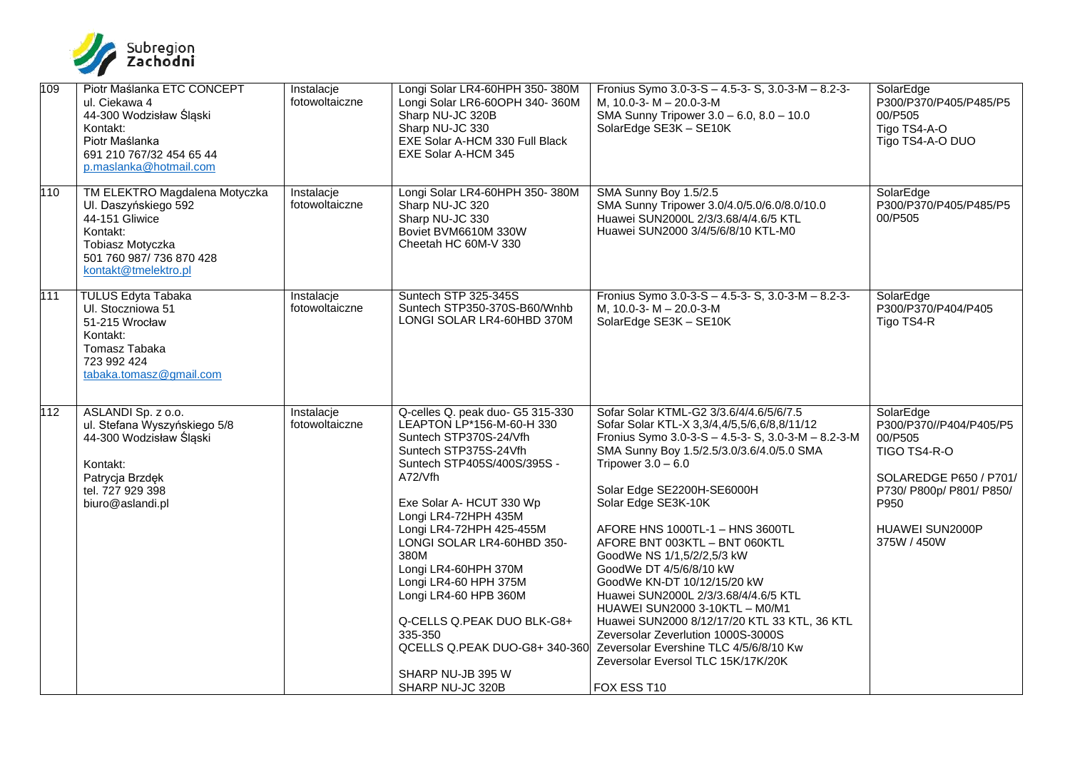

| 109 | Piotr Maślanka ETC CONCEPT<br>ul. Ciekawa 4<br>44-300 Wodzisław Śląski<br>Kontakt:<br>Piotr Maślanka<br>691 210 767/32 454 65 44<br>p.maslanka@hotmail.com  | Instalacje<br>fotowoltaiczne | Longi Solar LR4-60HPH 350-380M<br>Longi Solar LR6-60OPH 340-360M<br>Sharp NU-JC 320B<br>Sharp NU-JC 330<br>EXE Solar A-HCM 330 Full Black<br>EXE Solar A-HCM 345                                                                                                                                                                                                                                                                                                              | Fronius Symo 3.0-3-S - 4.5-3- S, 3.0-3-M - 8.2-3-<br>M, 10.0-3-M - 20.0-3-M<br>SMA Sunny Tripower 3.0 - 6.0, 8.0 - 10.0<br>SolarEdge SE3K - SE10K                                                                                                                                                                                                                                                                                                                                                                                                                                                                                                                                                 | SolarEdge<br>P300/P370/P405/P485/P5<br>00/P505<br>Tigo TS4-A-O<br>Tigo TS4-A-O DUO                                                                              |
|-----|-------------------------------------------------------------------------------------------------------------------------------------------------------------|------------------------------|-------------------------------------------------------------------------------------------------------------------------------------------------------------------------------------------------------------------------------------------------------------------------------------------------------------------------------------------------------------------------------------------------------------------------------------------------------------------------------|---------------------------------------------------------------------------------------------------------------------------------------------------------------------------------------------------------------------------------------------------------------------------------------------------------------------------------------------------------------------------------------------------------------------------------------------------------------------------------------------------------------------------------------------------------------------------------------------------------------------------------------------------------------------------------------------------|-----------------------------------------------------------------------------------------------------------------------------------------------------------------|
| 110 | TM ELEKTRO Magdalena Motyczka<br>Ul. Daszyńskiego 592<br>44-151 Gliwice<br>Kontakt:<br>Tobiasz Motyczka<br>501 760 987/ 736 870 428<br>kontakt@tmelektro.pl | Instalacje<br>fotowoltaiczne | Longi Solar LR4-60HPH 350-380M<br>Sharp NU-JC 320<br>Sharp NU-JC 330<br>Boviet BVM6610M 330W<br>Cheetah HC 60M-V 330                                                                                                                                                                                                                                                                                                                                                          | SMA Sunny Boy 1.5/2.5<br>SMA Sunny Tripower 3.0/4.0/5.0/6.0/8.0/10.0<br>Huawei SUN2000L 2/3/3.68/4/4.6/5 KTL<br>Huawei SUN2000 3/4/5/6/8/10 KTL-M0                                                                                                                                                                                                                                                                                                                                                                                                                                                                                                                                                | SolarEdge<br>P300/P370/P405/P485/P5<br>00/P505                                                                                                                  |
| 111 | <b>TULUS Edyta Tabaka</b><br>UI. Stoczniowa 51<br>51-215 Wrocław<br>Kontakt:<br>Tomasz Tabaka<br>723 992 424<br>tabaka.tomasz@gmail.com                     | Instalacje<br>fotowoltaiczne | Suntech STP 325-345S<br>Suntech STP350-370S-B60/Wnhb<br>LONGI SOLAR LR4-60HBD 370M                                                                                                                                                                                                                                                                                                                                                                                            | Fronius Symo $3.0 - 3 - S - 4.5 - 3 - S$ , $3.0 - 3 - M - 8.2 - 3 -$<br>M, 10.0-3- $M - 20.0 - 3 - M$<br>SolarEdge SE3K - SE10K                                                                                                                                                                                                                                                                                                                                                                                                                                                                                                                                                                   | SolarEdge<br>P300/P370/P404/P405<br>Tigo TS4-R                                                                                                                  |
| 112 | ASLANDI Sp. z o.o.<br>ul. Stefana Wyszyńskiego 5/8<br>44-300 Wodzisław Śląski<br>Kontakt:<br>Patrycja Brzdęk<br>tel. 727 929 398<br>biuro@aslandi.pl        | Instalacje<br>fotowoltaiczne | Q-celles Q. peak duo- G5 315-330<br>LEAPTON LP*156-M-60-H 330<br>Suntech STP370S-24/Vfh<br>Suntech STP375S-24Vfh<br>Suntech STP405S/400S/395S -<br>A72/Vfh<br>Exe Solar A- HCUT 330 Wp<br>Longi LR4-72HPH 435M<br>Longi LR4-72HPH 425-455M<br>LONGI SOLAR LR4-60HBD 350-<br>380M<br>Longi LR4-60HPH 370M<br>Longi LR4-60 HPH 375M<br>Longi LR4-60 HPB 360M<br>Q-CELLS Q.PEAK DUO BLK-G8+<br>335-350<br>QCELLS Q.PEAK DUO-G8+ 340-360<br>SHARP NU-JB 395 W<br>SHARP NU-JC 320B | Sofar Solar KTML-G2 3/3.6/4/4.6/5/6/7.5<br>Sofar Solar KTL-X 3,3/4,4/5,5/6,6/8,8/11/12<br>Fronius Symo 3.0-3-S - 4.5-3- S, 3.0-3-M - 8.2-3-M<br>SMA Sunny Boy 1.5/2.5/3.0/3.6/4.0/5.0 SMA<br>Tripower $3.0 - 6.0$<br>Solar Edge SE2200H-SE6000H<br>Solar Edge SE3K-10K<br>AFORE HNS 1000TL-1 - HNS 3600TL<br>AFORE BNT 003KTL - BNT 060KTL<br>GoodWe NS 1/1,5/2/2,5/3 kW<br>GoodWe DT 4/5/6/8/10 kW<br>GoodWe KN-DT 10/12/15/20 kW<br>Huawei SUN2000L 2/3/3.68/4/4.6/5 KTL<br>HUAWEI SUN2000 3-10KTL - M0/M1<br>Huawei SUN2000 8/12/17/20 KTL 33 KTL, 36 KTL<br>Zeversolar Zeverlution 1000S-3000S<br>Zeversolar Evershine TLC 4/5/6/8/10 Kw<br>Zeversolar Eversol TLC 15K/17K/20K<br>FOX ESS T10 | SolarEdge<br>P300/P370//P404/P405/P5<br>00/P505<br>TIGO TS4-R-O<br>SOLAREDGE P650 / P701/<br>P730/ P800p/ P801/ P850/<br>P950<br>HUAWEI SUN2000P<br>375W / 450W |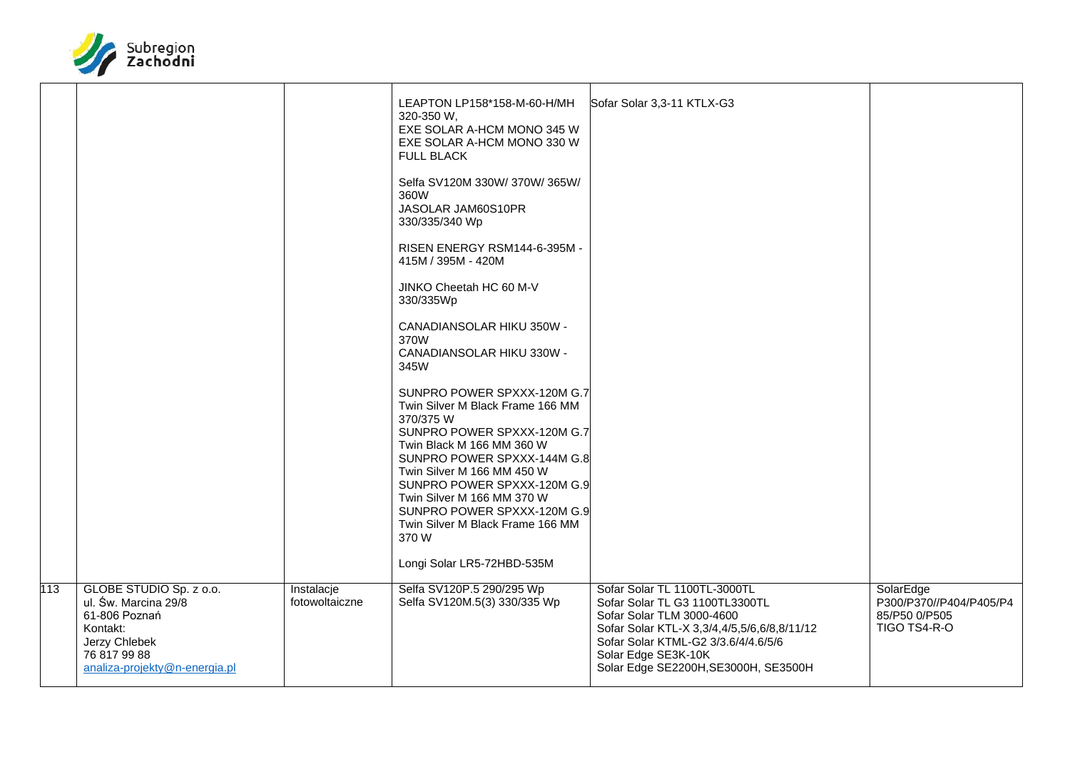

|     |                                                                                                                                                |                              | LEAPTON LP158*158-M-60-H/MH<br>320-350 W,<br>EXE SOLAR A-HCM MONO 345 W<br>EXE SOLAR A-HCM MONO 330 W<br><b>FULL BLACK</b><br>Selfa SV120M 330W/370W/365W/<br>360W<br>JASOLAR JAM60S10PR<br>330/335/340 Wp<br>RISEN ENERGY RSM144-6-395M -<br>415M / 395M - 420M<br>JINKO Cheetah HC 60 M-V<br>330/335Wp<br>CANADIANSOLAR HIKU 350W -<br>370W<br>CANADIANSOLAR HIKU 330W -<br>345W<br>SUNPRO POWER SPXXX-120M G.7<br>Twin Silver M Black Frame 166 MM<br>370/375 W<br>SUNPRO POWER SPXXX-120M G.7<br>Twin Black M 166 MM 360 W<br>SUNPRO POWER SPXXX-144M G.8<br>Twin Silver M 166 MM 450 W<br>SUNPRO POWER SPXXX-120M G.9<br>Twin Silver M 166 MM 370 W<br>SUNPRO POWER SPXXX-120M G.9<br>Twin Silver M Black Frame 166 MM<br>370W<br>Longi Solar LR5-72HBD-535M | Sofar Solar 3,3-11 KTLX-G3                                                                                                                                                                                                                       |                                                                       |
|-----|------------------------------------------------------------------------------------------------------------------------------------------------|------------------------------|-------------------------------------------------------------------------------------------------------------------------------------------------------------------------------------------------------------------------------------------------------------------------------------------------------------------------------------------------------------------------------------------------------------------------------------------------------------------------------------------------------------------------------------------------------------------------------------------------------------------------------------------------------------------------------------------------------------------------------------------------------------------|--------------------------------------------------------------------------------------------------------------------------------------------------------------------------------------------------------------------------------------------------|-----------------------------------------------------------------------|
| 113 | GLOBE STUDIO Sp. z o.o.<br>ul. Św. Marcina 29/8<br>61-806 Poznań<br>Kontakt:<br>Jerzy Chlebek<br>76 817 99 88<br>analiza-projekty@n-energia.pl | Instalacje<br>fotowoltaiczne | Selfa SV120P.5 290/295 Wp<br>Selfa SV120M.5(3) 330/335 Wp                                                                                                                                                                                                                                                                                                                                                                                                                                                                                                                                                                                                                                                                                                         | Sofar Solar TL 1100TL-3000TL<br>Sofar Solar TL G3 1100TL3300TL<br>Sofar Solar TLM 3000-4600<br>Sofar Solar KTL-X 3,3/4,4/5,5/6,6/8,8/11/12<br>Sofar Solar KTML-G2 3/3.6/4/4.6/5/6<br>Solar Edge SE3K-10K<br>Solar Edge SE2200H, SE3000H, SE3500H | SolarEdge<br>P300/P370//P404/P405/P4<br>85/P50 0/P505<br>TIGO TS4-R-O |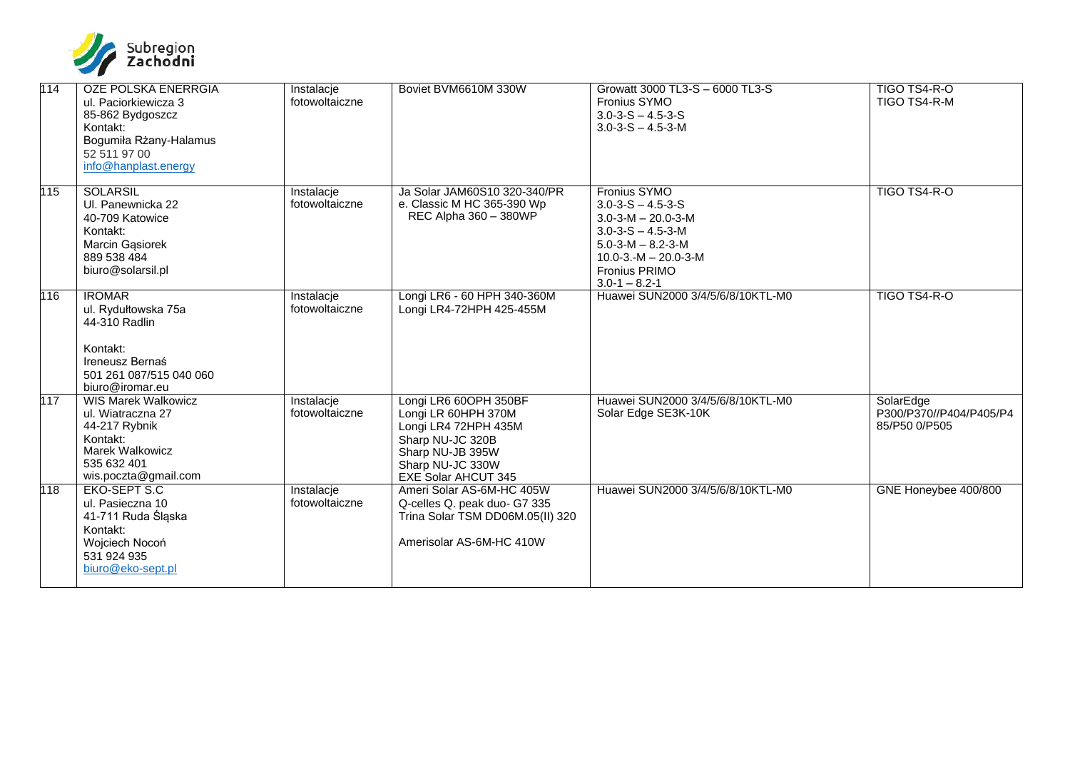

| 114 | OZE POLSKA ENERRGIA<br>ul. Paciorkiewicza 3<br>85-862 Bydgoszcz<br>Kontakt:<br>Bogumiła Rżany-Halamus<br>52 511 97 00<br>info@hanplast.energy | Instalacje<br>fotowoltaiczne | Boviet BVM6610M 330W                                                                                                                                           | Growatt 3000 TL3-S - 6000 TL3-S<br>Fronius SYMO<br>$3.0 - 3 - S - 4.5 - 3 - S$<br>$3.0 - 3 - S - 4.5 - 3 - M$                                                                                                      | TIGO TS4-R-O<br>TIGO TS4-R-M                          |
|-----|-----------------------------------------------------------------------------------------------------------------------------------------------|------------------------------|----------------------------------------------------------------------------------------------------------------------------------------------------------------|--------------------------------------------------------------------------------------------------------------------------------------------------------------------------------------------------------------------|-------------------------------------------------------|
| 115 | <b>SOLARSIL</b><br>UI. Panewnicka 22<br>40-709 Katowice<br>Kontakt:<br>Marcin Gasiorek<br>889 538 484<br>biuro@solarsil.pl                    | Instalacje<br>fotowoltaiczne | Ja Solar JAM60S10 320-340/PR<br>e. Classic M HC 365-390 Wp<br>REC Alpha 360 - 380WP                                                                            | Fronius SYMO<br>$3.0 - 3 - S - 4.5 - 3 - S$<br>$3.0 - 3 - M - 20.0 - 3 - M$<br>$3.0 - 3 - S - 4.5 - 3 - M$<br>$5.0 - 3 - M - 8.2 - 3 - M$<br>$10.0 - 3 - M - 20.0 - 3 - M$<br>Fronius PRIMO<br>$3.0 - 1 - 8.2 - 1$ | TIGO TS4-R-O                                          |
| 116 | <b>IROMAR</b><br>ul. Rydułtowska 75a<br>44-310 Radlin<br>Kontakt:<br>Ireneusz Bernaś<br>501 261 087/515 040 060<br>biuro@iromar.eu            | Instalacje<br>fotowoltaiczne | Longi LR6 - 60 HPH 340-360M<br>Longi LR4-72HPH 425-455M                                                                                                        | Huawei SUN2000 3/4/5/6/8/10KTL-M0                                                                                                                                                                                  | TIGO TS4-R-O                                          |
| 117 | <b>WIS Marek Walkowicz</b><br>ul. Wiatraczna 27<br>44-217 Rybnik<br>Kontakt:<br><b>Marek Walkowicz</b><br>535 632 401<br>wis.poczta@gmail.com | Instalacje<br>fotowoltaiczne | Longi LR6 60OPH 350BF<br>Longi LR 60HPH 370M<br>Longi LR4 72HPH 435M<br>Sharp NU-JC 320B<br>Sharp NU-JB 395W<br>Sharp NU-JC 330W<br><b>EXE Solar AHCUT 345</b> | Huawei SUN2000 3/4/5/6/8/10KTL-M0<br>Solar Edge SE3K-10K                                                                                                                                                           | SolarEdge<br>P300/P370//P404/P405/P4<br>85/P50 0/P505 |
| 118 | <b>EKO-SEPT S.C</b><br>ul. Pasieczna 10<br>41-711 Ruda Śląska<br>Kontakt:<br>Wojciech Nocoń<br>531 924 935<br>biuro@eko-sept.pl               | Instalacje<br>fotowoltaiczne | Ameri Solar AS-6M-HC 405W<br>Q-celles Q. peak duo- G7 335<br>Trina Solar TSM DD06M.05(II) 320<br>Amerisolar AS-6M-HC 410W                                      | Huawei SUN2000 3/4/5/6/8/10KTL-M0                                                                                                                                                                                  | GNE Honeybee 400/800                                  |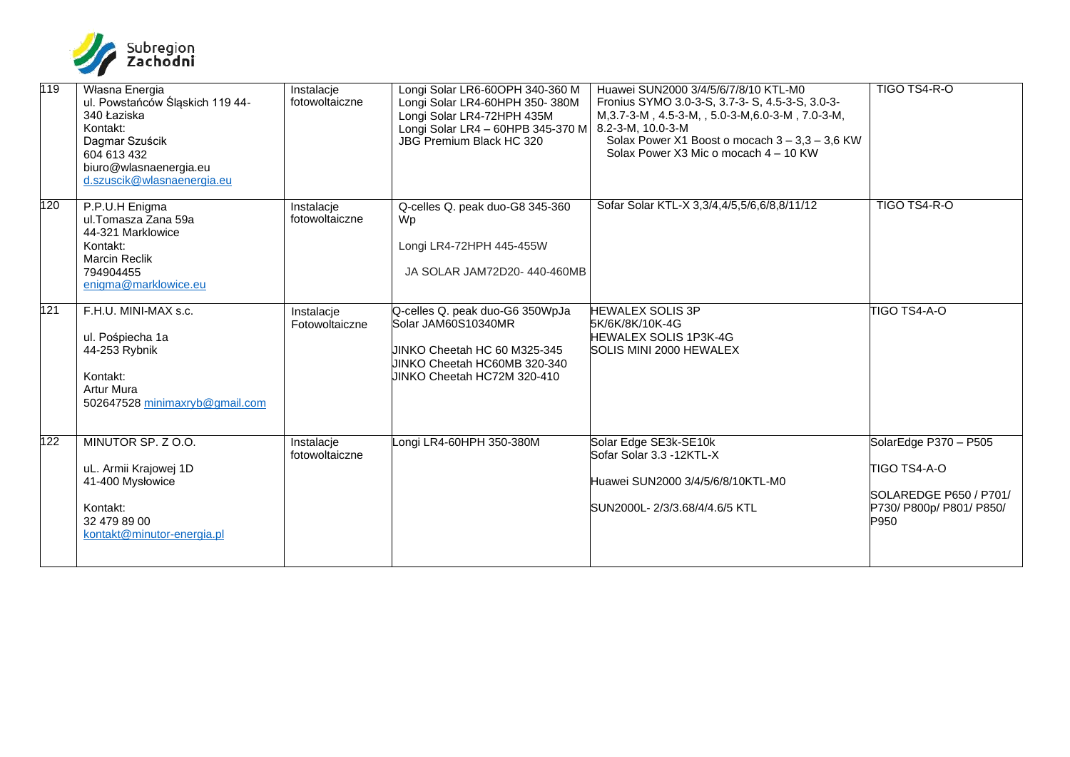

| 119 | Własna Energia<br>ul. Powstańców Śląskich 119 44-<br>340 Łaziska<br>Kontakt:<br>Dagmar Szuścik<br>604 613 432<br>biuro@wlasnaenergia.eu<br>d.szuscik@wlasnaenergia.eu | Instalacje<br>fotowoltaiczne | Longi Solar LR6-60OPH 340-360 M<br>Longi Solar LR4-60HPH 350-380M<br>Longi Solar LR4-72HPH 435M<br>Longi Solar LR4 - 60HPB 345-370 M<br>JBG Premium Black HC 320 | Huawei SUN2000 3/4/5/6/7/8/10 KTL-M0<br>Fronius SYMO 3.0-3-S, 3.7-3- S, 4.5-3-S, 3.0-3-<br>M, 3.7-3-M, 4.5-3-M, , 5.0-3-M, 6.0-3-M, 7.0-3-M,<br>8.2-3-M, 10.0-3-M<br>Solax Power X1 Boost o mocach $3 - 3.3 - 3.6$ KW<br>Solax Power X3 Mic o mocach 4 - 10 KW | TIGO TS4-R-O                                                                                        |
|-----|-----------------------------------------------------------------------------------------------------------------------------------------------------------------------|------------------------------|------------------------------------------------------------------------------------------------------------------------------------------------------------------|----------------------------------------------------------------------------------------------------------------------------------------------------------------------------------------------------------------------------------------------------------------|-----------------------------------------------------------------------------------------------------|
| 120 | P.P.U.H Enigma<br>ul.Tomasza Zana 59a<br>44-321 Marklowice<br>Kontakt:<br><b>Marcin Reclik</b><br>794904455<br>enigma@marklowice.eu                                   | Instalacje<br>fotowoltaiczne | Q-celles Q. peak duo-G8 345-360<br>Wp<br>Longi LR4-72HPH 445-455W<br>JA SOLAR JAM72D20-440-460MB                                                                 | Sofar Solar KTL-X 3,3/4,4/5,5/6,6/8,8/11/12                                                                                                                                                                                                                    | TIGO TS4-R-O                                                                                        |
| 121 | F.H.U. MINI-MAX s.c.<br>ul. Pośpiecha 1a<br>44-253 Rybnik<br>Kontakt:<br><b>Artur Mura</b><br>502647528 minimaxryb@gmail.com                                          | Instalacje<br>Fotowoltaiczne | Q-celles Q. peak duo-G6 350WpJa<br>Solar JAM60S10340MR<br>UINKO Cheetah HC 60 M325-345<br>UINKO Cheetah HC60MB 320-340<br>UINKO Cheetah HC72M 320-410            | <b>HEWALEX SOLIS 3P</b><br>5K/6K/8K/10K-4G<br><b>HEWALEX SOLIS 1P3K-4G</b><br>SOLIS MINI 2000 HEWALEX                                                                                                                                                          | TIGO TS4-A-O                                                                                        |
| 122 | MINUTOR SP. Z O.O.<br>uL. Armii Krajowej 1D<br>41-400 Mysłowice<br>Kontakt:<br>32 479 89 00<br>kontakt@minutor-energia.pl                                             | Instalacje<br>fotowoltaiczne | ongi LR4-60HPH 350-380M                                                                                                                                          | Solar Edge SE3k-SE10k<br>Sofar Solar 3.3 -12KTL-X<br>Huawei SUN2000 3/4/5/6/8/10KTL-M0<br>SUN2000L-2/3/3.68/4/4.6/5 KTL                                                                                                                                        | SolarEdge P370 - P505<br>TIGO TS4-A-O<br>SOLAREDGE P650 / P701/<br>P730/ P800p/ P801/ P850/<br>P950 |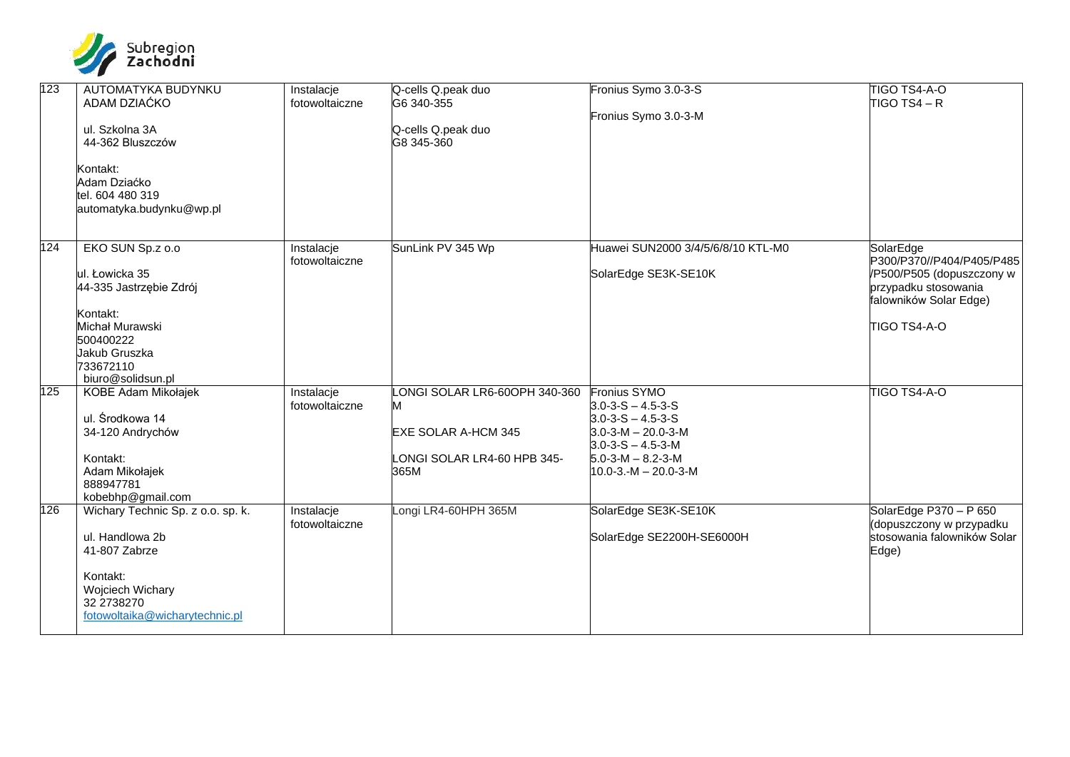

| 123 | AUTOMATYKA BUDYNKU<br>ADAM DZIAĆKO<br>ul. Szkolna 3A<br>44-362 Bluszczów<br>Kontakt:<br>Adam Dziaćko<br>tel. 604 480 319<br>automatyka.budynku@wp.pl         | Instalacje<br>fotowoltaiczne | Q-cells Q.peak duo<br>G6 340-355<br>Q-cells Q.peak duo<br>G8 345-360                                    | Fronius Symo 3.0-3-S<br>Fronius Symo 3.0-3-M                                                                                                                                                                     | TIGO TS4-A-O<br>$TIGO$ TS4 – R                                                                                                        |
|-----|--------------------------------------------------------------------------------------------------------------------------------------------------------------|------------------------------|---------------------------------------------------------------------------------------------------------|------------------------------------------------------------------------------------------------------------------------------------------------------------------------------------------------------------------|---------------------------------------------------------------------------------------------------------------------------------------|
| 124 | EKO SUN Sp.z o.o<br>ul. Łowicka 35<br>44-335 Jastrzębie Zdrój<br>Kontakt:<br>Michał Murawski<br>500400222<br>Jakub Gruszka<br>733672110<br>biuro@solidsun.pl | Instalacje<br>fotowoltaiczne | SunLink PV 345 Wp                                                                                       | Huawei SUN2000 3/4/5/6/8/10 KTL-M0<br>SolarEdge SE3K-SE10K                                                                                                                                                       | SolarEdge<br>P300/P370//P404/P405/P485<br>/P500/P505 (dopuszczony w<br>przypadku stosowania<br>falowników Solar Edge)<br>TIGO TS4-A-O |
| 125 | KOBE Adam Mikołajek<br>ul. Środkowa 14<br>34-120 Andrychów<br>Kontakt:<br>Adam Mikołajek<br>888947781<br>kobebhp@gmail.com                                   | Instalacje<br>fotowoltaiczne | LONGI SOLAR LR6-60OPH 340-360<br>M<br><b>EXE SOLAR A-HCM 345</b><br>LONGI SOLAR LR4-60 HPB 345-<br>365M | <b>Fronius SYMO</b><br>$3.0 - 3 - S - 4.5 - 3 - S$<br>$3.0 - 3 - S - 4.5 - 3 - S$<br>$3.0 - 3 - M - 20.0 - 3 - M$<br>$3.0 - 3 - S - 4.5 - 3 - M$<br>$5.0 - 3 - M - 8.2 - 3 - M$<br>$10.0 - 3 - M - 20.0 - 3 - M$ | TIGO TS4-A-O                                                                                                                          |
| 126 | Wichary Technic Sp. z o.o. sp. k.<br>ul. Handlowa 2b<br>41-807 Zabrze<br>Kontakt:<br>Wojciech Wichary<br>32 2738270<br>fotowoltaika@wicharytechnic.pl        | Instalacje<br>fotowoltaiczne | Longi LR4-60HPH 365M                                                                                    | SolarEdge SE3K-SE10K<br>SolarEdge SE2200H-SE6000H                                                                                                                                                                | SolarEdge P370 - P 650<br>dopuszczony w przypadku<br>stosowania falowników Solar<br>Edge)                                             |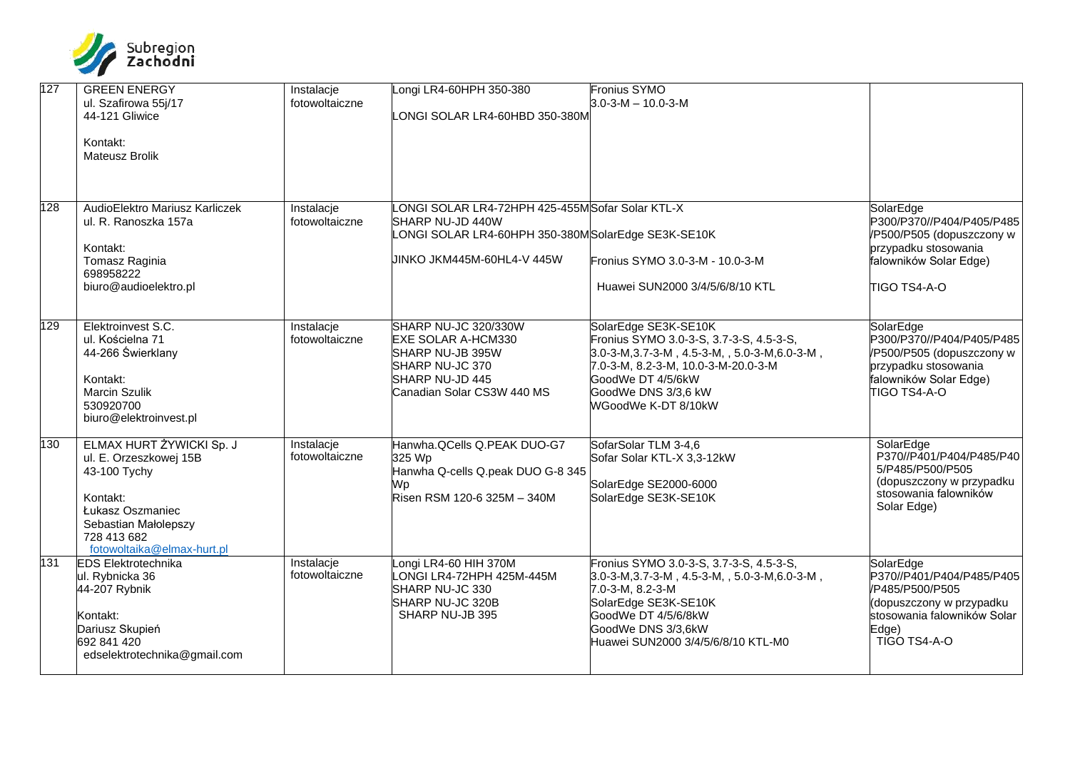

| 127 | <b>GREEN ENERGY</b><br>ul. Szafirowa 55j/17<br>44-121 Gliwice<br>Kontakt:<br><b>Mateusz Brolik</b>                                                                      | Instalacje<br>fotowoltaiczne | ongi LR4-60HPH 350-380<br>LONGI SOLAR LR4-60HBD 350-380M                                                                                               | Fronius SYMO<br>$3.0 - 3 - M - 10.0 - 3 - M$                                                                                                                                                                                                    |                                                                                                                                              |
|-----|-------------------------------------------------------------------------------------------------------------------------------------------------------------------------|------------------------------|--------------------------------------------------------------------------------------------------------------------------------------------------------|-------------------------------------------------------------------------------------------------------------------------------------------------------------------------------------------------------------------------------------------------|----------------------------------------------------------------------------------------------------------------------------------------------|
| 128 | AudioElektro Mariusz Karliczek<br>ul. R. Ranoszka 157a<br>Kontakt:<br>Tomasz Raginia<br>698958222<br>biuro@audioelektro.pl                                              | Instalacje<br>fotowoltaiczne | ONGI SOLAR LR4-72HPH 425-455M Sofar Solar KTL-X<br>SHARP NU-JD 440W<br>ONGI SOLAR LR4-60HPH 350-380MSolarEdge SE3K-SE10K<br>UINKO JKM445M-60HL4-V 445W | Fronius SYMO 3.0-3-M - 10.0-3-M<br>Huawei SUN2000 3/4/5/6/8/10 KTL                                                                                                                                                                              | SolarEdge<br>P300/P370//P404/P405/P485<br>/P500/P505 (dopuszczony w<br>przypadku stosowania<br>falowników Solar Edge)<br>TIGO TS4-A-O        |
| 129 | Elektroinvest S.C.<br>ul. Kościelna 71<br>44-266 Świerklany<br>Kontakt:<br><b>Marcin Szulik</b><br>530920700<br>biuro@elektroinvest.pl                                  | Instalacje<br>fotowoltaiczne | SHARP NU-JC 320/330W<br><b>EXE SOLAR A-HCM330</b><br>SHARP NU-JB 395W<br>SHARP NU-JC 370<br>SHARP NU-JD 445<br>Canadian Solar CS3W 440 MS              | SolarEdge SE3K-SE10K<br>Fronius SYMO 3.0-3-S, 3.7-3-S, 4.5-3-S,<br>$3.0 - 3 - M, 3.7 - 3 - M, 4.5 - 3 - M, 5.0 - 3 - M, 6.0 - 3 - M,$<br>7.0-3-M, 8.2-3-M, 10.0-3-M-20.0-3-M<br>GoodWe DT 4/5/6kW<br>GoodWe DNS 3/3,6 kW<br>WGoodWe K-DT 8/10kW | SolarEdge<br>P300/P370//P404/P405/P485<br>P500/P505 (dopuszczony w<br>przypadku stosowania<br>falowników Solar Edge)<br>TIGO TS4-A-O         |
| 130 | ELMAX HURT ŻYWICKI Sp. J<br>ul. E. Orzeszkowej 15B<br>43-100 Tychy<br>Kontakt:<br>Łukasz Oszmaniec<br>Sebastian Małolepszy<br>728 413 682<br>fotowoltaika@elmax-hurt.pl | Instalacje<br>fotowoltaiczne | Hanwha.QCells Q.PEAK DUO-G7<br>325 Wp<br>Hanwha Q-cells Q.peak DUO G-8 345<br>Wp<br>Risen RSM 120-6 325M - 340M                                        | SofarSolar TLM 3-4,6<br>Sofar Solar KTL-X 3,3-12kW<br>SolarEdge SE2000-6000<br>SolarEdge SE3K-SE10K                                                                                                                                             | SolarEdge<br>P370//P401/P404/P485/P40<br>5/P485/P500/P505<br>(dopuszczony w przypadku<br>stosowania falowników<br>Solar Edge)                |
| 131 | <b>EDS Elektrotechnika</b><br>ul. Rybnicka 36<br>44-207 Rybnik<br>Kontakt:<br>Dariusz Skupień<br>692 841 420<br>edselektrotechnika@gmail.com                            | Instalacje<br>fotowoltaiczne | ongi LR4-60 HIH 370M<br>ONGI LR4-72HPH 425M-445M<br>SHARP NU-JC 330<br>SHARP NU-JC 320B<br>SHARP NU-JB 395                                             | Fronius SYMO 3.0-3-S, 3.7-3-S, 4.5-3-S,<br>$3.0-3-M, 3.7-3-M, 4.5-3-M, 5.0-3-M, 6.0-3-M,$<br>7.0-3-M, 8.2-3-M<br>SolarEdge SE3K-SE10K<br>GoodWe DT 4/5/6/8kW<br>GoodWe DNS 3/3,6kW<br>Huawei SUN2000 3/4/5/6/8/10 KTL-M0                        | SolarEdge<br>P370//P401/P404/P485/P405<br>/P485/P500/P505<br>dopuszczony w przypadku<br>stosowania falowników Solar<br>Edge)<br>TIGO TS4-A-O |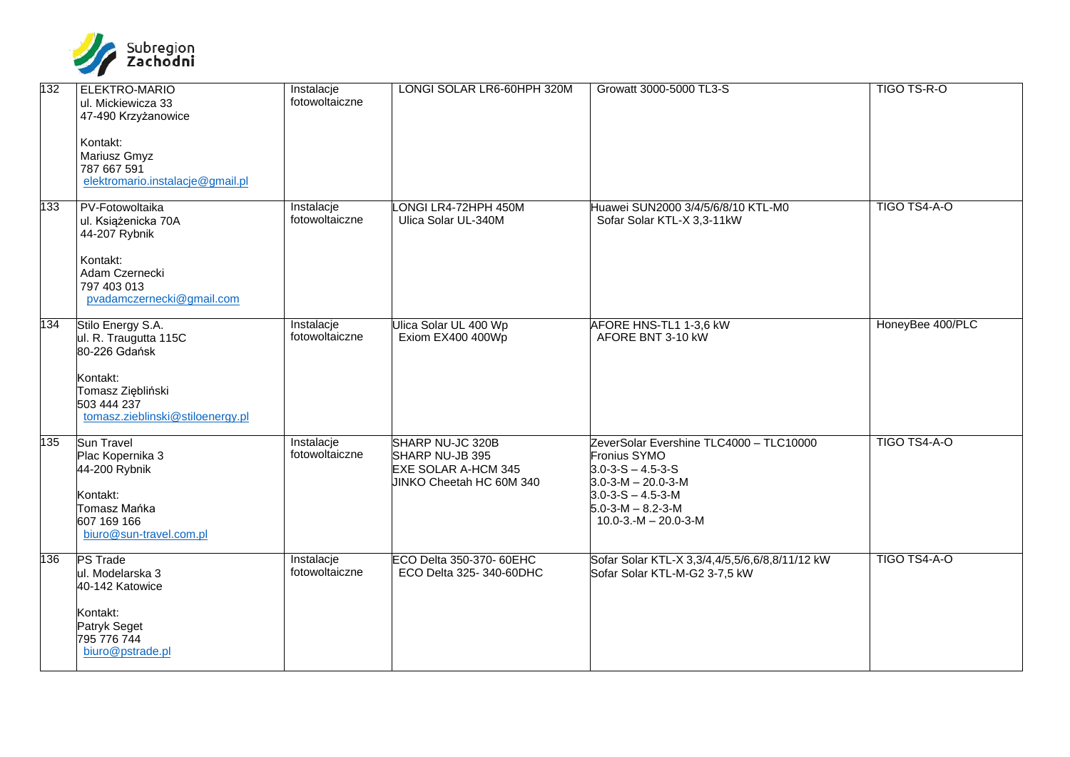

| 132 | ELEKTRO-MARIO<br>ul. Mickiewicza 33<br>47-490 Krzyżanowice<br>Kontakt:<br>Mariusz Gmyz<br>787 667 591<br>elektromario.instalacje@gmail.pl       | Instalacje<br>fotowoltaiczne | LONGI SOLAR LR6-60HPH 320M                                                                    | Growatt 3000-5000 TL3-S                                                                                                                                                                                               | TIGO TS-R-O      |
|-----|-------------------------------------------------------------------------------------------------------------------------------------------------|------------------------------|-----------------------------------------------------------------------------------------------|-----------------------------------------------------------------------------------------------------------------------------------------------------------------------------------------------------------------------|------------------|
| 133 | PV-Fotowoltaika<br>ul. Książenicka 70A<br>44-207 Rybnik<br>Kontakt:<br>Adam Czernecki<br>797 403 013<br>pvadamczernecki@gmail.com               | Instalacje<br>fotowoltaiczne | ONGI LR4-72HPH 450M<br>Ulica Solar UL-340M                                                    | Huawei SUN2000 3/4/5/6/8/10 KTL-M0<br>Sofar Solar KTL-X 3,3-11kW                                                                                                                                                      | TIGO TS4-A-O     |
| 134 | Stilo Energy S.A.<br>ul. R. Traugutta 115C<br>80-226 Gdańsk<br>Kontakt:<br>Tomasz Ziębliński<br>503 444 237<br>tomasz.zieblinski@stiloenergy.pl | Instalacje<br>fotowoltaiczne | Ulica Solar UL 400 Wp<br>Exiom EX400 400Wp                                                    | AFORE HNS-TL1 1-3,6 kW<br>AFORE BNT 3-10 kW                                                                                                                                                                           | HoneyBee 400/PLC |
| 135 | Sun Travel<br>Plac Kopernika 3<br>44-200 Rybnik<br>Kontakt:<br>Tomasz Mańka<br>607 169 166<br>biuro@sun-travel.com.pl                           | Instalacje<br>fotowoltaiczne | SHARP NU-JC 320B<br>SHARP NU-JB 395<br><b>EXE SOLAR A-HCM 345</b><br>JINKO Cheetah HC 60M 340 | ZeverSolar Evershine TLC4000 - TLC10000<br>Fronius SYMO<br>$3.0 - 3 - S - 4.5 - 3 - S$<br>$3.0 - 3 - M - 20.0 - 3 - M$<br>$3.0 - 3 - S - 4.5 - 3 - M$<br>$5.0 - 3 - M - 8.2 - 3 - M$<br>$10.0 - 3 - M - 20.0 - 3 - M$ | TIGO TS4-A-O     |
| 136 | <b>PS Trade</b><br>ul. Modelarska 3<br>40-142 Katowice<br>Kontakt:<br>Patryk Seget<br>795 776 744<br>biuro@pstrade.pl                           | Instalacje<br>fotowoltaiczne | ECO Delta 350-370- 60EHC<br>ECO Delta 325-340-60DHC                                           | Sofar Solar KTL-X 3,3/4,4/5,5/6,6/8,8/11/12 kW<br>Sofar Solar KTL-M-G2 3-7,5 kW                                                                                                                                       | TIGO TS4-A-O     |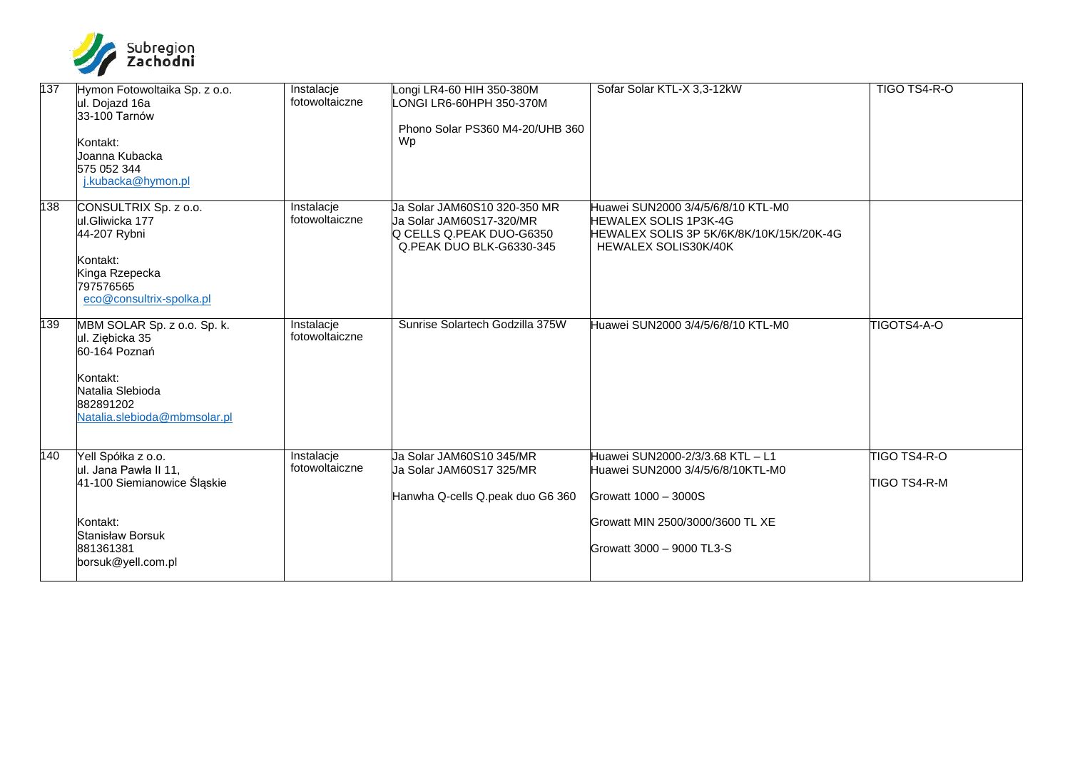

| 137 | Hymon Fotowoltaika Sp. z o.o.<br>ul. Dojazd 16a<br>33-100 Tarnów<br>Kontakt:<br>Uoanna Kubacka<br>575 052 344<br>j.kubacka@hymon.pl          | Instalacje<br>fotowoltaiczne | Longi LR4-60 HIH 350-380M<br>LONGI LR6-60HPH 350-370M<br>Phono Solar PS360 M4-20/UHB 360<br>Wp                   | Sofar Solar KTL-X 3,3-12kW                                                                                                             | TIGO TS4-R-O                 |
|-----|----------------------------------------------------------------------------------------------------------------------------------------------|------------------------------|------------------------------------------------------------------------------------------------------------------|----------------------------------------------------------------------------------------------------------------------------------------|------------------------------|
| 138 | CONSULTRIX Sp. z o.o.<br>ul.Gliwicka 177<br>44-207 Rybni<br>Kontakt:<br>Kinga Rzepecka<br>797576565<br>eco@consultrix-spolka.pl              | Instalacje<br>fotowoltaiczne | Ja Solar JAM60S10 320-350 MR<br>Ja Solar JAM60S17-320/MR<br>Q CELLS Q.PEAK DUO-G6350<br>Q.PEAK DUO BLK-G6330-345 | Huawei SUN2000 3/4/5/6/8/10 KTL-M0<br><b>HEWALEX SOLIS 1P3K-4G</b><br>HEWALEX SOLIS 3P 5K/6K/8K/10K/15K/20K-4G<br>HEWALEX SOLIS30K/40K |                              |
| 139 | MBM SOLAR Sp. z o.o. Sp. k.<br>ul. Ziębicka 35<br>60-164 Poznań<br>Kontakt:<br>Natalia Slebioda<br>882891202<br>Natalia.slebioda@mbmsolar.pl | Instalacje<br>fotowoltaiczne | Sunrise Solartech Godzilla 375W                                                                                  | Huawei SUN2000 3/4/5/6/8/10 KTL-M0                                                                                                     | TIGOTS4-A-O                  |
| 140 | Yell Spółka z o.o.<br>ul. Jana Pawła II 11,<br>41-100 Siemianowice Śląskie                                                                   | Instalacje<br>fotowoltaiczne | Ua Solar JAM60S10 345/MR<br>Ja Solar JAM60S17 325/MR<br>Hanwha Q-cells Q.peak duo G6 360                         | Huawei SUN2000-2/3/3.68 KTL – L1<br>Huawei SUN2000 3/4/5/6/8/10KTL-M0<br>Growatt 1000 - 3000S                                          | TIGO TS4-R-O<br>TIGO TS4-R-M |
|     | Kontakt:<br><b>Stanisław Borsuk</b><br>881361381<br>borsuk@yell.com.pl                                                                       |                              |                                                                                                                  | Growatt MIN 2500/3000/3600 TL XE<br>Growatt 3000 - 9000 TL3-S                                                                          |                              |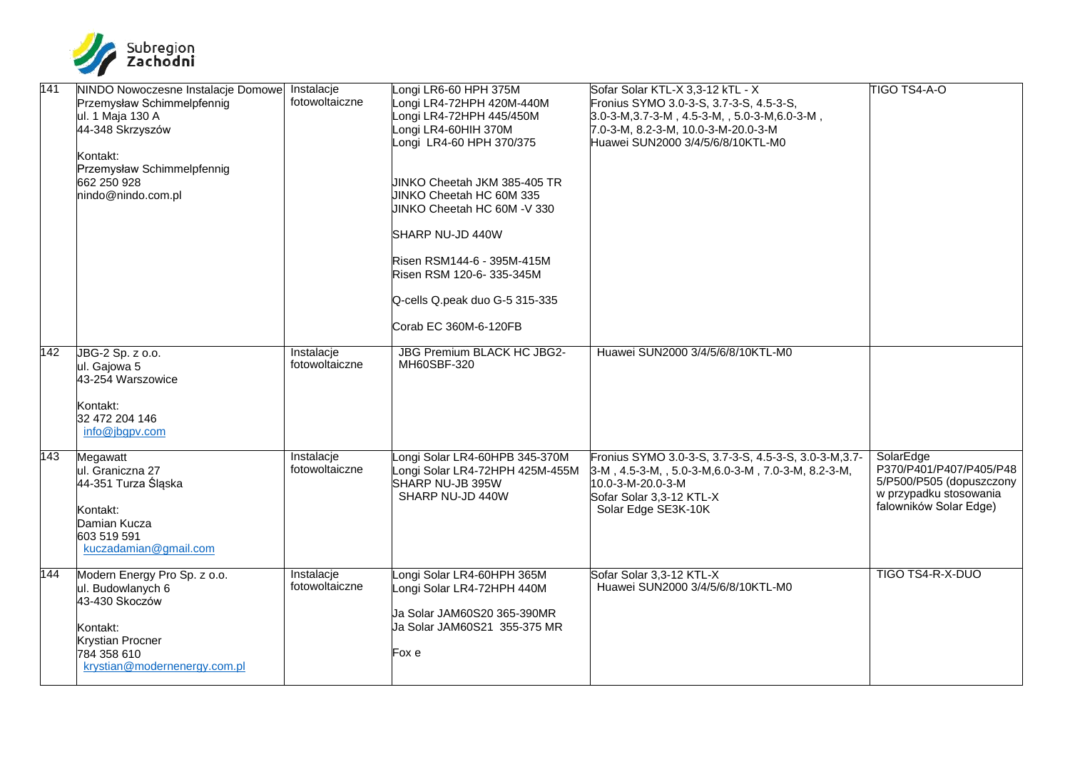

| 141 | NINDO Nowoczesne Instalacje Domowe<br>Przemysław Schimmelpfennig<br>ul. 1 Maja 130 A<br>44-348 Skrzyszów<br>Kontakt:<br>Przemysław Schimmelpfennig<br>662 250 928<br>nindo@nindo.com.pl | Instalacje<br>fotowoltaiczne | Longi LR6-60 HPH 375M<br>Longi LR4-72HPH 420M-440M<br>Longi LR4-72HPH 445/450M<br>Longi LR4-60HIH 370M<br>Longi LR4-60 HPH 370/375<br>JINKO Cheetah JKM 385-405 TR<br>JINKO Cheetah HC 60M 335<br>JINKO Cheetah HC 60M -V 330<br>SHARP NU-JD 440W<br>Risen RSM144-6 - 395M-415M<br>Risen RSM 120-6-335-345M<br>Q-cells Q.peak duo G-5 315-335<br>Corab EC 360M-6-120FB | Sofar Solar KTL-X 3,3-12 kTL - X<br>Fronius SYMO 3.0-3-S, 3.7-3-S, 4.5-3-S,<br>$3.0-3-M, 3.7-3-M, 4.5-3-M, 5.0-3-M, 6.0-3-M,$<br>7.0-3-M, 8.2-3-M, 10.0-3-M-20.0-3-M<br>Huawei SUN2000 3/4/5/6/8/10KTL-M0 | TIGO TS4-A-O                                                                                                         |
|-----|-----------------------------------------------------------------------------------------------------------------------------------------------------------------------------------------|------------------------------|------------------------------------------------------------------------------------------------------------------------------------------------------------------------------------------------------------------------------------------------------------------------------------------------------------------------------------------------------------------------|-----------------------------------------------------------------------------------------------------------------------------------------------------------------------------------------------------------|----------------------------------------------------------------------------------------------------------------------|
| 142 | JBG-2 Sp. z o.o.<br>ul. Gajowa 5<br>43-254 Warszowice<br>Kontakt:<br>32 472 204 146<br>info@jbgpv.com                                                                                   | Instalacje<br>fotowoltaiczne | <b>JBG Premium BLACK HC JBG2-</b><br>MH60SBF-320                                                                                                                                                                                                                                                                                                                       | Huawei SUN2000 3/4/5/6/8/10KTL-M0                                                                                                                                                                         |                                                                                                                      |
| 143 | Megawatt<br>ul. Graniczna 27<br>44-351 Turza Śląska<br>Kontakt:<br>Damian Kucza<br>603 519 591<br>kuczadamian@gmail.com                                                                 | Instalacje<br>fotowoltaiczne | Longi Solar LR4-60HPB 345-370M<br>Longi Solar LR4-72HPH 425M-455M<br>SHARP NU-JB 395W<br>SHARP NU-JD 440W                                                                                                                                                                                                                                                              | Fronius SYMO 3.0-3-S, 3.7-3-S, 4.5-3-S, 3.0-3-M, 3.7-<br>3-M, 4.5-3-M, , 5.0-3-M, 6.0-3-M, 7.0-3-M, 8.2-3-M,<br>10.0-3-M-20.0-3-M<br>Sofar Solar 3,3-12 KTL-X<br>Solar Edge SE3K-10K                      | SolarEdge<br>P370/P401/P407/P405/P48<br>5/P500/P505 (dopuszczony<br>w przypadku stosowania<br>falowników Solar Edge) |
| 144 | Modern Energy Pro Sp. z o.o.<br>ul. Budowlanych 6<br>43-430 Skoczów<br>Kontakt:<br><b>Krystian Procner</b><br>784 358 610<br>krystian@modernenergy.com.pl                               | Instalacje<br>fotowoltaiczne | Longi Solar LR4-60HPH 365M<br>Longi Solar LR4-72HPH 440M<br>Ja Solar JAM60S20 365-390MR<br>Ja Solar JAM60S21 355-375 MR<br>Fox e                                                                                                                                                                                                                                       | Sofar Solar 3,3-12 KTL-X<br>Huawei SUN2000 3/4/5/6/8/10KTL-M0                                                                                                                                             | TIGO TS4-R-X-DUO                                                                                                     |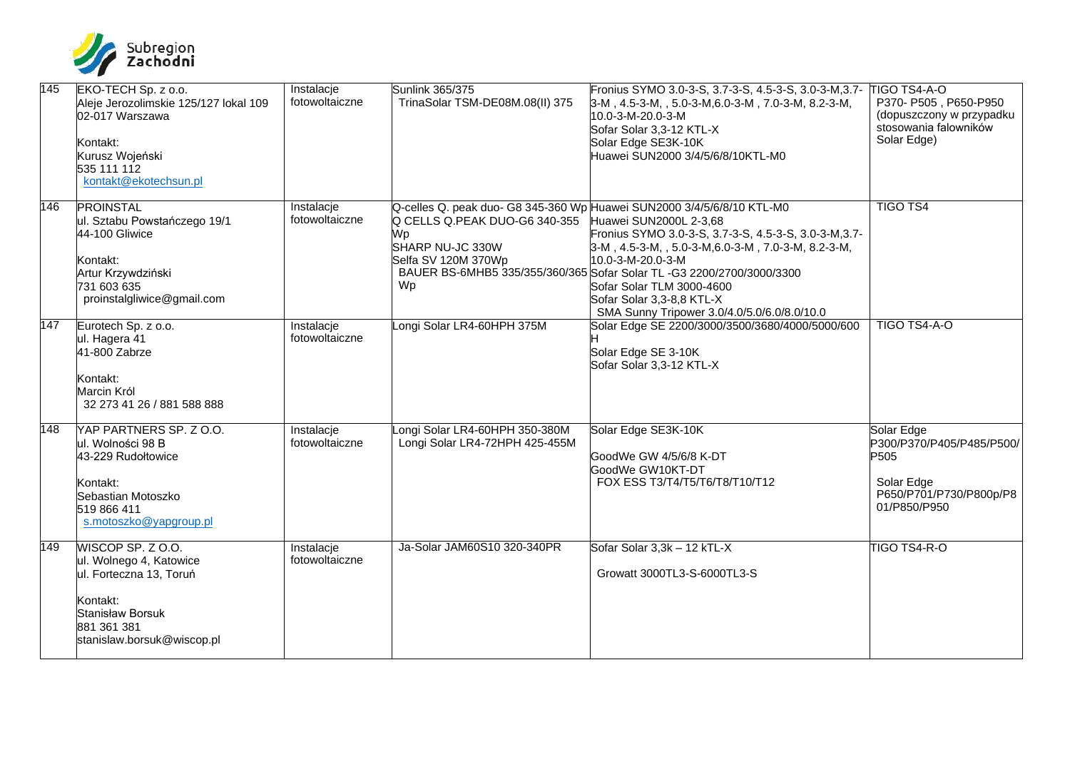

| 145 | EKO-TECH Sp. z o.o.<br>Aleje Jerozolimskie 125/127 lokal 109<br>02-017 Warszawa<br>Kontakt:<br>Kurusz Wojeński<br>535 111 112<br>kontakt@ekotechsun.pl | Instalacje<br>fotowoltaiczne | Sunlink 365/375<br>TrinaSolar TSM-DE08M.08(II) 375                                   | Fronius SYMO 3.0-3-S, 3.7-3-S, 4.5-3-S, 3.0-3-M, 3.7-<br>3-M, 4.5-3-M, , 5.0-3-M, 6.0-3-M, 7.0-3-M, 8.2-3-M,<br>10.0-3-M-20.0-3-M<br>Sofar Solar 3,3-12 KTL-X<br>Solar Edge SE3K-10K<br>Huawei SUN2000 3/4/5/6/8/10KTL-M0                                                                                                                                                                                                  | <b>TIGO TS4-A-O</b><br>P370- P505, P650-P950<br>(dopuszczony w przypadku<br>stosowania falowników<br>Solar Edge) |
|-----|--------------------------------------------------------------------------------------------------------------------------------------------------------|------------------------------|--------------------------------------------------------------------------------------|----------------------------------------------------------------------------------------------------------------------------------------------------------------------------------------------------------------------------------------------------------------------------------------------------------------------------------------------------------------------------------------------------------------------------|------------------------------------------------------------------------------------------------------------------|
| 146 | <b>PROINSTAL</b><br>ul. Sztabu Powstańczego 19/1<br>44-100 Gliwice<br>Kontakt:<br>Artur Krzywdziński<br>731 603 635<br>proinstalgliwice@gmail.com      | Instalacje<br>fotowoltaiczne | Q CELLS Q.PEAK DUO-G6 340-355<br>Wp<br>SHARP NU-JC 330W<br>Selfa SV 120M 370Wp<br>Wp | Q-celles Q. peak duo- G8 345-360 Wp Huawei SUN2000 3/4/5/6/8/10 KTL-M0<br>Huawei SUN2000L 2-3,68<br>Fronius SYMO 3.0-3-S, 3.7-3-S, 4.5-3-S, 3.0-3-M, 3.7-<br>$3-M$ , 4.5-3-M, , 5.0-3-M, 6.0-3-M, 7.0-3-M, 8.2-3-M,<br>10.0-3-M-20.0-3-M<br>BAUER BS-6MHB5 335/355/360/365 Sofar Solar TL -G3 2200/2700/3000/3300<br>Sofar Solar TLM 3000-4600<br>Sofar Solar 3,3-8,8 KTL-X<br>SMA Sunny Tripower 3.0/4.0/5.0/6.0/8.0/10.0 | <b>TIGO TS4</b>                                                                                                  |
| 147 | Eurotech Sp. z o.o.<br>ul. Hagera 41<br>41-800 Zabrze<br>Kontakt:<br>Marcin Król<br>32 273 41 26 / 881 588 888                                         | Instalacje<br>fotowoltaiczne | ongi Solar LR4-60HPH 375M                                                            | Solar Edge SE 2200/3000/3500/3680/4000/5000/600<br>Solar Edge SE 3-10K<br>Sofar Solar 3,3-12 KTL-X                                                                                                                                                                                                                                                                                                                         | TIGO TS4-A-O                                                                                                     |
| 148 | YAP PARTNERS SP. Z O.O.<br>ul. Wolności 98 B<br>43-229 Rudołtowice<br>Kontakt:<br>Sebastian Motoszko<br>519 866 411<br>s.motoszko@yapgroup.pl          | Instalacje<br>fotowoltaiczne | ongi Solar LR4-60HPH 350-380M<br>Longi Solar LR4-72HPH 425-455M                      | Solar Edge SE3K-10K<br>GoodWe GW 4/5/6/8 K-DT<br>GoodWe GW10KT-DT<br>FOX ESS T3/T4/T5/T6/T8/T10/T12                                                                                                                                                                                                                                                                                                                        | Solar Edge<br>P300/P370/P405/P485/P500/<br>P505<br>Solar Edge<br>P650/P701/P730/P800p/P8<br>01/P850/P950         |
| 149 | WISCOP SP. Z O.O.<br>ul. Wolnego 4, Katowice<br>ul. Forteczna 13, Toruń<br>Kontakt:<br>Stanisław Borsuk<br>881 361 381<br>stanislaw.borsuk@wiscop.pl   | Instalacje<br>fotowoltaiczne | Ja-Solar JAM60S10 320-340PR                                                          | Sofar Solar 3,3k - 12 kTL-X<br>Growatt 3000TL3-S-6000TL3-S                                                                                                                                                                                                                                                                                                                                                                 | TIGO TS4-R-O                                                                                                     |